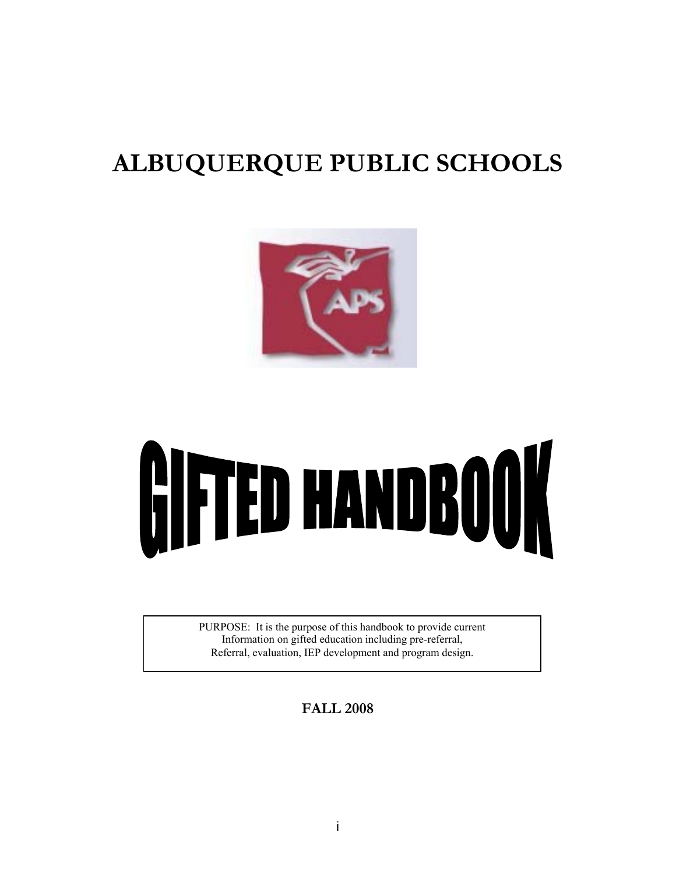# **ALBUQUERQUE PUBLIC SCHOOLS**





PURPOSE: It is the purpose of this handbook to provide current Information on gifted education including pre-referral, Referral, evaluation, IEP development and program design.

**FALL 2008**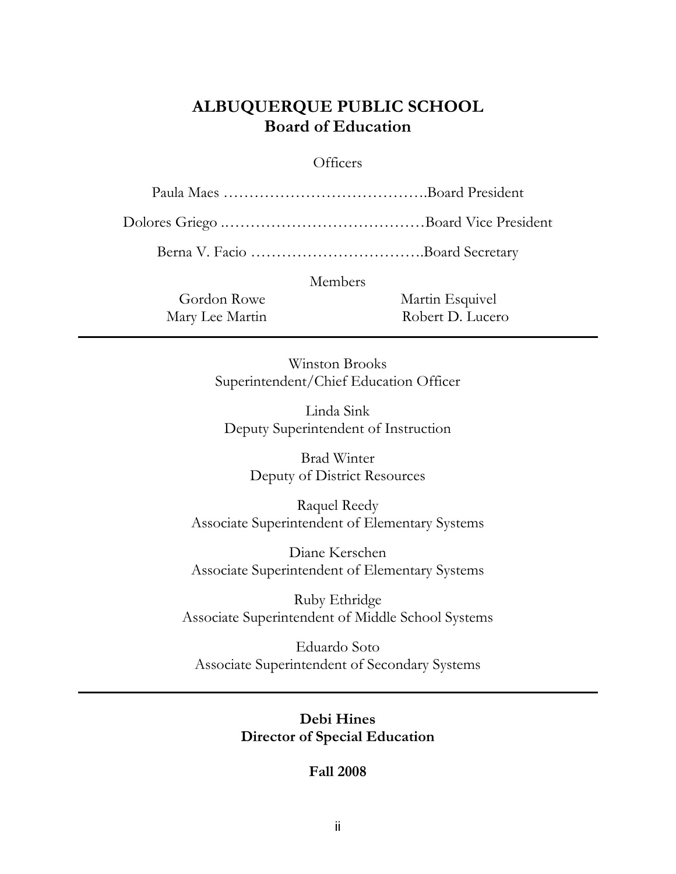# **ALBUQUERQUE PUBLIC SCHOOL Board of Education**

# **Officers**

Paula Maes ………………………………….Board President

Dolores Griego .…………………………………Board Vice President

Berna V. Facio …………………………….Board Secretary

Members

Gordon Rowe Martin Esquivel Mary Lee Martin Robert D. Lucero

> Winston Brooks Superintendent/Chief Education Officer

Linda Sink Deputy Superintendent of Instruction

> Brad Winter Deputy of District Resources

Raquel Reedy Associate Superintendent of Elementary Systems

Diane Kerschen Associate Superintendent of Elementary Systems

Ruby Ethridge Associate Superintendent of Middle School Systems

Eduardo Soto Associate Superintendent of Secondary Systems

> **Debi Hines Director of Special Education**

> > **Fall 2008**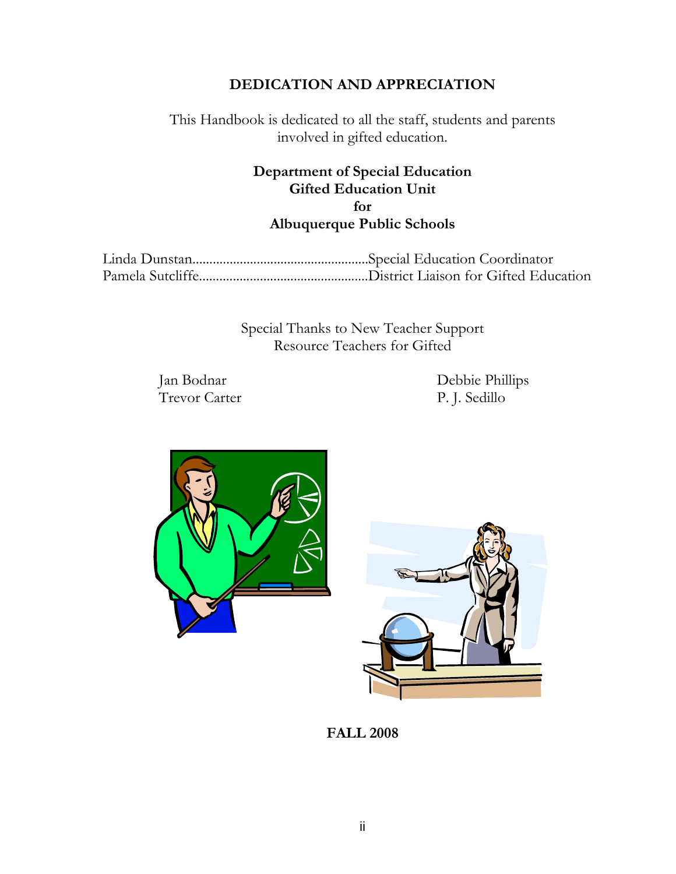# **DEDICATION AND APPRECIATION**

This Handbook is dedicated to all the staff, students and parents involved in gifted education.

# **Department of Special Education Gifted Education Unit for Albuquerque Public Schools**

Special Thanks to New Teacher Support Resource Teachers for Gifted

Jan Bodnar Debbie Phillips P. J. Sedillo





**FALL 2008**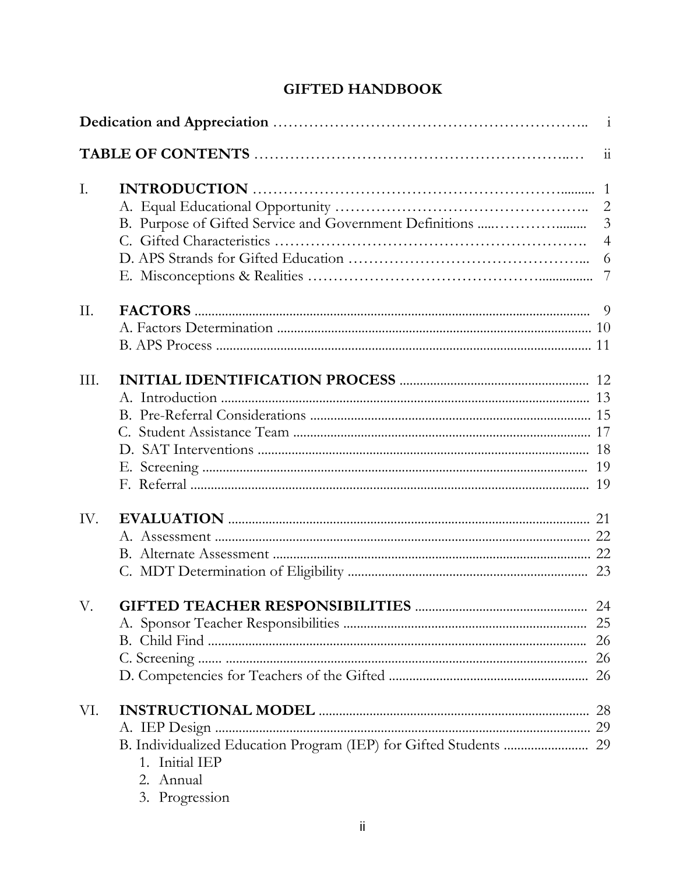# **GIFTED HANDBOOK**

| I.   |                                               | $\overline{3}$<br>$\overline{4}$ |
|------|-----------------------------------------------|----------------------------------|
| II.  |                                               |                                  |
| III. |                                               |                                  |
| IV.  |                                               |                                  |
|      |                                               |                                  |
| VI.  | 1. Initial IEP<br>2. Annual<br>3. Progression |                                  |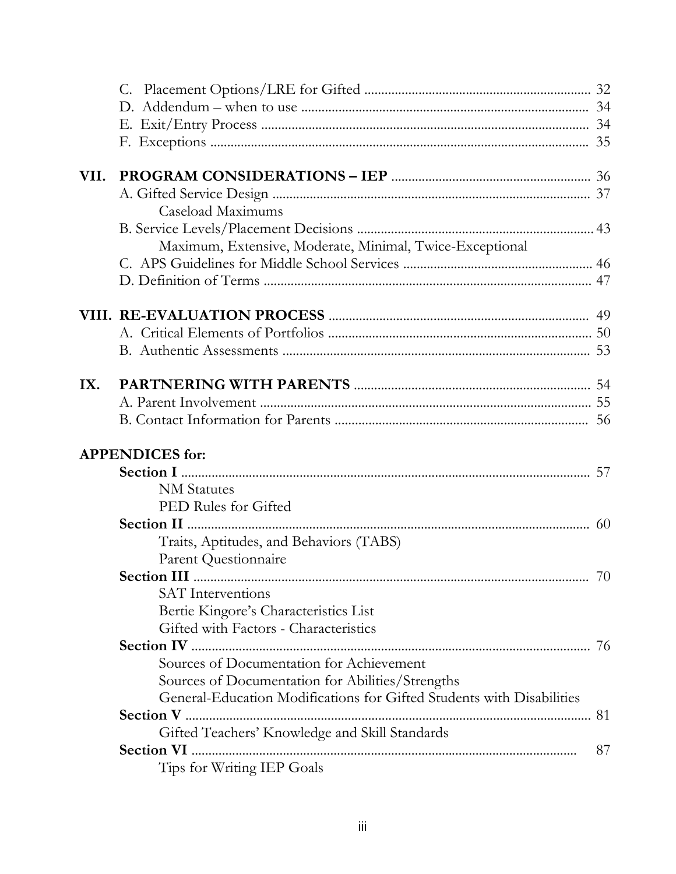| VII. |                                                                       |    |
|------|-----------------------------------------------------------------------|----|
|      |                                                                       |    |
|      | Caseload Maximums                                                     |    |
|      |                                                                       |    |
|      | Maximum, Extensive, Moderate, Minimal, Twice-Exceptional              |    |
|      |                                                                       |    |
|      |                                                                       |    |
|      |                                                                       |    |
|      |                                                                       |    |
|      |                                                                       |    |
|      |                                                                       |    |
| IX.  |                                                                       |    |
|      |                                                                       |    |
|      |                                                                       |    |
|      | <b>APPENDICES</b> for:                                                |    |
|      |                                                                       |    |
|      | <b>NM</b> Statutes                                                    |    |
|      | PED Rules for Gifted                                                  |    |
|      |                                                                       |    |
|      | Traits, Aptitudes, and Behaviors (TABS)                               |    |
|      | Parent Questionnaire                                                  |    |
|      | Section III                                                           | 70 |
|      | <b>SAT</b> Interventions                                              |    |
|      | Bertie Kingore's Characteristics List                                 |    |
|      | Gifted with Factors - Characteristics                                 |    |
|      |                                                                       |    |
|      | Sources of Documentation for Achievement                              |    |
|      | Sources of Documentation for Abilities/Strengths                      |    |
|      | General-Education Modifications for Gifted Students with Disabilities |    |
|      |                                                                       |    |
|      |                                                                       |    |
|      | Gifted Teachers' Knowledge and Skill Standards                        |    |
|      |                                                                       | 87 |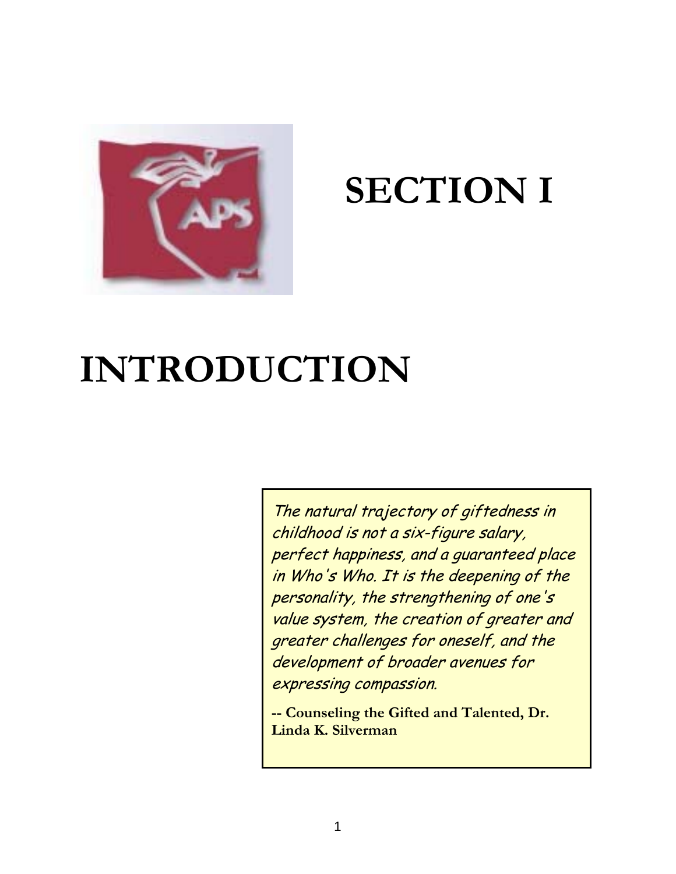

# **SECTION I**

# **INTRODUCTION**

The natural trajectory of giftedness in childhood is not a six-figure salary, perfect happiness, and a guaranteed place in Who's Who. It is the deepening of the personality, the strengthening of one's value system, the creation of greater and greater challenges for oneself, and the development of broader avenues for expressing compassion.

**-- Counseling the Gifted and Talented, Dr. Linda K. Silverman**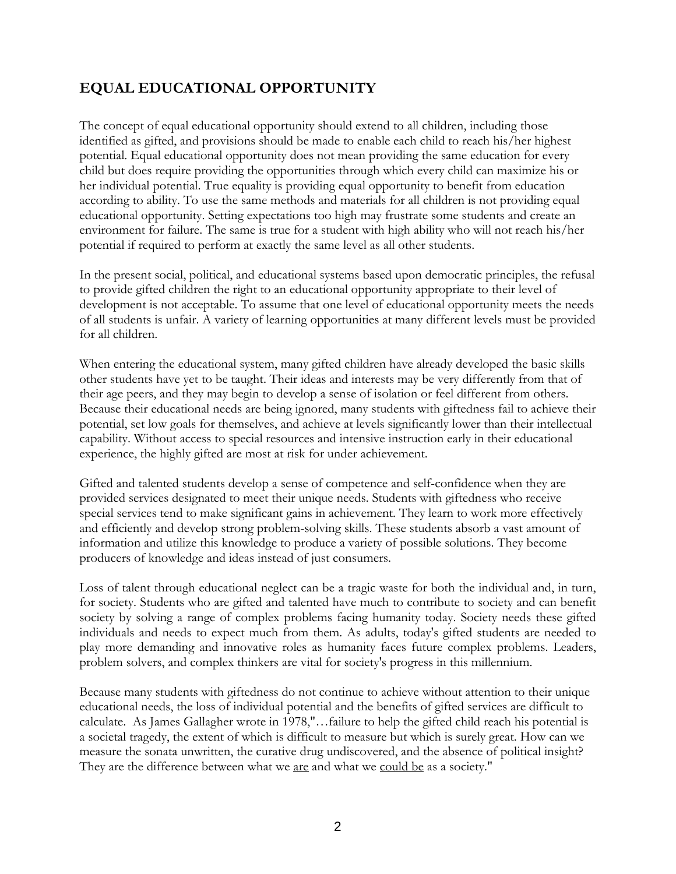# **EQUAL EDUCATIONAL OPPORTUNITY**

The concept of equal educational opportunity should extend to all children, including those identified as gifted, and provisions should be made to enable each child to reach his/her highest potential. Equal educational opportunity does not mean providing the same education for every child but does require providing the opportunities through which every child can maximize his or her individual potential. True equality is providing equal opportunity to benefit from education according to ability. To use the same methods and materials for all children is not providing equal educational opportunity. Setting expectations too high may frustrate some students and create an environment for failure. The same is true for a student with high ability who will not reach his/her potential if required to perform at exactly the same level as all other students.

In the present social, political, and educational systems based upon democratic principles, the refusal to provide gifted children the right to an educational opportunity appropriate to their level of development is not acceptable. To assume that one level of educational opportunity meets the needs of all students is unfair. A variety of learning opportunities at many different levels must be provided for all children.

When entering the educational system, many gifted children have already developed the basic skills other students have yet to be taught. Their ideas and interests may be very differently from that of their age peers, and they may begin to develop a sense of isolation or feel different from others. Because their educational needs are being ignored, many students with giftedness fail to achieve their potential, set low goals for themselves, and achieve at levels significantly lower than their intellectual capability. Without access to special resources and intensive instruction early in their educational experience, the highly gifted are most at risk for under achievement.

Gifted and talented students develop a sense of competence and self-confidence when they are provided services designated to meet their unique needs. Students with giftedness who receive special services tend to make significant gains in achievement. They learn to work more effectively and efficiently and develop strong problem-solving skills. These students absorb a vast amount of information and utilize this knowledge to produce a variety of possible solutions. They become producers of knowledge and ideas instead of just consumers.

Loss of talent through educational neglect can be a tragic waste for both the individual and, in turn, for society. Students who are gifted and talented have much to contribute to society and can benefit society by solving a range of complex problems facing humanity today. Society needs these gifted individuals and needs to expect much from them. As adults, today's gifted students are needed to play more demanding and innovative roles as humanity faces future complex problems. Leaders, problem solvers, and complex thinkers are vital for society's progress in this millennium.

Because many students with giftedness do not continue to achieve without attention to their unique educational needs, the loss of individual potential and the benefits of gifted services are difficult to calculate. As James Gallagher wrote in 1978,"…failure to help the gifted child reach his potential is a societal tragedy, the extent of which is difficult to measure but which is surely great. How can we measure the sonata unwritten, the curative drug undiscovered, and the absence of political insight? They are the difference between what we are and what we could be as a society."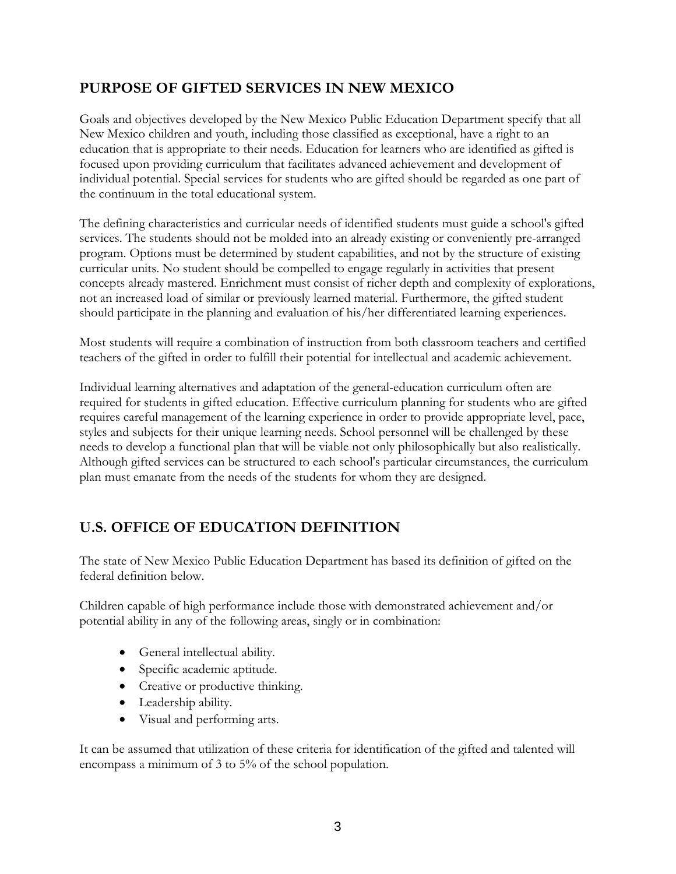# **PURPOSE OF GIFTED SERVICES IN NEW MEXICO**

Goals and objectives developed by the New Mexico Public Education Department specify that all New Mexico children and youth, including those classified as exceptional, have a right to an education that is appropriate to their needs. Education for learners who are identified as gifted is focused upon providing curriculum that facilitates advanced achievement and development of individual potential. Special services for students who are gifted should be regarded as one part of the continuum in the total educational system.

The defining characteristics and curricular needs of identified students must guide a school's gifted services. The students should not be molded into an already existing or conveniently pre-arranged program. Options must be determined by student capabilities, and not by the structure of existing curricular units. No student should be compelled to engage regularly in activities that present concepts already mastered. Enrichment must consist of richer depth and complexity of explorations, not an increased load of similar or previously learned material. Furthermore, the gifted student should participate in the planning and evaluation of his/her differentiated learning experiences.

Most students will require a combination of instruction from both classroom teachers and certified teachers of the gifted in order to fulfill their potential for intellectual and academic achievement.

Individual learning alternatives and adaptation of the general-education curriculum often are required for students in gifted education. Effective curriculum planning for students who are gifted requires careful management of the learning experience in order to provide appropriate level, pace, styles and subjects for their unique learning needs. School personnel will be challenged by these needs to develop a functional plan that will be viable not only philosophically but also realistically. Although gifted services can be structured to each school's particular circumstances, the curriculum plan must emanate from the needs of the students for whom they are designed.

# **U.S. OFFICE OF EDUCATION DEFINITION**

The state of New Mexico Public Education Department has based its definition of gifted on the federal definition below.

Children capable of high performance include those with demonstrated achievement and/or potential ability in any of the following areas, singly or in combination:

- General intellectual ability.
- Specific academic aptitude.
- Creative or productive thinking.
- Leadership ability.
- Visual and performing arts.

It can be assumed that utilization of these criteria for identification of the gifted and talented will encompass a minimum of 3 to 5% of the school population.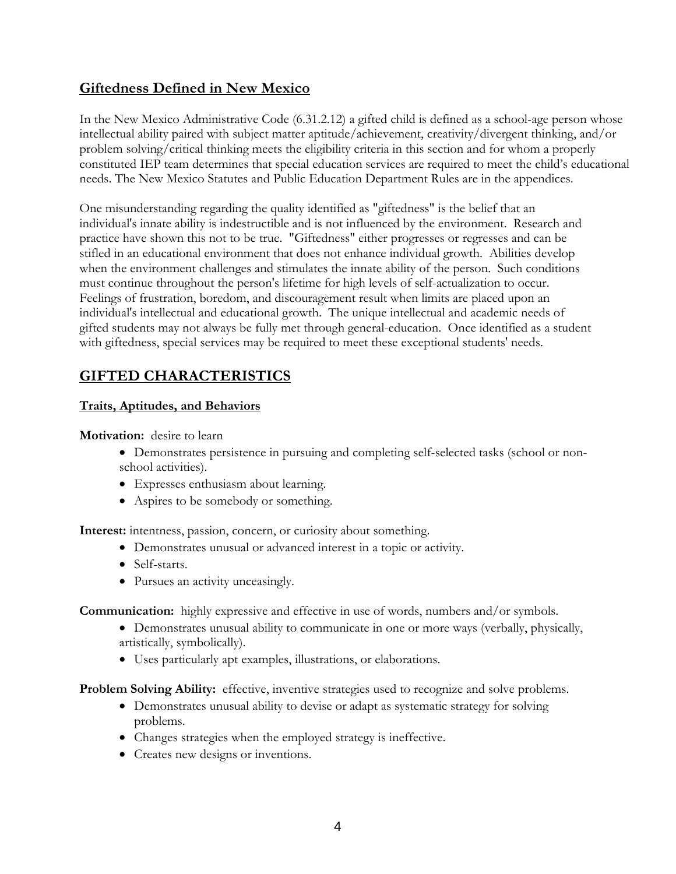# **Giftedness Defined in New Mexico**

In the New Mexico Administrative Code (6.31.2.12) a gifted child is defined as a school-age person whose intellectual ability paired with subject matter aptitude/achievement, creativity/divergent thinking, and/or problem solving/critical thinking meets the eligibility criteria in this section and for whom a properly constituted IEP team determines that special education services are required to meet the child's educational needs. The New Mexico Statutes and Public Education Department Rules are in the appendices.

One misunderstanding regarding the quality identified as "giftedness" is the belief that an individual's innate ability is indestructible and is not influenced by the environment. Research and practice have shown this not to be true. "Giftedness" either progresses or regresses and can be stifled in an educational environment that does not enhance individual growth. Abilities develop when the environment challenges and stimulates the innate ability of the person. Such conditions must continue throughout the person's lifetime for high levels of self-actualization to occur. Feelings of frustration, boredom, and discouragement result when limits are placed upon an individual's intellectual and educational growth. The unique intellectual and academic needs of gifted students may not always be fully met through general-education. Once identified as a student with giftedness, special services may be required to meet these exceptional students' needs.

# **GIFTED CHARACTERISTICS**

# **Traits, Aptitudes, and Behaviors**

**Motivation:** desire to learn

- Demonstrates persistence in pursuing and completing self-selected tasks (school or nonschool activities).
- Expresses enthusiasm about learning.
- Aspires to be somebody or something.

**Interest:** intentness, passion, concern, or curiosity about something.

- Demonstrates unusual or advanced interest in a topic or activity.
- Self-starts.
- Pursues an activity unceasingly.

**Communication:** highly expressive and effective in use of words, numbers and/or symbols.

- Demonstrates unusual ability to communicate in one or more ways (verbally, physically, artistically, symbolically).
- Uses particularly apt examples, illustrations, or elaborations.

**Problem Solving Ability:** effective, inventive strategies used to recognize and solve problems.

- Demonstrates unusual ability to devise or adapt as systematic strategy for solving problems.
- Changes strategies when the employed strategy is ineffective.
- Creates new designs or inventions.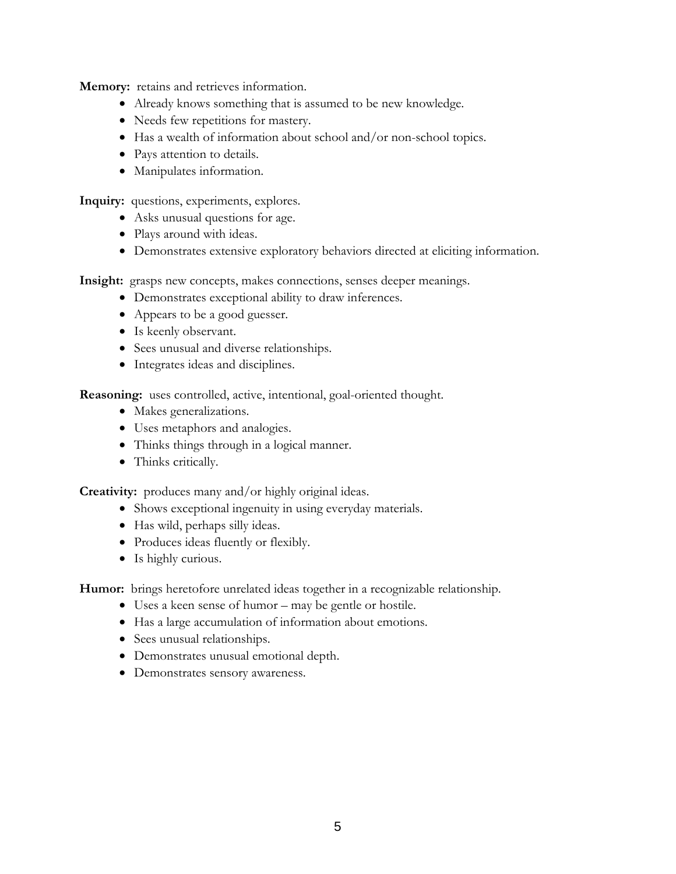**Memory:** retains and retrieves information.

- Already knows something that is assumed to be new knowledge.
- Needs few repetitions for mastery.
- Has a wealth of information about school and/or non-school topics.
- Pays attention to details.
- Manipulates information.

**Inquiry:** questions, experiments, explores.

- Asks unusual questions for age.
- Plays around with ideas.
- Demonstrates extensive exploratory behaviors directed at eliciting information.

**Insight:** grasps new concepts, makes connections, senses deeper meanings.

- Demonstrates exceptional ability to draw inferences.
- Appears to be a good guesser.
- Is keenly observant.
- Sees unusual and diverse relationships.
- Integrates ideas and disciplines.

**Reasoning:** uses controlled, active, intentional, goal-oriented thought.

- Makes generalizations.
- Uses metaphors and analogies.
- Thinks things through in a logical manner.
- Thinks critically.

**Creativity:** produces many and/or highly original ideas.

- Shows exceptional ingenuity in using everyday materials.
- Has wild, perhaps silly ideas.
- Produces ideas fluently or flexibly.
- Is highly curious.

**Humor:** brings heretofore unrelated ideas together in a recognizable relationship.

- Uses a keen sense of humor may be gentle or hostile.
- Has a large accumulation of information about emotions.
- Sees unusual relationships.
- Demonstrates unusual emotional depth.
- Demonstrates sensory awareness.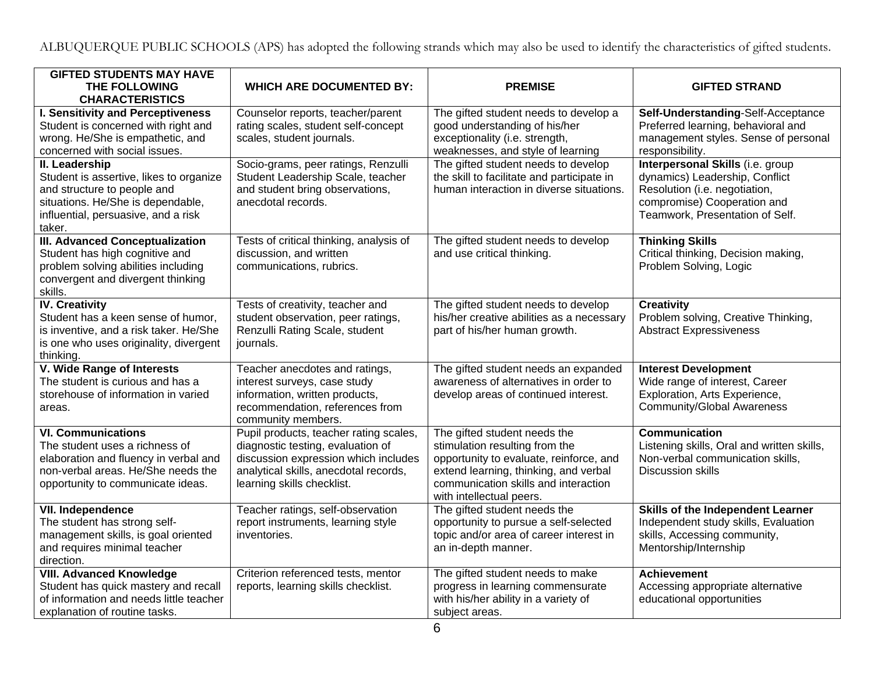ALBUQUERQUE PUBLIC SCHOOLS (APS) has adopted the following strands which may also be used to identify the characteristics of gifted students.

| <b>GIFTED STUDENTS MAY HAVE</b><br>THE FOLLOWING<br><b>CHARACTERISTICS</b>                                                                                                            | <b>WHICH ARE DOCUMENTED BY:</b>                                                                                                                                                            | <b>PREMISE</b>                                                                                                                                                                                                         | <b>GIFTED STRAND</b>                                                                                                                                                  |
|---------------------------------------------------------------------------------------------------------------------------------------------------------------------------------------|--------------------------------------------------------------------------------------------------------------------------------------------------------------------------------------------|------------------------------------------------------------------------------------------------------------------------------------------------------------------------------------------------------------------------|-----------------------------------------------------------------------------------------------------------------------------------------------------------------------|
| I. Sensitivity and Perceptiveness<br>Student is concerned with right and<br>wrong. He/She is empathetic, and<br>concerned with social issues.                                         | Counselor reports, teacher/parent<br>rating scales, student self-concept<br>scales, student journals.                                                                                      | The gifted student needs to develop a<br>good understanding of his/her<br>exceptionality (i.e. strength,<br>weaknesses, and style of learning                                                                          | Self-Understanding-Self-Acceptance<br>Preferred learning, behavioral and<br>management styles. Sense of personal<br>responsibility.                                   |
| <b>II.</b> Leadership<br>Student is assertive, likes to organize<br>and structure to people and<br>situations. He/She is dependable,<br>influential, persuasive, and a risk<br>taker. | Socio-grams, peer ratings, Renzulli<br>Student Leadership Scale, teacher<br>and student bring observations,<br>anecdotal records.                                                          | The gifted student needs to develop<br>the skill to facilitate and participate in<br>human interaction in diverse situations.                                                                                          | Interpersonal Skills (i.e. group<br>dynamics) Leadership, Conflict<br>Resolution (i.e. negotiation,<br>compromise) Cooperation and<br>Teamwork, Presentation of Self. |
| <b>III. Advanced Conceptualization</b><br>Student has high cognitive and<br>problem solving abilities including<br>convergent and divergent thinking<br>skills.                       | Tests of critical thinking, analysis of<br>discussion, and written<br>communications, rubrics.                                                                                             | The gifted student needs to develop<br>and use critical thinking.                                                                                                                                                      | <b>Thinking Skills</b><br>Critical thinking, Decision making,<br>Problem Solving, Logic                                                                               |
| <b>IV. Creativity</b><br>Student has a keen sense of humor,<br>is inventive, and a risk taker. He/She<br>is one who uses originality, divergent<br>thinking.                          | Tests of creativity, teacher and<br>student observation, peer ratings,<br>Renzulli Rating Scale, student<br>journals.                                                                      | The gifted student needs to develop<br>his/her creative abilities as a necessary<br>part of his/her human growth.                                                                                                      | <b>Creativity</b><br>Problem solving, Creative Thinking,<br><b>Abstract Expressiveness</b>                                                                            |
| V. Wide Range of Interests<br>The student is curious and has a<br>storehouse of information in varied<br>areas.                                                                       | Teacher anecdotes and ratings,<br>interest surveys, case study<br>information, written products,<br>recommendation, references from<br>community members.                                  | The gifted student needs an expanded<br>awareness of alternatives in order to<br>develop areas of continued interest.                                                                                                  | <b>Interest Development</b><br>Wide range of interest, Career<br>Exploration, Arts Experience,<br><b>Community/Global Awareness</b>                                   |
| <b>VI. Communications</b><br>The student uses a richness of<br>elaboration and fluency in verbal and<br>non-verbal areas. He/She needs the<br>opportunity to communicate ideas.       | Pupil products, teacher rating scales,<br>diagnostic testing, evaluation of<br>discussion expression which includes<br>analytical skills, anecdotal records,<br>learning skills checklist. | The gifted student needs the<br>stimulation resulting from the<br>opportunity to evaluate, reinforce, and<br>extend learning, thinking, and verbal<br>communication skills and interaction<br>with intellectual peers. | <b>Communication</b><br>Listening skills, Oral and written skills,<br>Non-verbal communication skills,<br><b>Discussion skills</b>                                    |
| <b>VII. Independence</b><br>The student has strong self-<br>management skills, is goal oriented<br>and requires minimal teacher<br>direction.                                         | Teacher ratings, self-observation<br>report instruments, learning style<br>inventories.                                                                                                    | The gifted student needs the<br>opportunity to pursue a self-selected<br>topic and/or area of career interest in<br>an in-depth manner.                                                                                | Skills of the Independent Learner<br>Independent study skills, Evaluation<br>skills, Accessing community,<br>Mentorship/Internship                                    |
| <b>VIII. Advanced Knowledge</b><br>Student has quick mastery and recall<br>of information and needs little teacher<br>explanation of routine tasks.                                   | Criterion referenced tests, mentor<br>reports, learning skills checklist.                                                                                                                  | The gifted student needs to make<br>progress in learning commensurate<br>with his/her ability in a variety of<br>subject areas.                                                                                        | <b>Achievement</b><br>Accessing appropriate alternative<br>educational opportunities                                                                                  |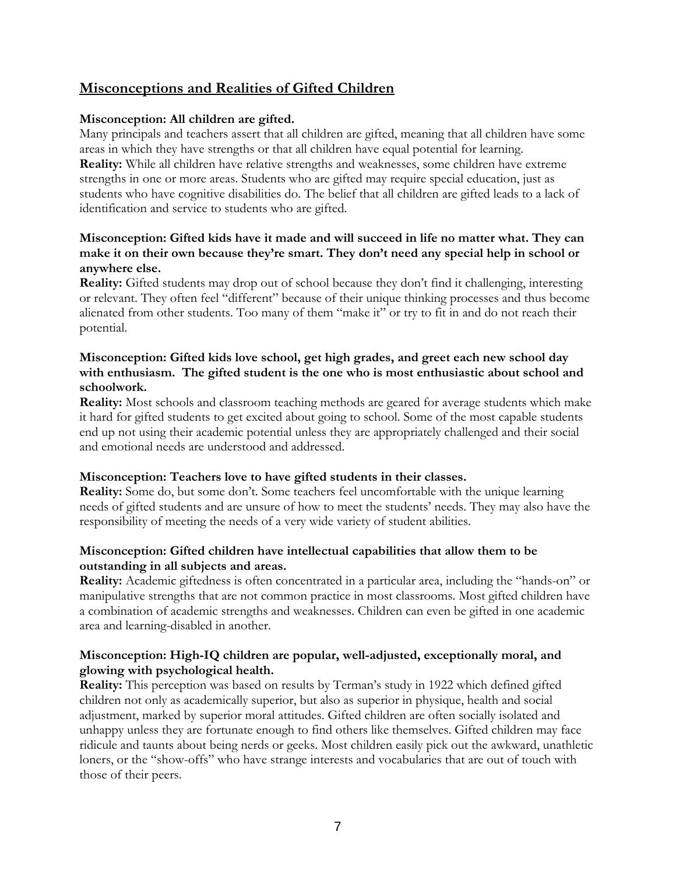# **Misconceptions and Realities of Gifted Children**

#### **Misconception: All children are gifted.**

Many principals and teachers assert that all children are gifted, meaning that all children have some areas in which they have strengths or that all children have equal potential for learning. **Reality:** While all children have relative strengths and weaknesses, some children have extreme strengths in one or more areas. Students who are gifted may require special education, just as students who have cognitive disabilities do. The belief that all children are gifted leads to a lack of identification and service to students who are gifted.

#### **Misconception: Gifted kids have it made and will succeed in life no matter what. They can make it on their own because they're smart. They don't need any special help in school or anywhere else.**

**Reality:** Gifted students may drop out of school because they don't find it challenging, interesting or relevant. They often feel "different" because of their unique thinking processes and thus become alienated from other students. Too many of them "make it" or try to fit in and do not reach their potential.

#### **Misconception: Gifted kids love school, get high grades, and greet each new school day with enthusiasm. The gifted student is the one who is most enthusiastic about school and schoolwork.**

**Reality:** Most schools and classroom teaching methods are geared for average students which make it hard for gifted students to get excited about going to school. Some of the most capable students end up not using their academic potential unless they are appropriately challenged and their social and emotional needs are understood and addressed.

#### **Misconception: Teachers love to have gifted students in their classes.**

**Reality:** Some do, but some don't. Some teachers feel uncomfortable with the unique learning needs of gifted students and are unsure of how to meet the students' needs. They may also have the responsibility of meeting the needs of a very wide variety of student abilities.

#### **Misconception: Gifted children have intellectual capabilities that allow them to be outstanding in all subjects and areas.**

**Reality:** Academic giftedness is often concentrated in a particular area, including the "hands-on" or manipulative strengths that are not common practice in most classrooms. Most gifted children have a combination of academic strengths and weaknesses. Children can even be gifted in one academic area and learning-disabled in another.

#### **Misconception: High-IQ children are popular, well-adjusted, exceptionally moral, and glowing with psychological health.**

**Reality:** This perception was based on results by Terman's study in 1922 which defined gifted children not only as academically superior, but also as superior in physique, health and social adjustment, marked by superior moral attitudes. Gifted children are often socially isolated and unhappy unless they are fortunate enough to find others like themselves. Gifted children may face ridicule and taunts about being nerds or geeks. Most children easily pick out the awkward, unathletic loners, or the "show-offs" who have strange interests and vocabularies that are out of touch with those of their peers.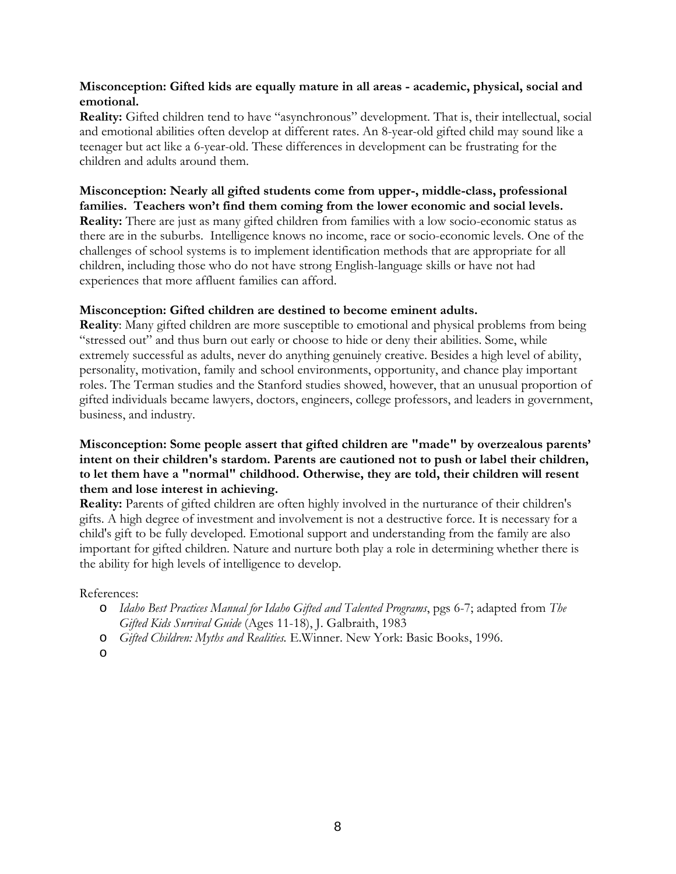#### **Misconception: Gifted kids are equally mature in all areas - academic, physical, social and emotional.**

**Reality:** Gifted children tend to have "asynchronous" development. That is, their intellectual, social and emotional abilities often develop at different rates. An 8-year-old gifted child may sound like a teenager but act like a 6-year-old. These differences in development can be frustrating for the children and adults around them.

**Misconception: Nearly all gifted students come from upper-, middle-class, professional families. Teachers won't find them coming from the lower economic and social levels. Reality:** There are just as many gifted children from families with a low socio-economic status as there are in the suburbs. Intelligence knows no income, race or socio-economic levels. One of the challenges of school systems is to implement identification methods that are appropriate for all children, including those who do not have strong English-language skills or have not had experiences that more affluent families can afford.

#### **Misconception: Gifted children are destined to become eminent adults.**

**Reality**: Many gifted children are more susceptible to emotional and physical problems from being "stressed out" and thus burn out early or choose to hide or deny their abilities. Some, while extremely successful as adults, never do anything genuinely creative. Besides a high level of ability, personality, motivation, family and school environments, opportunity, and chance play important roles. The Terman studies and the Stanford studies showed, however, that an unusual proportion of gifted individuals became lawyers, doctors, engineers, college professors, and leaders in government, business, and industry.

#### **Misconception: Some people assert that gifted children are "made" by overzealous parents' intent on their children's stardom. Parents are cautioned not to push or label their children, to let them have a "normal" childhood. Otherwise, they are told, their children will resent them and lose interest in achieving.**

**Reality:** Parents of gifted children are often highly involved in the nurturance of their children's gifts. A high degree of investment and involvement is not a destructive force. It is necessary for a child's gift to be fully developed. Emotional support and understanding from the family are also important for gifted children. Nature and nurture both play a role in determining whether there is the ability for high levels of intelligence to develop.

References:

- o *Idaho Best Practices Manual for Idaho Gifted and Talented Programs*, pgs 6-7; adapted from *The Gifted Kids Survival Guide* (Ages 11-18), J. Galbraith, 1983
- o *Gifted Children: Myths and Realities.* E.Winner. New York: Basic Books, 1996.
- o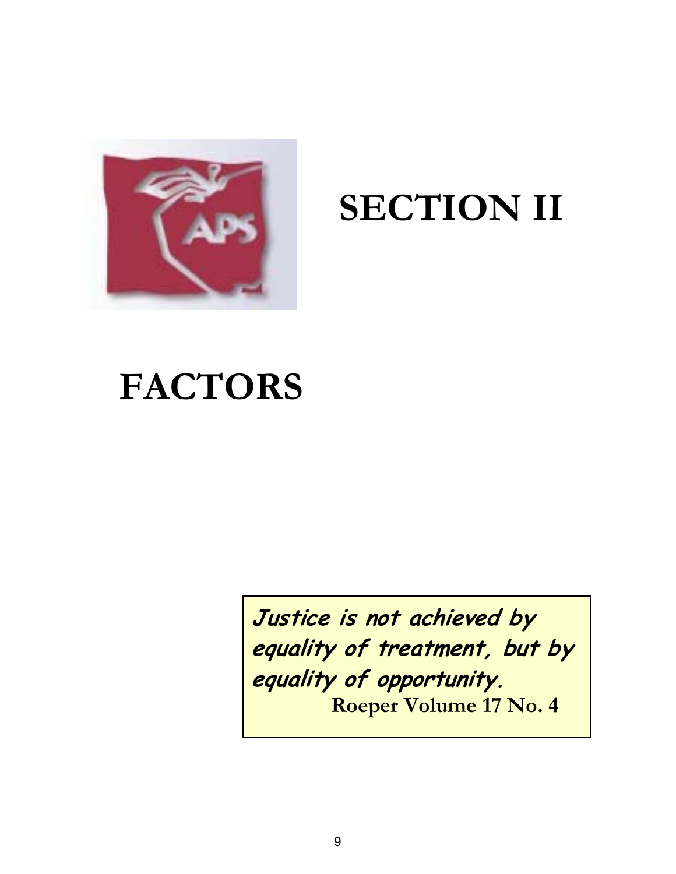

# **SECTION II**

# **FACTORS**

**Justice is not achieved by equality of treatment, but by equality of opportunity. Roeper Volume 17 No. 4**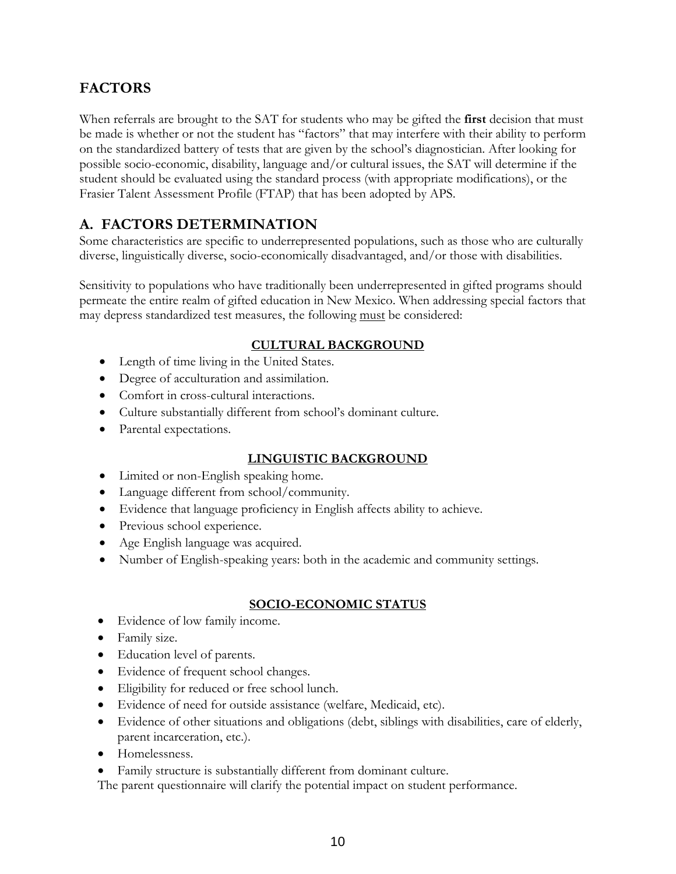# **FACTORS**

When referrals are brought to the SAT for students who may be gifted the **first** decision that must be made is whether or not the student has "factors" that may interfere with their ability to perform on the standardized battery of tests that are given by the school's diagnostician. After looking for possible socio-economic, disability, language and/or cultural issues, the SAT will determine if the student should be evaluated using the standard process (with appropriate modifications), or the Frasier Talent Assessment Profile (FTAP) that has been adopted by APS.

# **A. FACTORS DETERMINATION**

Some characteristics are specific to underrepresented populations, such as those who are culturally diverse, linguistically diverse, socio-economically disadvantaged, and/or those with disabilities.

Sensitivity to populations who have traditionally been underrepresented in gifted programs should permeate the entire realm of gifted education in New Mexico. When addressing special factors that may depress standardized test measures, the following must be considered:

# **CULTURAL BACKGROUND**

- Length of time living in the United States.
- Degree of acculturation and assimilation.
- Comfort in cross-cultural interactions.
- Culture substantially different from school's dominant culture.
- Parental expectations.

# **LINGUISTIC BACKGROUND**

- Limited or non-English speaking home.
- Language different from school/community.
- Evidence that language proficiency in English affects ability to achieve.
- Previous school experience.
- Age English language was acquired.
- Number of English-speaking years: both in the academic and community settings.

# **SOCIO-ECONOMIC STATUS**

- Evidence of low family income.
- Family size.
- Education level of parents.
- Evidence of frequent school changes.
- Eligibility for reduced or free school lunch.
- Evidence of need for outside assistance (welfare, Medicaid, etc).
- Evidence of other situations and obligations (debt, siblings with disabilities, care of elderly, parent incarceration, etc.).
- Homelessness.
- Family structure is substantially different from dominant culture.

The parent questionnaire will clarify the potential impact on student performance.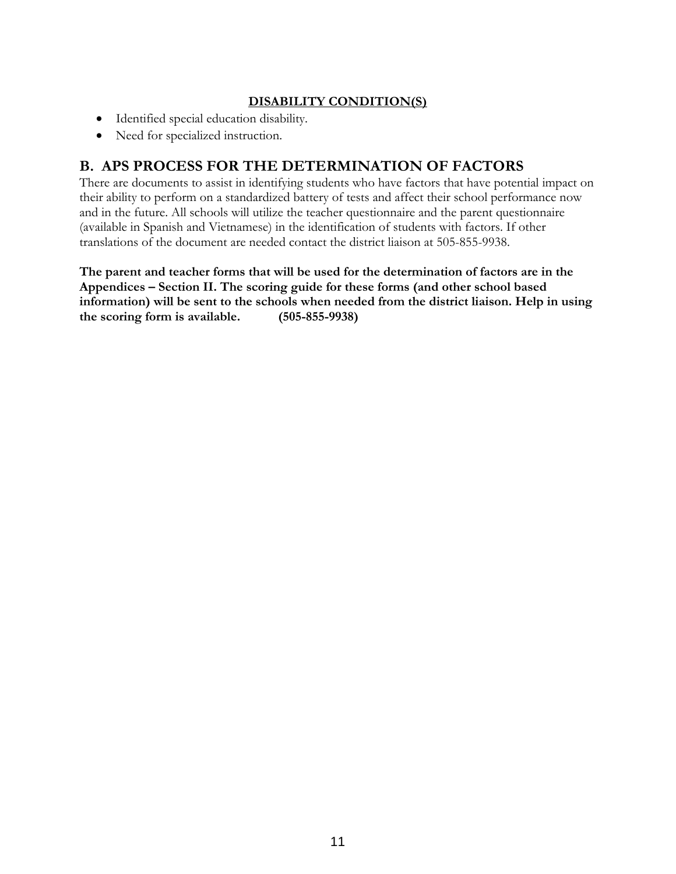# **DISABILITY CONDITION(S)**

- Identified special education disability.
- Need for specialized instruction.

# **B. APS PROCESS FOR THE DETERMINATION OF FACTORS**

There are documents to assist in identifying students who have factors that have potential impact on their ability to perform on a standardized battery of tests and affect their school performance now and in the future. All schools will utilize the teacher questionnaire and the parent questionnaire (available in Spanish and Vietnamese) in the identification of students with factors. If other translations of the document are needed contact the district liaison at 505-855-9938.

**The parent and teacher forms that will be used for the determination of factors are in the Appendices – Section II. The scoring guide for these forms (and other school based information) will be sent to the schools when needed from the district liaison. Help in using the scoring form is available. (505-855-9938)**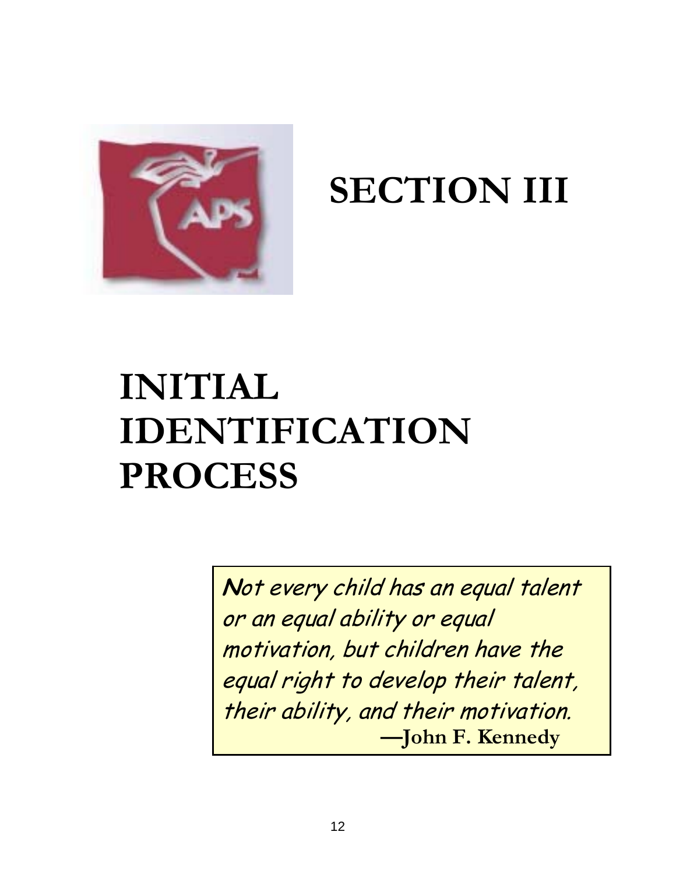

**SECTION III** 

# **INITIAL IDENTIFICATION PROCESS**

**N**ot every child has an equal talent or an equal ability or equal motivation, but children have the equal right to develop their talent, their ability, and their motivation. **—John F. Kennedy**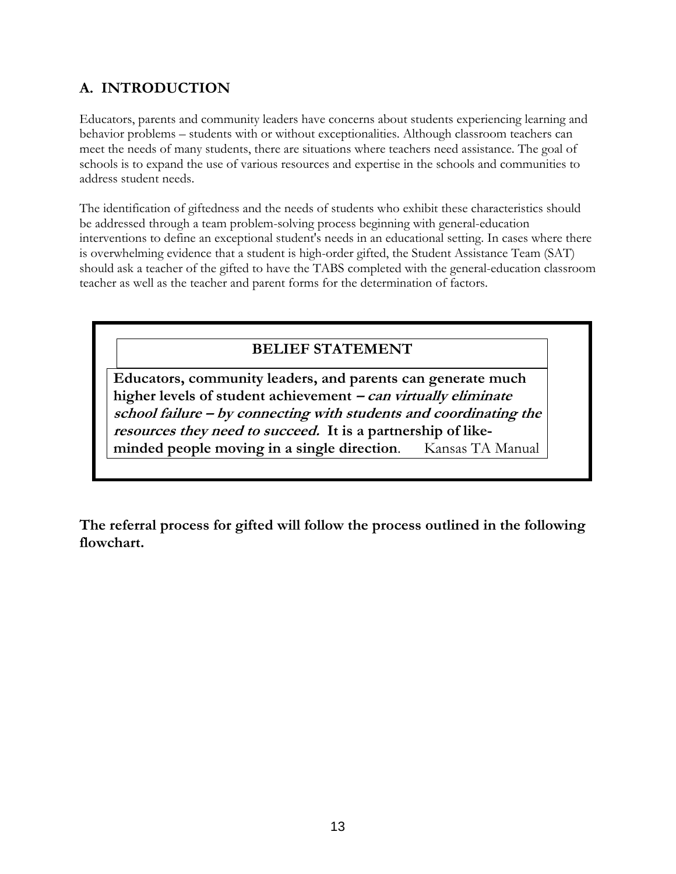# **A. INTRODUCTION**

Educators, parents and community leaders have concerns about students experiencing learning and behavior problems – students with or without exceptionalities. Although classroom teachers can meet the needs of many students, there are situations where teachers need assistance. The goal of schools is to expand the use of various resources and expertise in the schools and communities to address student needs.

The identification of giftedness and the needs of students who exhibit these characteristics should be addressed through a team problem-solving process beginning with general-education interventions to define an exceptional student's needs in an educational setting. In cases where there is overwhelming evidence that a student is high-order gifted, the Student Assistance Team (SAT) should ask a teacher of the gifted to have the TABS completed with the general-education classroom teacher as well as the teacher and parent forms for the determination of factors.

# **BELIEF STATEMENT**

**Educators, community leaders, and parents can generate much higher levels of student achievement – can virtually eliminate school failure – by connecting with students and coordinating the resources they need to succeed. It is a partnership of likeminded people moving in a single direction**. Kansas TA Manual

**The referral process for gifted will follow the process outlined in the following flowchart.**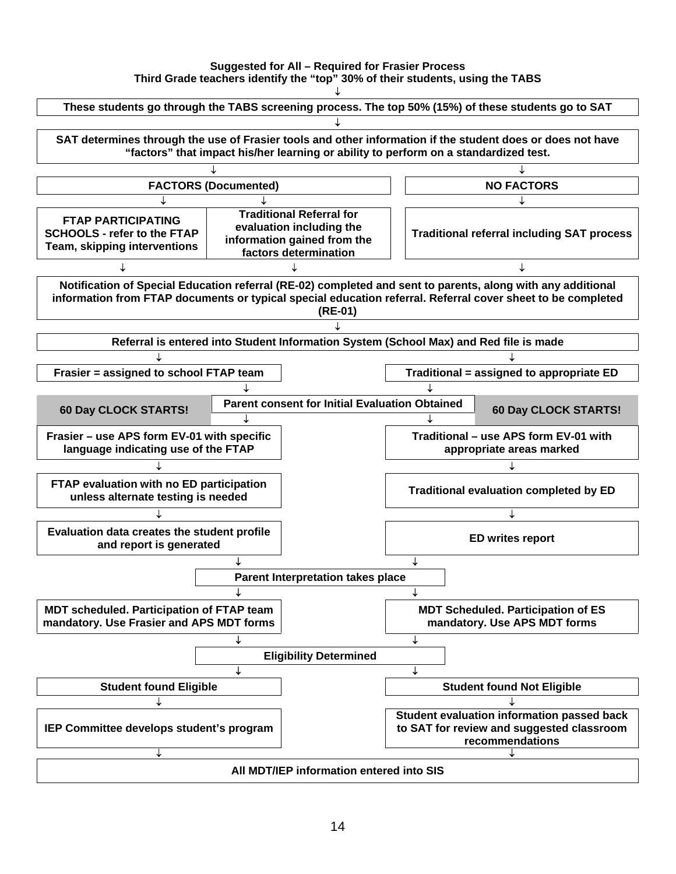#### **Suggested for All – Required for Frasier Process Third Grade teachers identify the "top" 30% of their students, using the TABS**

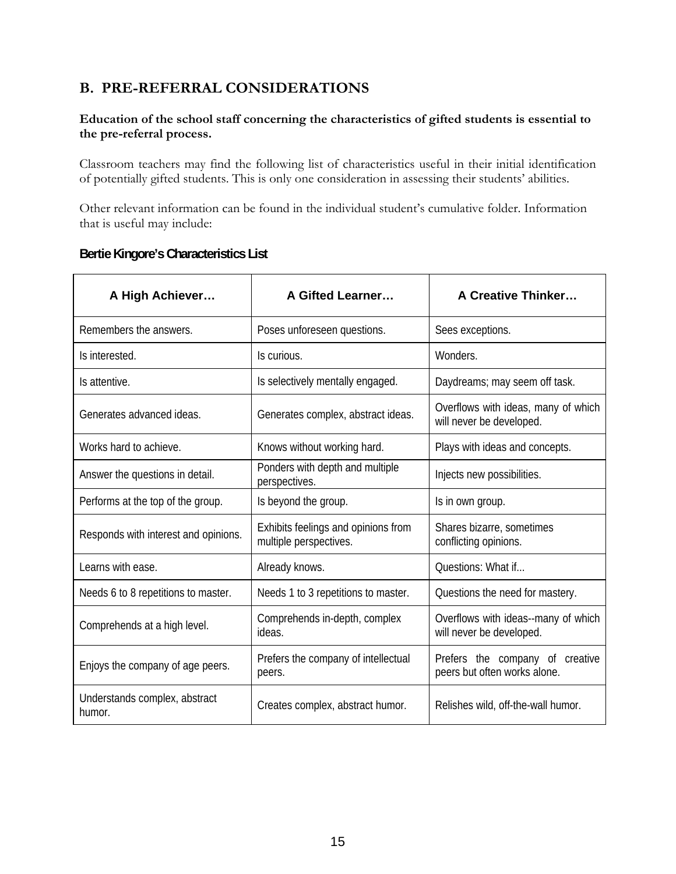# **B. PRE-REFERRAL CONSIDERATIONS**

#### **Education of the school staff concerning the characteristics of gifted students is essential to the pre-referral process.**

Classroom teachers may find the following list of characteristics useful in their initial identification of potentially gifted students. This is only one consideration in assessing their students' abilities.

Other relevant information can be found in the individual student's cumulative folder. Information that is useful may include:

| A High Achiever                         | A Gifted Learner                                              | <b>A Creative Thinker</b>                                       |
|-----------------------------------------|---------------------------------------------------------------|-----------------------------------------------------------------|
| Remembers the answers.                  | Poses unforeseen questions.                                   | Sees exceptions.                                                |
| Is interested.                          | Is curious.                                                   | Wonders.                                                        |
| Is attentive.                           | Is selectively mentally engaged.                              | Daydreams; may seem off task.                                   |
| Generates advanced ideas.               | Generates complex, abstract ideas.                            | Overflows with ideas, many of which<br>will never be developed. |
| Works hard to achieve.                  | Knows without working hard.                                   | Plays with ideas and concepts.                                  |
| Answer the questions in detail.         | Ponders with depth and multiple<br>perspectives.              | Injects new possibilities.                                      |
| Performs at the top of the group.       | Is beyond the group.                                          | Is in own group.                                                |
| Responds with interest and opinions.    | Exhibits feelings and opinions from<br>multiple perspectives. | Shares bizarre, sometimes<br>conflicting opinions.              |
| Learns with ease.                       | Already knows.                                                | Questions: What if                                              |
| Needs 6 to 8 repetitions to master.     | Needs 1 to 3 repetitions to master.                           | Questions the need for mastery.                                 |
| Comprehends at a high level.            | Comprehends in-depth, complex<br>ideas.                       | Overflows with ideas--many of which<br>will never be developed. |
| Enjoys the company of age peers.        | Prefers the company of intellectual<br>peers.                 | Prefers the company of creative<br>peers but often works alone. |
| Understands complex, abstract<br>humor. | Creates complex, abstract humor.                              | Relishes wild, off-the-wall humor.                              |

# **Bertie Kingore's Characteristics List**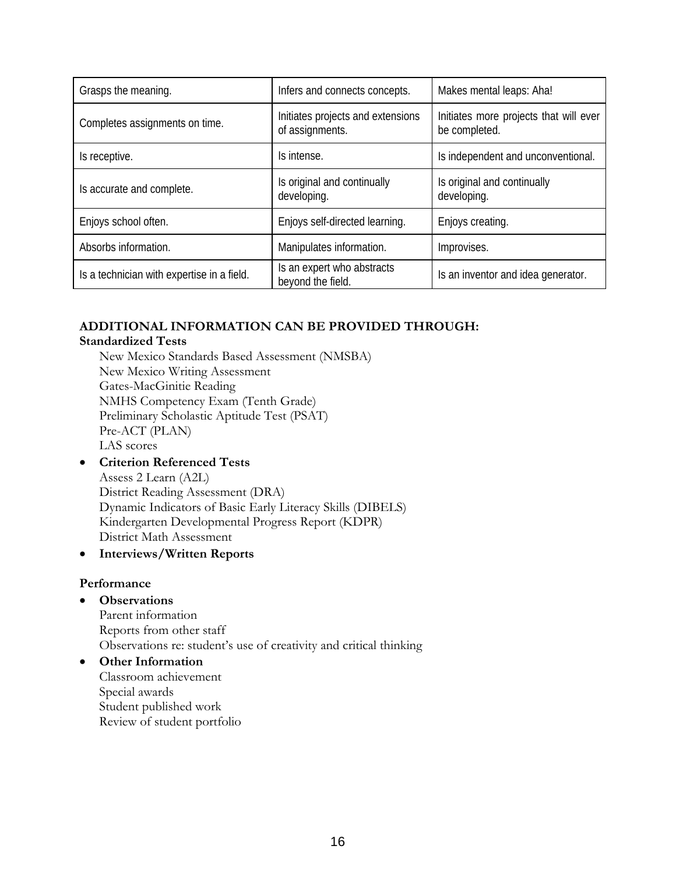| Grasps the meaning.                        | Infers and connects concepts.                        | Makes mental leaps: Aha!                                |
|--------------------------------------------|------------------------------------------------------|---------------------------------------------------------|
| Completes assignments on time.             | Initiates projects and extensions<br>of assignments. | Initiates more projects that will ever<br>be completed. |
| Is receptive.                              | Is intense.                                          | Is independent and unconventional.                      |
| Is accurate and complete.                  | Is original and continually<br>developing.           | Is original and continually<br>developing.              |
| Enjoys school often.                       | Enjoys self-directed learning.                       | Enjoys creating.                                        |
| Absorbs information.                       | Manipulates information.                             | Improvises.                                             |
| Is a technician with expertise in a field. | Is an expert who abstracts<br>beyond the field.      | Is an inventor and idea generator.                      |

# **ADDITIONAL INFORMATION CAN BE PROVIDED THROUGH:**

#### **Standardized Tests**

New Mexico Standards Based Assessment (NMSBA) New Mexico Writing Assessment Gates-MacGinitie Reading NMHS Competency Exam (Tenth Grade) Preliminary Scholastic Aptitude Test (PSAT) Pre-ACT (PLAN) LAS scores

# • **Criterion Referenced Tests**

Assess 2 Learn (A2L) District Reading Assessment (DRA) Dynamic Indicators of Basic Early Literacy Skills (DIBELS) Kindergarten Developmental Progress Report (KDPR) District Math Assessment

# • **Interviews/Written Reports**

#### **Performance**

# • **Observations**

Parent information Reports from other staff Observations re: student's use of creativity and critical thinking

#### • **Other Information**  Classroom achievement Special awards Student published work Review of student portfolio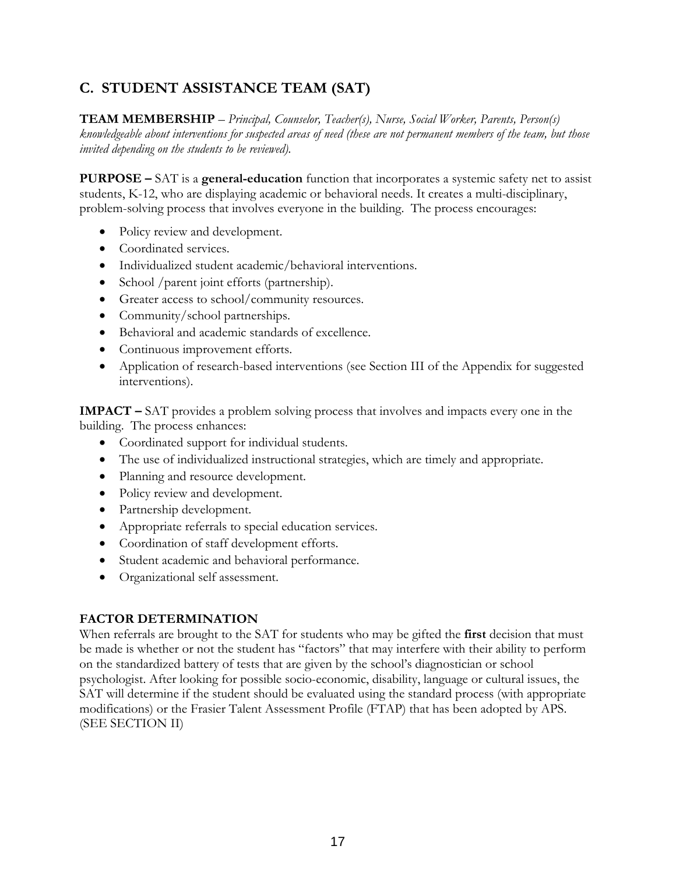# **C. STUDENT ASSISTANCE TEAM (SAT)**

**TEAM MEMBERSHIP** – *Principal, Counselor, Teacher(s), Nurse, Social Worker, Parents, Person(s) knowledgeable about interventions for suspected areas of need (these are not permanent members of the team, but those invited depending on the students to be reviewed).* 

**PURPOSE –** SAT is a **general-education** function that incorporates a systemic safety net to assist students, K-12, who are displaying academic or behavioral needs. It creates a multi-disciplinary, problem-solving process that involves everyone in the building. The process encourages:

- Policy review and development.
- Coordinated services.
- Individualized student academic/behavioral interventions.
- School /parent joint efforts (partnership).
- Greater access to school/community resources.
- Community/school partnerships.
- Behavioral and academic standards of excellence.
- Continuous improvement efforts.
- Application of research-based interventions (see Section III of the Appendix for suggested interventions).

**IMPACT –** SAT provides a problem solving process that involves and impacts every one in the building. The process enhances:

- Coordinated support for individual students.
- The use of individualized instructional strategies, which are timely and appropriate.
- Planning and resource development.
- Policy review and development.
- Partnership development.
- Appropriate referrals to special education services.
- Coordination of staff development efforts.
- Student academic and behavioral performance.
- Organizational self assessment.

# **FACTOR DETERMINATION**

When referrals are brought to the SAT for students who may be gifted the **first** decision that must be made is whether or not the student has "factors" that may interfere with their ability to perform on the standardized battery of tests that are given by the school's diagnostician or school psychologist. After looking for possible socio-economic, disability, language or cultural issues, the SAT will determine if the student should be evaluated using the standard process (with appropriate modifications) or the Frasier Talent Assessment Profile (FTAP) that has been adopted by APS. (SEE SECTION II)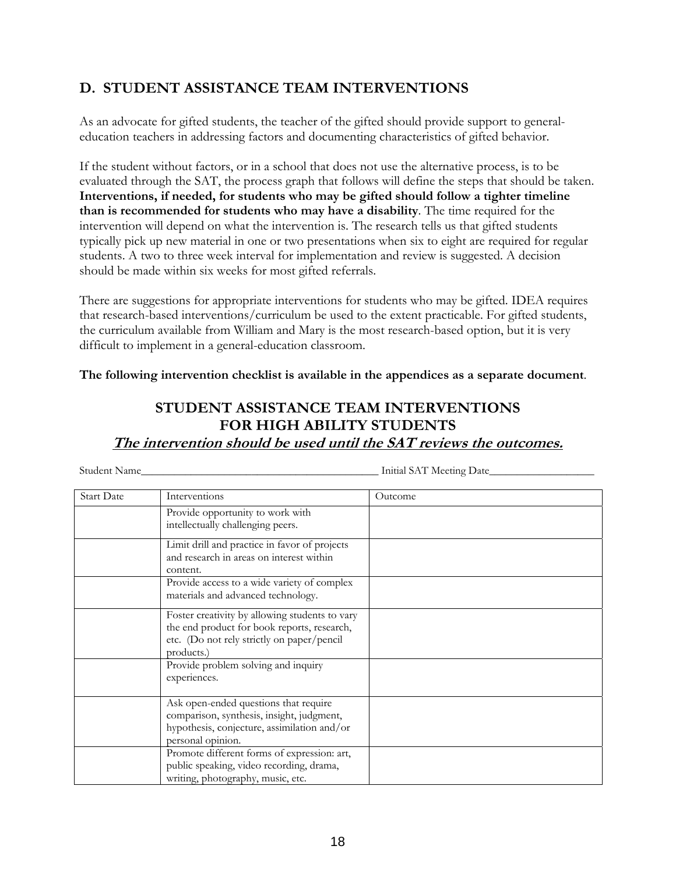# **D. STUDENT ASSISTANCE TEAM INTERVENTIONS**

As an advocate for gifted students, the teacher of the gifted should provide support to generaleducation teachers in addressing factors and documenting characteristics of gifted behavior.

If the student without factors, or in a school that does not use the alternative process, is to be evaluated through the SAT, the process graph that follows will define the steps that should be taken. **Interventions, if needed, for students who may be gifted should follow a tighter timeline than is recommended for students who may have a disability**. The time required for the intervention will depend on what the intervention is. The research tells us that gifted students typically pick up new material in one or two presentations when six to eight are required for regular students. A two to three week interval for implementation and review is suggested. A decision should be made within six weeks for most gifted referrals.

There are suggestions for appropriate interventions for students who may be gifted. IDEA requires that research-based interventions/curriculum be used to the extent practicable. For gifted students, the curriculum available from William and Mary is the most research-based option, but it is very difficult to implement in a general-education classroom.

**The following intervention checklist is available in the appendices as a separate document**.

# **STUDENT ASSISTANCE TEAM INTERVENTIONS FOR HIGH ABILITY STUDENTS The intervention should be used until the SAT reviews the outcomes.**

Student Name\_\_\_\_\_\_\_\_\_\_\_\_\_\_\_\_\_\_\_\_\_\_\_\_\_\_\_\_\_\_\_\_\_\_\_\_\_\_\_\_\_\_\_ Initial SAT Meeting Date\_\_\_\_\_\_\_\_\_\_\_\_\_\_\_\_\_\_\_

| <b>Start Date</b> | Interventions                                                                                                                                             | Outcome |
|-------------------|-----------------------------------------------------------------------------------------------------------------------------------------------------------|---------|
|                   | Provide opportunity to work with<br>intellectually challenging peers.                                                                                     |         |
|                   | Limit drill and practice in favor of projects<br>and research in areas on interest within<br>content.                                                     |         |
|                   | Provide access to a wide variety of complex<br>materials and advanced technology.                                                                         |         |
|                   | Foster creativity by allowing students to vary<br>the end product for book reports, research,<br>etc. (Do not rely strictly on paper/pencil<br>products.) |         |
|                   | Provide problem solving and inquiry<br>experiences.                                                                                                       |         |
|                   | Ask open-ended questions that require<br>comparison, synthesis, insight, judgment,<br>hypothesis, conjecture, assimilation and/or<br>personal opinion.    |         |
|                   | Promote different forms of expression: art,<br>public speaking, video recording, drama,<br>writing, photography, music, etc.                              |         |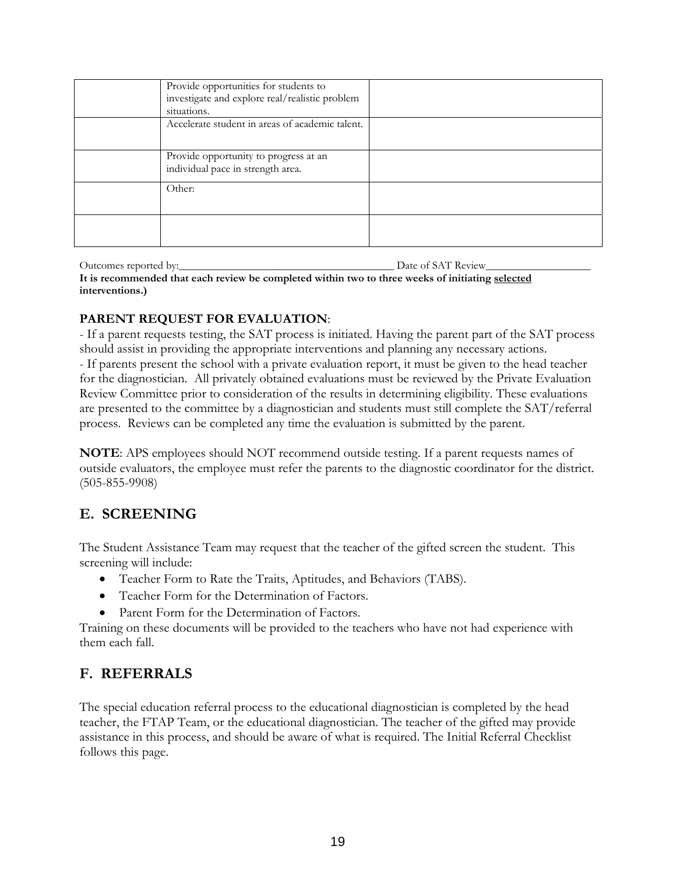| Provide opportunities for students to<br>investigate and explore real/realistic problem<br>situations. |  |
|--------------------------------------------------------------------------------------------------------|--|
| Accelerate student in areas of academic talent.                                                        |  |
| Provide opportunity to progress at an<br>individual pace in strength area.                             |  |
| Other:                                                                                                 |  |
|                                                                                                        |  |

Outcomes reported by:\_\_\_\_\_\_\_\_\_\_\_\_\_\_\_\_\_\_\_\_\_\_\_\_\_\_\_\_\_\_\_\_\_\_\_\_\_\_\_ Date of SAT Review\_\_\_\_\_\_\_\_\_\_\_\_\_\_\_\_\_\_\_ **It is recommended that each review be completed within two to three weeks of initiating selected interventions.)**

# **PARENT REQUEST FOR EVALUATION**:

- If a parent requests testing, the SAT process is initiated. Having the parent part of the SAT process should assist in providing the appropriate interventions and planning any necessary actions. - If parents present the school with a private evaluation report, it must be given to the head teacher for the diagnostician. All privately obtained evaluations must be reviewed by the Private Evaluation Review Committee prior to consideration of the results in determining eligibility. These evaluations are presented to the committee by a diagnostician and students must still complete the SAT/referral process. Reviews can be completed any time the evaluation is submitted by the parent.

**NOTE**: APS employees should NOT recommend outside testing. If a parent requests names of outside evaluators, the employee must refer the parents to the diagnostic coordinator for the district. (505-855-9908)

# **E. SCREENING**

The Student Assistance Team may request that the teacher of the gifted screen the student. This screening will include:

- Teacher Form to Rate the Traits, Aptitudes, and Behaviors (TABS).
- Teacher Form for the Determination of Factors.
- Parent Form for the Determination of Factors.

Training on these documents will be provided to the teachers who have not had experience with them each fall.

# **F. REFERRALS**

The special education referral process to the educational diagnostician is completed by the head teacher, the FTAP Team, or the educational diagnostician. The teacher of the gifted may provide assistance in this process, and should be aware of what is required. The Initial Referral Checklist follows this page.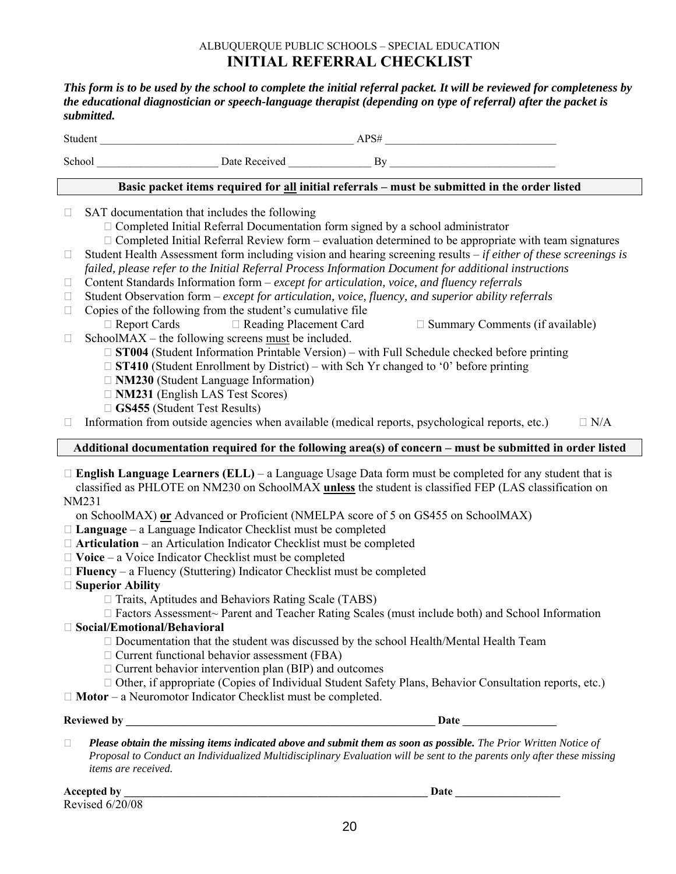# ALBUQUERQUE PUBLIC SCHOOLS – SPECIAL EDUCATION **INITIAL REFERRAL CHECKLIST**

*This form is to be used by the school to complete the initial referral packet. It will be reviewed for completeness by the educational diagnostician or speech-language therapist (depending on type of referral) after the packet is submitted.* 

|                                                                                                                                                                                                                                                                                                                                                                                                                                                                                                                                                                                                                                                                                                                                                                                                                                                                                                                                                                                                                                                                                                                                                                                                                                                                    | $APS#$ $APS#$<br>Student                                                                                                                                                                                                                                                                                                                                                                                                                                                                                                                                                                               |  |  |
|--------------------------------------------------------------------------------------------------------------------------------------------------------------------------------------------------------------------------------------------------------------------------------------------------------------------------------------------------------------------------------------------------------------------------------------------------------------------------------------------------------------------------------------------------------------------------------------------------------------------------------------------------------------------------------------------------------------------------------------------------------------------------------------------------------------------------------------------------------------------------------------------------------------------------------------------------------------------------------------------------------------------------------------------------------------------------------------------------------------------------------------------------------------------------------------------------------------------------------------------------------------------|--------------------------------------------------------------------------------------------------------------------------------------------------------------------------------------------------------------------------------------------------------------------------------------------------------------------------------------------------------------------------------------------------------------------------------------------------------------------------------------------------------------------------------------------------------------------------------------------------------|--|--|
|                                                                                                                                                                                                                                                                                                                                                                                                                                                                                                                                                                                                                                                                                                                                                                                                                                                                                                                                                                                                                                                                                                                                                                                                                                                                    |                                                                                                                                                                                                                                                                                                                                                                                                                                                                                                                                                                                                        |  |  |
|                                                                                                                                                                                                                                                                                                                                                                                                                                                                                                                                                                                                                                                                                                                                                                                                                                                                                                                                                                                                                                                                                                                                                                                                                                                                    | Basic packet items required for all initial referrals - must be submitted in the order listed                                                                                                                                                                                                                                                                                                                                                                                                                                                                                                          |  |  |
| $\Box$<br>Ш                                                                                                                                                                                                                                                                                                                                                                                                                                                                                                                                                                                                                                                                                                                                                                                                                                                                                                                                                                                                                                                                                                                                                                                                                                                        | SAT documentation that includes the following<br>$\Box$ Completed Initial Referral Documentation form signed by a school administrator<br>$\Box$ Completed Initial Referral Review form – evaluation determined to be appropriate with team signatures<br>Student Health Assessment form including vision and hearing screening results $-i f$ either of these screenings is                                                                                                                                                                                                                           |  |  |
| Ш                                                                                                                                                                                                                                                                                                                                                                                                                                                                                                                                                                                                                                                                                                                                                                                                                                                                                                                                                                                                                                                                                                                                                                                                                                                                  | failed, please refer to the Initial Referral Process Information Document for additional instructions<br>Content Standards Information form - except for articulation, voice, and fluency referrals                                                                                                                                                                                                                                                                                                                                                                                                    |  |  |
| Ш<br>Ш                                                                                                                                                                                                                                                                                                                                                                                                                                                                                                                                                                                                                                                                                                                                                                                                                                                                                                                                                                                                                                                                                                                                                                                                                                                             | Student Observation form - except for articulation, voice, fluency, and superior ability referrals<br>Copies of the following from the student's cumulative file                                                                                                                                                                                                                                                                                                                                                                                                                                       |  |  |
| $\Box$                                                                                                                                                                                                                                                                                                                                                                                                                                                                                                                                                                                                                                                                                                                                                                                                                                                                                                                                                                                                                                                                                                                                                                                                                                                             | $\Box$ Report Cards<br>□ Reading Placement Card<br>$\Box$ Summary Comments (if available)<br>SchoolMAX – the following screens $must be included.$<br>$\Box$ ST004 (Student Information Printable Version) – with Full Schedule checked before printing<br>$\Box$ ST410 (Student Enrollment by District) – with Sch Yr changed to '0' before printing<br>$\Box$ NM230 (Student Language Information)<br>$\Box$ NM231 (English LAS Test Scores)<br>$\Box$ GS455 (Student Test Results)<br>Information from outside agencies when available (medical reports, psychological reports, etc.)<br>$\Box$ N/A |  |  |
|                                                                                                                                                                                                                                                                                                                                                                                                                                                                                                                                                                                                                                                                                                                                                                                                                                                                                                                                                                                                                                                                                                                                                                                                                                                                    | Additional documentation required for the following area(s) of concern - must be submitted in order listed                                                                                                                                                                                                                                                                                                                                                                                                                                                                                             |  |  |
| $\Box$ English Language Learners (ELL) – a Language Usage Data form must be completed for any student that is<br>classified as PHLOTE on NM230 on SchoolMAX unless the student is classified FEP (LAS classification on<br>NM231<br>on SchoolMAX) or Advanced or Proficient (NMELPA score of 5 on GS455 on SchoolMAX)<br>$\Box$ Language – a Language Indicator Checklist must be completed<br>$\Box$ Articulation – an Articulation Indicator Checklist must be completed<br>$\Box$ Voice – a Voice Indicator Checklist must be completed<br>$\Box$ Fluency – a Fluency (Stuttering) Indicator Checklist must be completed<br>$\Box$ Superior Ability<br>$\Box$ Traits, Aptitudes and Behaviors Rating Scale (TABS)<br>□ Factors Assessment~ Parent and Teacher Rating Scales (must include both) and School Information<br>$\Box$ Social/Emotional/Behavioral<br>□ Documentation that the student was discussed by the school Health/Mental Health Team<br>$\Box$ Current functional behavior assessment (FBA)<br>$\Box$ Current behavior intervention plan (BIP) and outcomes<br>□ Other, if appropriate (Copies of Individual Student Safety Plans, Behavior Consultation reports, etc.)<br>$\Box$ Motor – a Neuromotor Indicator Checklist must be completed. |                                                                                                                                                                                                                                                                                                                                                                                                                                                                                                                                                                                                        |  |  |
|                                                                                                                                                                                                                                                                                                                                                                                                                                                                                                                                                                                                                                                                                                                                                                                                                                                                                                                                                                                                                                                                                                                                                                                                                                                                    |                                                                                                                                                                                                                                                                                                                                                                                                                                                                                                                                                                                                        |  |  |
| □                                                                                                                                                                                                                                                                                                                                                                                                                                                                                                                                                                                                                                                                                                                                                                                                                                                                                                                                                                                                                                                                                                                                                                                                                                                                  | Please obtain the missing items indicated above and submit them as soon as possible. The Prior Written Notice of<br>Proposal to Conduct an Individualized Multidisciplinary Evaluation will be sent to the parents only after these missing<br>items are received.                                                                                                                                                                                                                                                                                                                                     |  |  |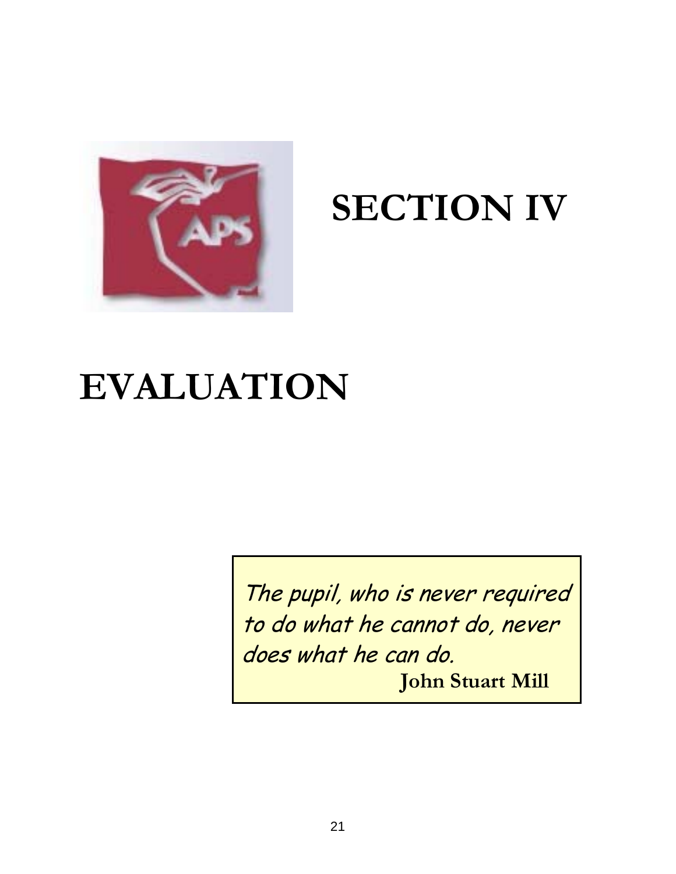

# **SECTION IV**

# **EVALUATION**

The pupil, who is never required to do what he cannot do, never does what he can do. **John Stuart Mill**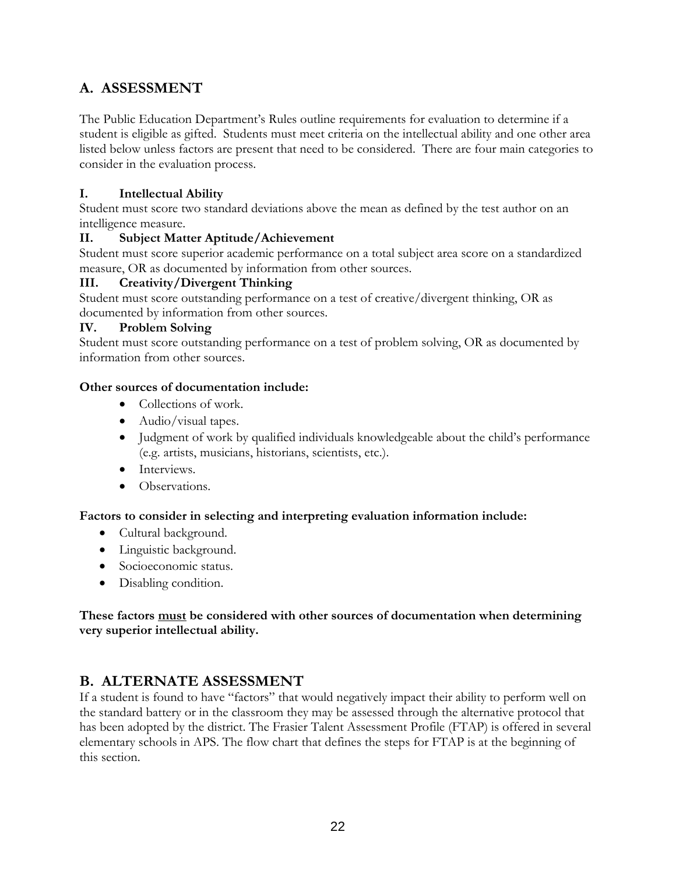# **A. ASSESSMENT**

The Public Education Department's Rules outline requirements for evaluation to determine if a student is eligible as gifted. Students must meet criteria on the intellectual ability and one other area listed below unless factors are present that need to be considered. There are four main categories to consider in the evaluation process.

# **I. Intellectual Ability**

Student must score two standard deviations above the mean as defined by the test author on an intelligence measure.

# **II. Subject Matter Aptitude/Achievement**

Student must score superior academic performance on a total subject area score on a standardized measure, OR as documented by information from other sources.

# **III. Creativity/Divergent Thinking**

Student must score outstanding performance on a test of creative/divergent thinking, OR as documented by information from other sources.

# **IV. Problem Solving**

Student must score outstanding performance on a test of problem solving, OR as documented by information from other sources.

# **Other sources of documentation include:**

- Collections of work.
- Audio/visual tapes.
- Judgment of work by qualified individuals knowledgeable about the child's performance (e.g. artists, musicians, historians, scientists, etc.).
- Interviews.
- Observations.

# **Factors to consider in selecting and interpreting evaluation information include:**

- Cultural background.
- Linguistic background.
- Socioeconomic status.
- Disabling condition.

# **These factors must be considered with other sources of documentation when determining very superior intellectual ability.**

# **B. ALTERNATE ASSESSMENT**

If a student is found to have "factors" that would negatively impact their ability to perform well on the standard battery or in the classroom they may be assessed through the alternative protocol that has been adopted by the district. The Frasier Talent Assessment Profile (FTAP) is offered in several elementary schools in APS. The flow chart that defines the steps for FTAP is at the beginning of this section.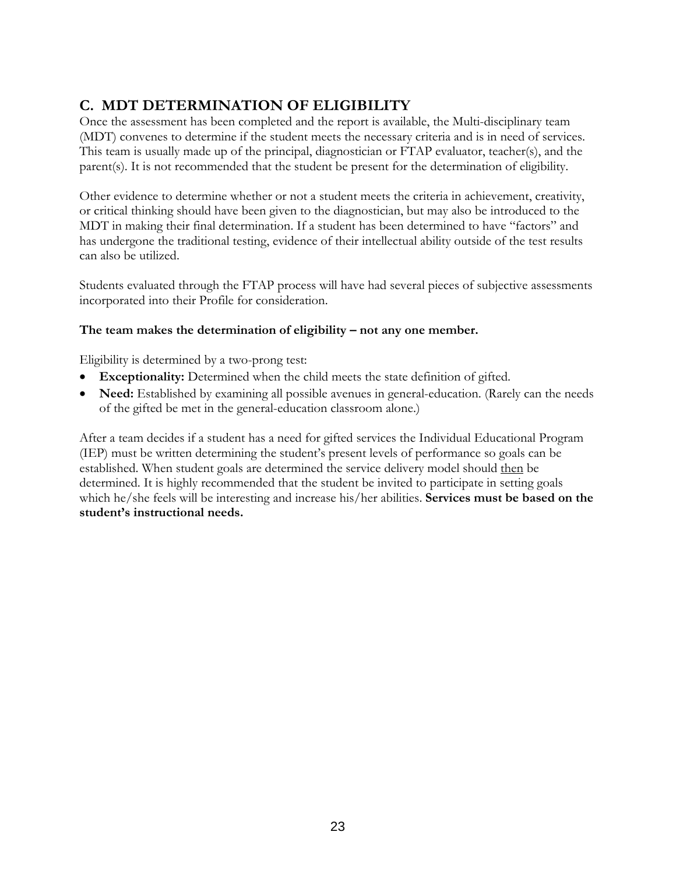# **C. MDT DETERMINATION OF ELIGIBILITY**

Once the assessment has been completed and the report is available, the Multi-disciplinary team (MDT) convenes to determine if the student meets the necessary criteria and is in need of services. This team is usually made up of the principal, diagnostician or FTAP evaluator, teacher(s), and the parent(s). It is not recommended that the student be present for the determination of eligibility.

Other evidence to determine whether or not a student meets the criteria in achievement, creativity, or critical thinking should have been given to the diagnostician, but may also be introduced to the MDT in making their final determination. If a student has been determined to have "factors" and has undergone the traditional testing, evidence of their intellectual ability outside of the test results can also be utilized.

Students evaluated through the FTAP process will have had several pieces of subjective assessments incorporated into their Profile for consideration.

#### **The team makes the determination of eligibility – not any one member.**

Eligibility is determined by a two-prong test:

- **Exceptionality:** Determined when the child meets the state definition of gifted.
- **Need:** Established by examining all possible avenues in general-education. (Rarely can the needs of the gifted be met in the general-education classroom alone.)

After a team decides if a student has a need for gifted services the Individual Educational Program (IEP) must be written determining the student's present levels of performance so goals can be established. When student goals are determined the service delivery model should then be determined. It is highly recommended that the student be invited to participate in setting goals which he/she feels will be interesting and increase his/her abilities. **Services must be based on the student's instructional needs.**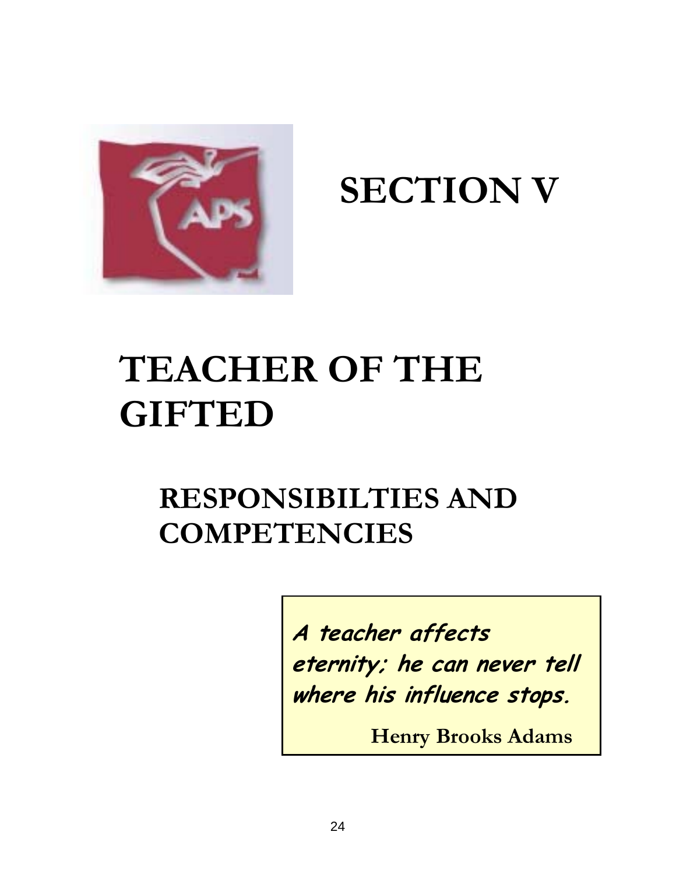

**SECTION V** 

# **TEACHER OF THE GIFTED**

# **RESPONSIBILTIES AND COMPETENCIES**

**A teacher affects eternity; he can never tell where his influence stops.** 

 **Henry Brooks Adams**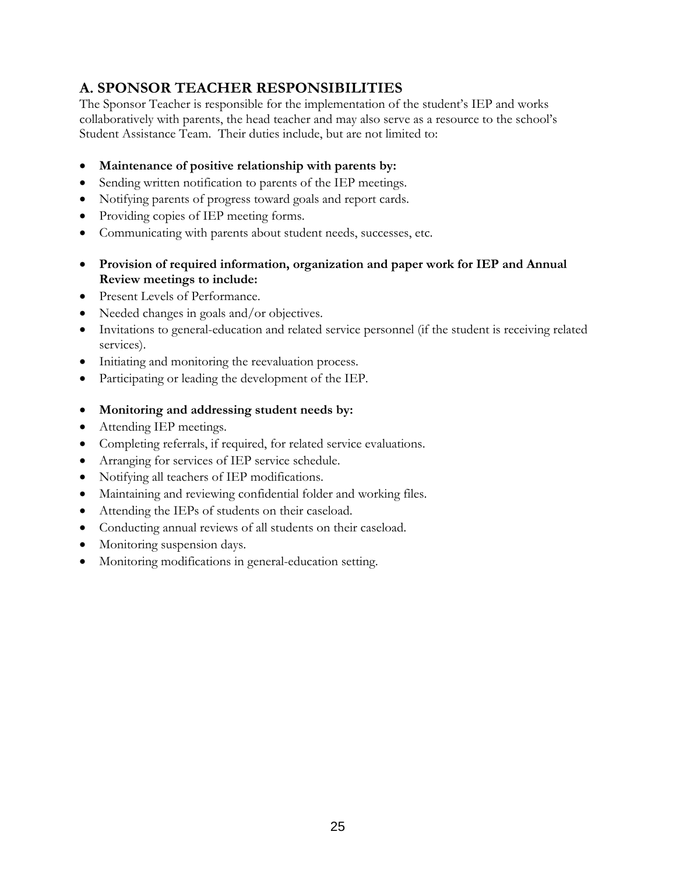# **A. SPONSOR TEACHER RESPONSIBILITIES**

The Sponsor Teacher is responsible for the implementation of the student's IEP and works collaboratively with parents, the head teacher and may also serve as a resource to the school's Student Assistance Team. Their duties include, but are not limited to:

- **Maintenance of positive relationship with parents by:**
- Sending written notification to parents of the IEP meetings.
- Notifying parents of progress toward goals and report cards.
- Providing copies of IEP meeting forms.
- Communicating with parents about student needs, successes, etc.
- **Provision of required information, organization and paper work for IEP and Annual Review meetings to include:**
- Present Levels of Performance.
- Needed changes in goals and/or objectives.
- Invitations to general-education and related service personnel (if the student is receiving related services).
- Initiating and monitoring the reevaluation process.
- Participating or leading the development of the IEP.
- **Monitoring and addressing student needs by:**
- Attending IEP meetings.
- Completing referrals, if required, for related service evaluations.
- Arranging for services of IEP service schedule.
- Notifying all teachers of IEP modifications.
- Maintaining and reviewing confidential folder and working files.
- Attending the IEPs of students on their caseload.
- Conducting annual reviews of all students on their caseload.
- Monitoring suspension days.
- Monitoring modifications in general-education setting.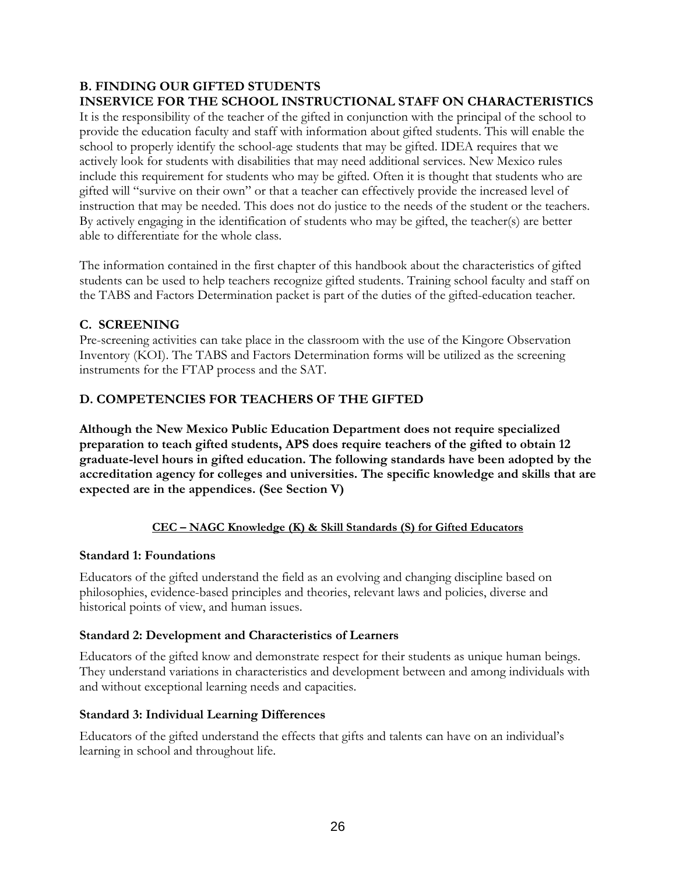#### **B. FINDING OUR GIFTED STUDENTS INSERVICE FOR THE SCHOOL INSTRUCTIONAL STAFF ON CHARACTERISTICS**

It is the responsibility of the teacher of the gifted in conjunction with the principal of the school to provide the education faculty and staff with information about gifted students. This will enable the school to properly identify the school-age students that may be gifted. IDEA requires that we actively look for students with disabilities that may need additional services. New Mexico rules include this requirement for students who may be gifted. Often it is thought that students who are gifted will "survive on their own" or that a teacher can effectively provide the increased level of instruction that may be needed. This does not do justice to the needs of the student or the teachers. By actively engaging in the identification of students who may be gifted, the teacher(s) are better able to differentiate for the whole class.

The information contained in the first chapter of this handbook about the characteristics of gifted students can be used to help teachers recognize gifted students. Training school faculty and staff on the TABS and Factors Determination packet is part of the duties of the gifted-education teacher.

# **C. SCREENING**

Pre-screening activities can take place in the classroom with the use of the Kingore Observation Inventory (KOI). The TABS and Factors Determination forms will be utilized as the screening instruments for the FTAP process and the SAT.

#### **D. COMPETENCIES FOR TEACHERS OF THE GIFTED**

**Although the New Mexico Public Education Department does not require specialized preparation to teach gifted students, APS does require teachers of the gifted to obtain 12 graduate-level hours in gifted education. The following standards have been adopted by the accreditation agency for colleges and universities. The specific knowledge and skills that are expected are in the appendices. (See Section V)** 

#### **CEC – NAGC Knowledge (K) & Skill Standards (S) for Gifted Educators**

#### **Standard 1: Foundations**

Educators of the gifted understand the field as an evolving and changing discipline based on philosophies, evidence-based principles and theories, relevant laws and policies, diverse and historical points of view, and human issues.

#### **Standard 2: Development and Characteristics of Learners**

Educators of the gifted know and demonstrate respect for their students as unique human beings. They understand variations in characteristics and development between and among individuals with and without exceptional learning needs and capacities.

#### **Standard 3: Individual Learning Differences**

Educators of the gifted understand the effects that gifts and talents can have on an individual's learning in school and throughout life.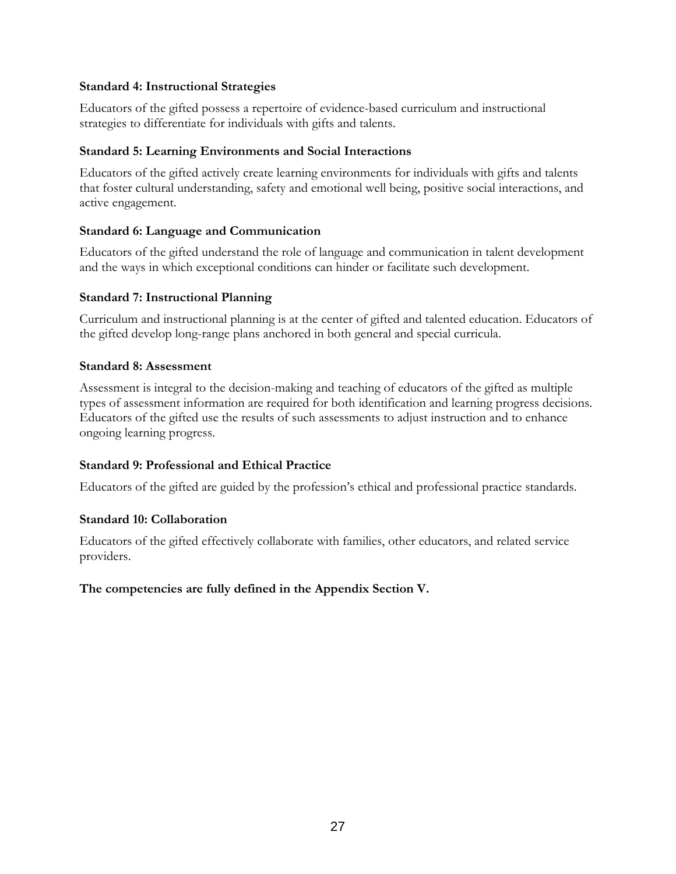#### **Standard 4: Instructional Strategies**

Educators of the gifted possess a repertoire of evidence-based curriculum and instructional strategies to differentiate for individuals with gifts and talents.

#### **Standard 5: Learning Environments and Social Interactions**

Educators of the gifted actively create learning environments for individuals with gifts and talents that foster cultural understanding, safety and emotional well being, positive social interactions, and active engagement.

# **Standard 6: Language and Communication**

Educators of the gifted understand the role of language and communication in talent development and the ways in which exceptional conditions can hinder or facilitate such development.

# **Standard 7: Instructional Planning**

Curriculum and instructional planning is at the center of gifted and talented education. Educators of the gifted develop long-range plans anchored in both general and special curricula.

#### **Standard 8: Assessment**

Assessment is integral to the decision-making and teaching of educators of the gifted as multiple types of assessment information are required for both identification and learning progress decisions. Educators of the gifted use the results of such assessments to adjust instruction and to enhance ongoing learning progress.

# **Standard 9: Professional and Ethical Practice**

Educators of the gifted are guided by the profession's ethical and professional practice standards.

# **Standard 10: Collaboration**

Educators of the gifted effectively collaborate with families, other educators, and related service providers.

# **The competencies are fully defined in the Appendix Section V.**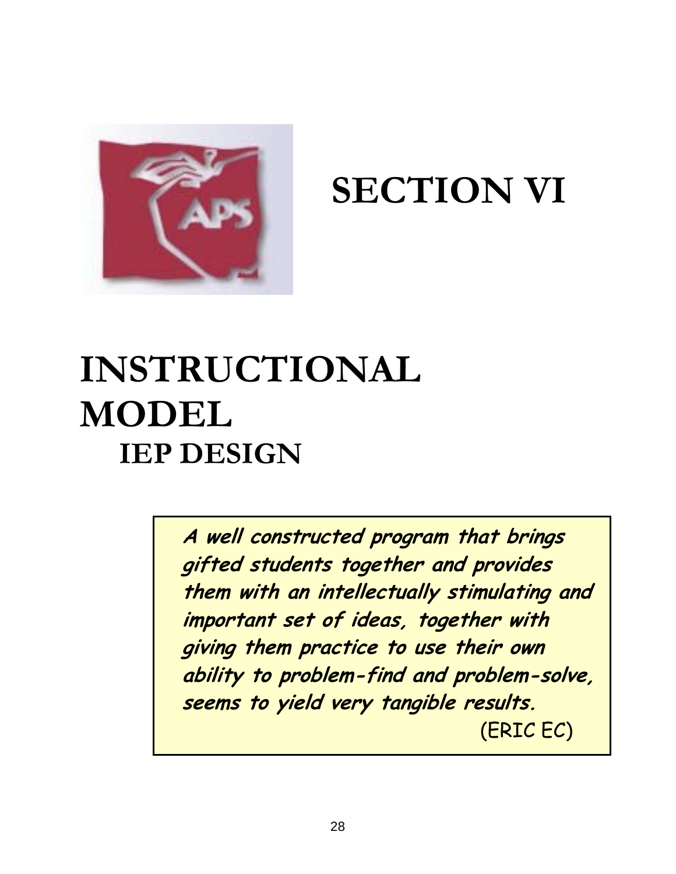

# **SECTION VI**

# **INSTRUCTIONAL MODEL IEP DESIGN**

**A well constructed program that brings gifted students together and provides them with an intellectually stimulating and important set of ideas, together with giving them practice to use their own ability to problem-find and problem-solve, seems to yield very tangible results.** (ERIC EC)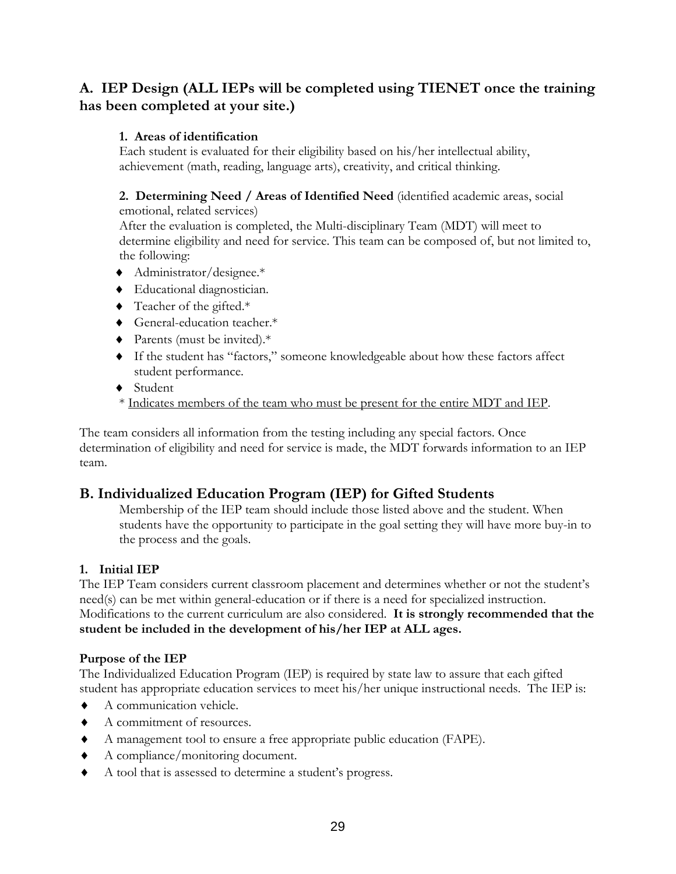# **A. IEP Design (ALL IEPs will be completed using TIENET once the training has been completed at your site.)**

# **1. Areas of identification**

Each student is evaluated for their eligibility based on his/her intellectual ability, achievement (math, reading, language arts), creativity, and critical thinking.

# **2. Determining Need / Areas of Identified Need** (identified academic areas, social

emotional, related services) After the evaluation is completed, the Multi-disciplinary Team (MDT) will meet to determine eligibility and need for service. This team can be composed of, but not limited to, the following:

- ♦ Administrator/designee.\*
- ♦ Educational diagnostician.
- ♦ Teacher of the gifted.\*
- ♦ General-education teacher.\*
- ♦ Parents (must be invited).\*
- ♦ If the student has "factors," someone knowledgeable about how these factors affect student performance.
- ♦ Student
- \* Indicates members of the team who must be present for the entire MDT and IEP.

The team considers all information from the testing including any special factors. Once determination of eligibility and need for service is made, the MDT forwards information to an IEP team.

# **B. Individualized Education Program (IEP) for Gifted Students**

Membership of the IEP team should include those listed above and the student. When students have the opportunity to participate in the goal setting they will have more buy-in to the process and the goals.

# **1. Initial IEP**

The IEP Team considers current classroom placement and determines whether or not the student's need(s) can be met within general-education or if there is a need for specialized instruction. Modifications to the current curriculum are also considered. **It is strongly recommended that the student be included in the development of his/her IEP at ALL ages.** 

# **Purpose of the IEP**

The Individualized Education Program (IEP) is required by state law to assure that each gifted student has appropriate education services to meet his/her unique instructional needs. The IEP is:

- ♦ A communication vehicle.
- ♦ A commitment of resources.
- ♦ A management tool to ensure a free appropriate public education (FAPE).
- ♦ A compliance/monitoring document.
- ♦ A tool that is assessed to determine a student's progress.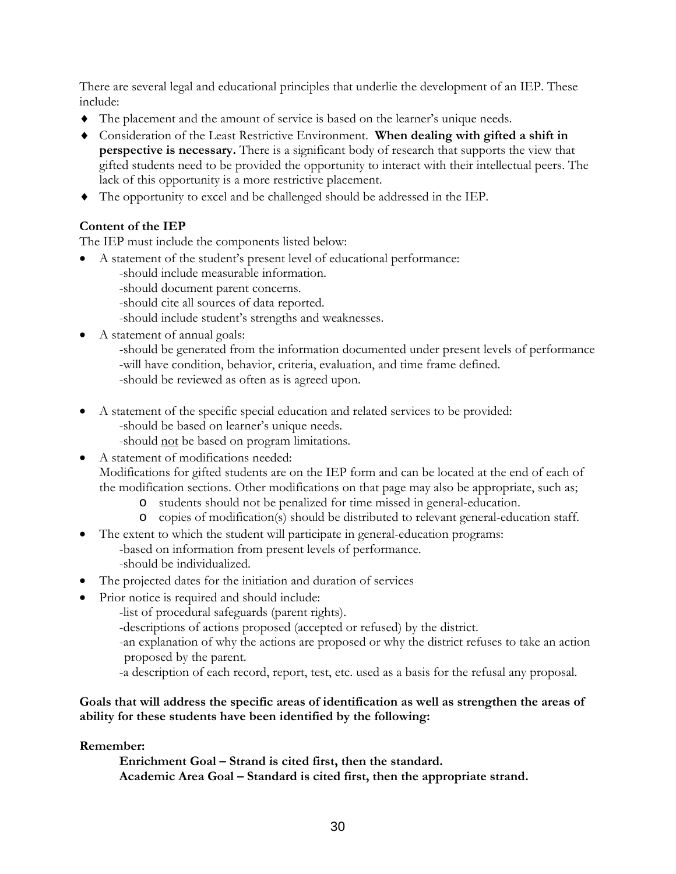There are several legal and educational principles that underlie the development of an IEP. These include:

- ♦ The placement and the amount of service is based on the learner's unique needs.
- ♦ Consideration of the Least Restrictive Environment. **When dealing with gifted a shift in perspective is necessary.** There is a significant body of research that supports the view that gifted students need to be provided the opportunity to interact with their intellectual peers. The lack of this opportunity is a more restrictive placement.
- ♦ The opportunity to excel and be challenged should be addressed in the IEP.

# **Content of the IEP**

The IEP must include the components listed below:

- A statement of the student's present level of educational performance:
	- -should include measurable information.
	- -should document parent concerns.
	- -should cite all sources of data reported.
	- -should include student's strengths and weaknesses.
- A statement of annual goals:
	- -should be generated from the information documented under present levels of performance -will have condition, behavior, criteria, evaluation, and time frame defined.
	- -should be reviewed as often as is agreed upon.
- A statement of the specific special education and related services to be provided: -should be based on learner's unique needs.
	- -should not be based on program limitations.
- A statement of modifications needed: Modifications for gifted students are on the IEP form and can be located at the end of each of the modification sections. Other modifications on that page may also be appropriate, such as;
	- o students should not be penalized for time missed in general-education.
	- o copies of modification(s) should be distributed to relevant general-education staff.
	- The extent to which the student will participate in general-education programs:
		- -based on information from present levels of performance. -should be individualized.
- The projected dates for the initiation and duration of services
- Prior notice is required and should include:
	- -list of procedural safeguards (parent rights).
	- -descriptions of actions proposed (accepted or refused) by the district.
	- -an explanation of why the actions are proposed or why the district refuses to take an action proposed by the parent.
	- -a description of each record, report, test, etc. used as a basis for the refusal any proposal.

#### **Goals that will address the specific areas of identification as well as strengthen the areas of ability for these students have been identified by the following:**

#### **Remember:**

•

 **Enrichment Goal – Strand is cited first, then the standard. Academic Area Goal – Standard is cited first, then the appropriate strand.**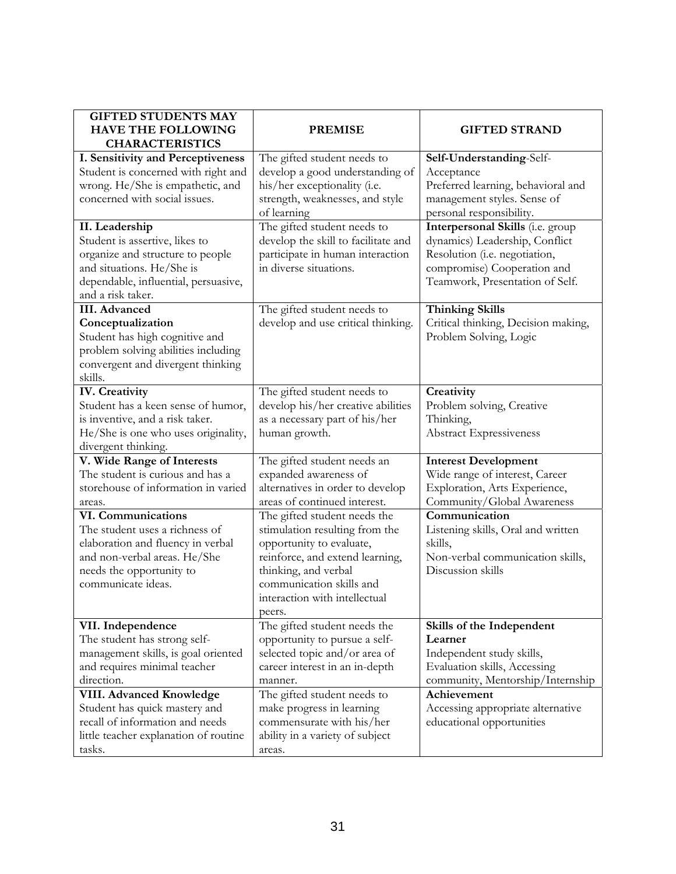| <b>GIFTED STUDENTS MAY</b><br><b>HAVE THE FOLLOWING</b>       | <b>PREMISE</b>                                             | <b>GIFTED STRAND</b>                                         |
|---------------------------------------------------------------|------------------------------------------------------------|--------------------------------------------------------------|
| <b>CHARACTERISTICS</b>                                        |                                                            |                                                              |
| I. Sensitivity and Perceptiveness                             | The gifted student needs to                                | Self-Understanding-Self-                                     |
| Student is concerned with right and                           | develop a good understanding of                            | Acceptance                                                   |
| wrong. He/She is empathetic, and                              | his/her exceptionality (i.e.                               | Preferred learning, behavioral and                           |
| concerned with social issues.                                 | strength, weaknesses, and style                            | management styles. Sense of                                  |
|                                                               | of learning                                                | personal responsibility.                                     |
| II. Leadership                                                | The gifted student needs to                                | Interpersonal Skills (i.e. group                             |
| Student is assertive, likes to                                | develop the skill to facilitate and                        | dynamics) Leadership, Conflict                               |
| organize and structure to people<br>and situations. He/She is | participate in human interaction<br>in diverse situations. | Resolution (i.e. negotiation,<br>compromise) Cooperation and |
| dependable, influential, persuasive,                          |                                                            | Teamwork, Presentation of Self.                              |
| and a risk taker.                                             |                                                            |                                                              |
| <b>III.</b> Advanced                                          | The gifted student needs to                                | <b>Thinking Skills</b>                                       |
| Conceptualization                                             | develop and use critical thinking.                         | Critical thinking, Decision making,                          |
| Student has high cognitive and                                |                                                            | Problem Solving, Logic                                       |
| problem solving abilities including                           |                                                            |                                                              |
| convergent and divergent thinking                             |                                                            |                                                              |
| skills.                                                       |                                                            |                                                              |
| <b>IV.</b> Creativity                                         | The gifted student needs to                                | Creativity                                                   |
| Student has a keen sense of humor,                            | develop his/her creative abilities                         | Problem solving, Creative                                    |
| is inventive, and a risk taker.                               | as a necessary part of his/her                             | Thinking,                                                    |
| He/She is one who uses originality,                           | human growth.                                              | <b>Abstract Expressiveness</b>                               |
| divergent thinking.                                           |                                                            |                                                              |
| V. Wide Range of Interests                                    | The gifted student needs an                                | <b>Interest Development</b>                                  |
| The student is curious and has a                              | expanded awareness of                                      | Wide range of interest, Career                               |
| storehouse of information in varied                           | alternatives in order to develop                           | Exploration, Arts Experience,                                |
| areas.                                                        | areas of continued interest.                               | Community/Global Awareness                                   |
| VI. Communications                                            | The gifted student needs the                               | Communication                                                |
| The student uses a richness of                                | stimulation resulting from the                             | Listening skills, Oral and written                           |
| elaboration and fluency in verbal                             | opportunity to evaluate,                                   | skills,                                                      |
| and non-verbal areas. He/She                                  | reinforce, and extend learning,                            | Non-verbal communication skills,                             |
| needs the opportunity to<br>communicate ideas.                | thinking, and verbal<br>communication skills and           | Discussion skills                                            |
|                                                               | interaction with intellectual                              |                                                              |
|                                                               |                                                            |                                                              |
| VII. Independence                                             | peers.<br>The gifted student needs the                     | Skills of the Independent                                    |
| The student has strong self-                                  | opportunity to pursue a self-                              | Learner                                                      |
| management skills, is goal oriented                           | selected topic and/or area of                              | Independent study skills,                                    |
| and requires minimal teacher                                  | career interest in an in-depth                             | Evaluation skills, Accessing                                 |
| direction.                                                    | manner.                                                    | community, Mentorship/Internship                             |
| <b>VIII. Advanced Knowledge</b>                               | The gifted student needs to                                | Achievement                                                  |
| Student has quick mastery and                                 | make progress in learning                                  | Accessing appropriate alternative                            |
| recall of information and needs                               | commensurate with his/her                                  | educational opportunities                                    |
| little teacher explanation of routine                         | ability in a variety of subject                            |                                                              |
| tasks.                                                        | areas.                                                     |                                                              |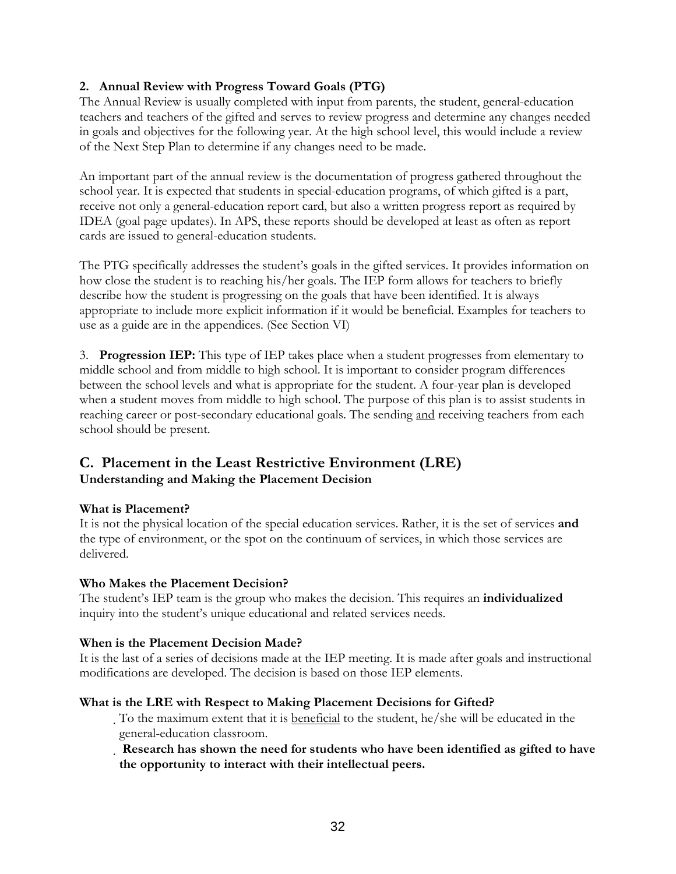#### **2. Annual Review with Progress Toward Goals (PTG)**

The Annual Review is usually completed with input from parents, the student, general-education teachers and teachers of the gifted and serves to review progress and determine any changes needed in goals and objectives for the following year. At the high school level, this would include a review of the Next Step Plan to determine if any changes need to be made.

An important part of the annual review is the documentation of progress gathered throughout the school year. It is expected that students in special-education programs, of which gifted is a part, receive not only a general-education report card, but also a written progress report as required by IDEA (goal page updates). In APS, these reports should be developed at least as often as report cards are issued to general-education students.

The PTG specifically addresses the student's goals in the gifted services. It provides information on how close the student is to reaching his/her goals. The IEP form allows for teachers to briefly describe how the student is progressing on the goals that have been identified. It is always appropriate to include more explicit information if it would be beneficial. Examples for teachers to use as a guide are in the appendices. (See Section VI)

3. **Progression IEP:** This type of IEP takes place when a student progresses from elementary to middle school and from middle to high school. It is important to consider program differences between the school levels and what is appropriate for the student. A four-year plan is developed when a student moves from middle to high school. The purpose of this plan is to assist students in reaching career or post-secondary educational goals. The sending and receiving teachers from each school should be present.

#### **C. Placement in the Least Restrictive Environment (LRE) Understanding and Making the Placement Decision**

#### **What is Placement?**

It is not the physical location of the special education services. Rather, it is the set of services **and**  the type of environment, or the spot on the continuum of services, in which those services are delivered.

#### **Who Makes the Placement Decision?**

The student's IEP team is the group who makes the decision. This requires an **individualized**  inquiry into the student's unique educational and related services needs.

#### **When is the Placement Decision Made?**

It is the last of a series of decisions made at the IEP meeting. It is made after goals and instructional modifications are developed. The decision is based on those IEP elements.

#### **What is the LRE with Respect to Making Placement Decisions for Gifted?**

To the maximum extent that it is beneficial to the student, he/she will be educated in the general-education classroom.

 **Research has shown the need for students who have been identified as gifted to have the opportunity to interact with their intellectual peers.**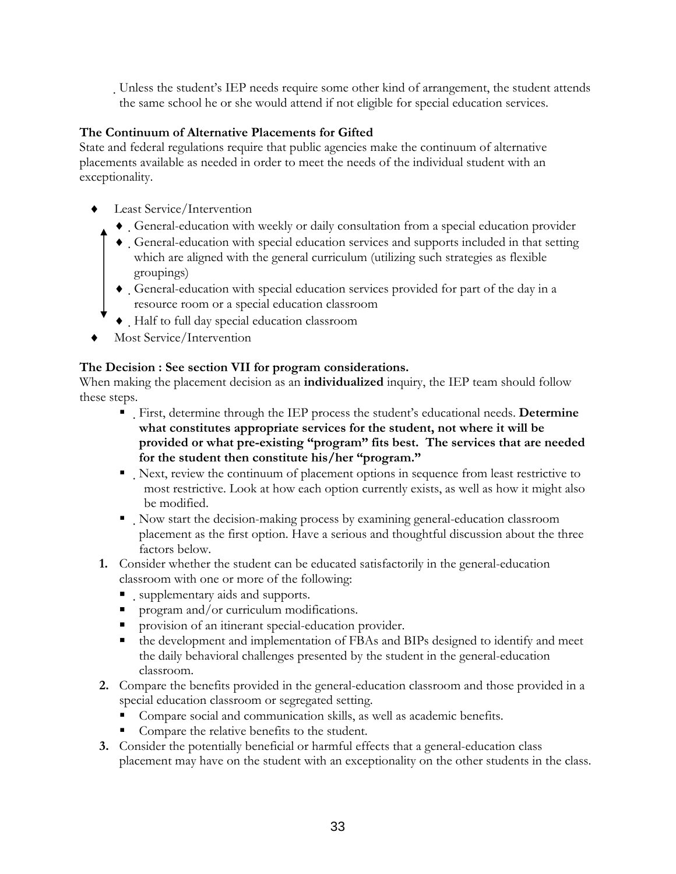Unless the student's IEP needs require some other kind of arrangement, the student attends the same school he or she would attend if not eligible for special education services.

#### **The Continuum of Alternative Placements for Gifted**

State and federal regulations require that public agencies make the continuum of alternative placements available as needed in order to meet the needs of the individual student with an exceptionality.

- ♦ Least Service/Intervention
	- ♦ General-education with weekly or daily consultation from a special education provider
	- ♦ General-education with special education services and supports included in that setting which are aligned with the general curriculum (utilizing such strategies as flexible groupings)
	- ♦ General-education with special education services provided for part of the day in a resource room or a special education classroom
	- ♦ Half to full day special education classroom
- Most Service/Intervention

#### **The Decision : See section VII for program considerations.**

When making the placement decision as an **individualized** inquiry, the IEP team should follow these steps.

- First, determine through the IEP process the student's educational needs. **Determine what constitutes appropriate services for the student, not where it will be provided or what pre-existing "program" fits best. The services that are needed for the student then constitute his/her "program."**
- Next, review the continuum of placement options in sequence from least restrictive to most restrictive. Look at how each option currently exists, as well as how it might also be modified.
- Now start the decision-making process by examining general-education classroom placement as the first option. Have a serious and thoughtful discussion about the three factors below.
- **1.** Consider whether the student can be educated satisfactorily in the general-education classroom with one or more of the following:
	- supplementary aids and supports.
	- **program and/or curriculum modifications.**
	- **Peropension of an itinerant special-education provider.**
	- the development and implementation of FBAs and BIPs designed to identify and meet the daily behavioral challenges presented by the student in the general-education classroom.
- **2.** Compare the benefits provided in the general-education classroom and those provided in a special education classroom or segregated setting.
	- Compare social and communication skills, as well as academic benefits.
	- Compare the relative benefits to the student.
- **3.** Consider the potentially beneficial or harmful effects that a general-education class placement may have on the student with an exceptionality on the other students in the class.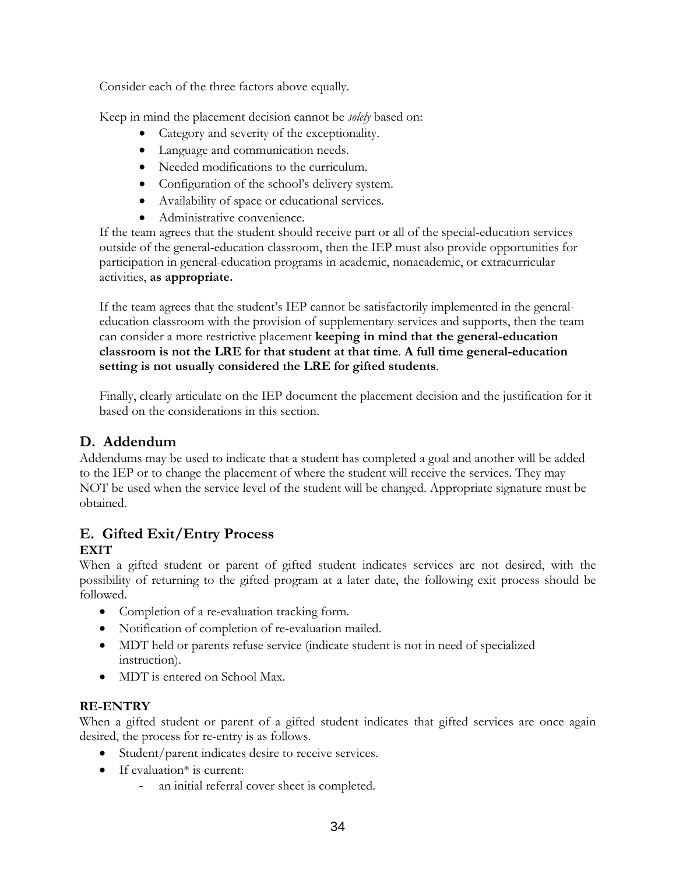Consider each of the three factors above equally.

Keep in mind the placement decision cannot be *solely* based on:

- Category and severity of the exceptionality.
- Language and communication needs.
- Needed modifications to the curriculum.
- Configuration of the school's delivery system.
- Availability of space or educational services.
- Administrative convenience.

If the team agrees that the student should receive part or all of the special-education services outside of the general-education classroom, then the IEP must also provide opportunities for participation in general-education programs in academic, nonacademic, or extracurricular activities, **as appropriate.** 

If the team agrees that the student's IEP cannot be satisfactorily implemented in the generaleducation classroom with the provision of supplementary services and supports, then the team can consider a more restrictive placement **keeping in mind that the general-education classroom is not the LRE for that student at that time**. **A full time general-education setting is not usually considered the LRE for gifted students**.

Finally, clearly articulate on the IEP document the placement decision and the justification for it based on the considerations in this section.

#### **D. Addendum**

Addendums may be used to indicate that a student has completed a goal and another will be added to the IEP or to change the placement of where the student will receive the services. They may NOT be used when the service level of the student will be changed. Appropriate signature must be obtained.

#### **E. Gifted Exit/Entry Process EXIT**

When a gifted student or parent of gifted student indicates services are not desired, with the possibility of returning to the gifted program at a later date, the following exit process should be followed.

- Completion of a re-evaluation tracking form.
- Notification of completion of re-evaluation mailed.
- MDT held or parents refuse service (indicate student is not in need of specialized instruction).
- MDT is entered on School Max.

#### **RE-ENTRY**

When a gifted student or parent of a gifted student indicates that gifted services are once again desired, the process for re-entry is as follows.

- Student/parent indicates desire to receive services.
- If evaluation<sup>\*</sup> is current:
	- an initial referral cover sheet is completed.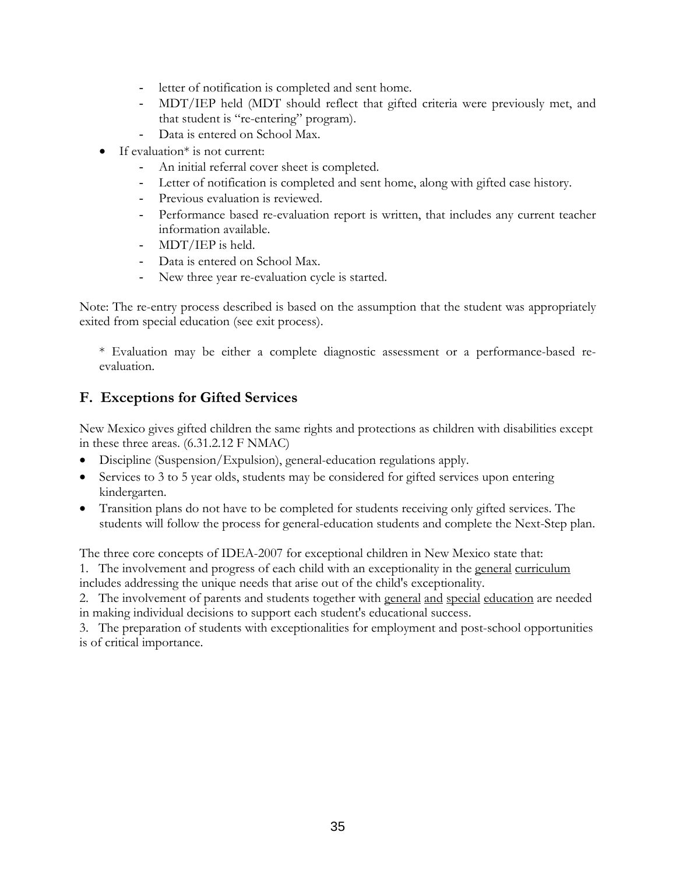- letter of notification is completed and sent home.
- MDT/IEP held (MDT should reflect that gifted criteria were previously met, and that student is "re-entering" program).
- Data is entered on School Max.
- If evaluation\* is not current:
	- An initial referral cover sheet is completed.
	- Letter of notification is completed and sent home, along with gifted case history.
	- Previous evaluation is reviewed.
	- Performance based re-evaluation report is written, that includes any current teacher information available.
	- MDT/IEP is held.
	- Data is entered on School Max.
	- New three year re-evaluation cycle is started.

Note: The re-entry process described is based on the assumption that the student was appropriately exited from special education (see exit process).

\* Evaluation may be either a complete diagnostic assessment or a performance-based reevaluation.

#### **F. Exceptions for Gifted Services**

New Mexico gives gifted children the same rights and protections as children with disabilities except in these three areas. (6.31.2.12 F NMAC)

- Discipline (Suspension/Expulsion), general-education regulations apply.
- Services to 3 to 5 year olds, students may be considered for gifted services upon entering kindergarten.
- Transition plans do not have to be completed for students receiving only gifted services. The students will follow the process for general-education students and complete the Next-Step plan.

The three core concepts of IDEA-2007 for exceptional children in New Mexico state that:

1. The involvement and progress of each child with an exceptionality in the general curriculum includes addressing the unique needs that arise out of the child's exceptionality.

2. The involvement of parents and students together with general and special education are needed in making individual decisions to support each student's educational success.

3. The preparation of students with exceptionalities for employment and post-school opportunities is of critical importance.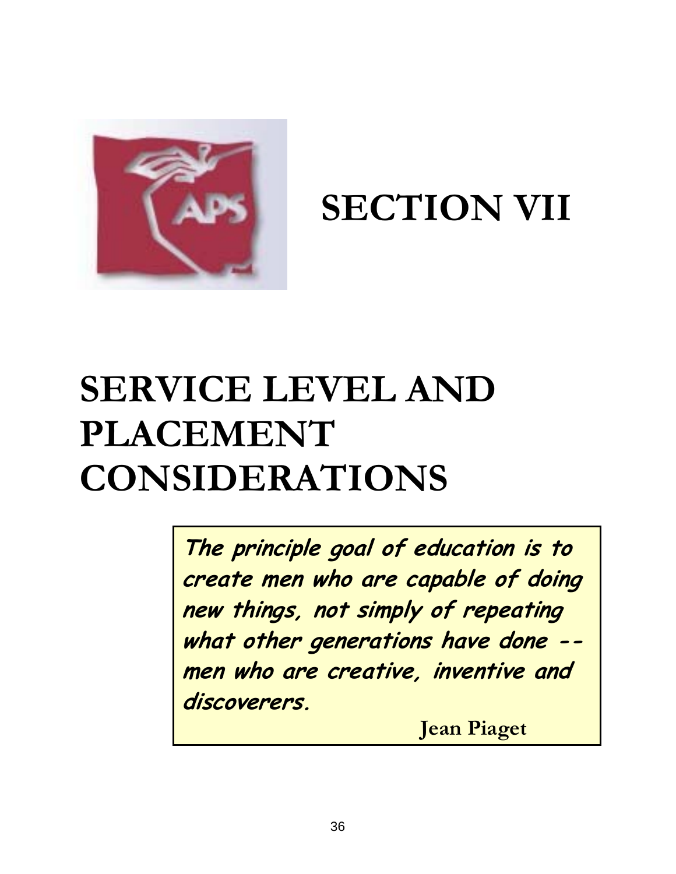

**SECTION VII** 

## **SERVICE LEVEL AND PLACEMENT CONSIDERATIONS**

**The principle goal of education is to create men who are capable of doing new things, not simply of repeating what other generations have done - men who are creative, inventive and discoverers.** 

**Jean Piaget**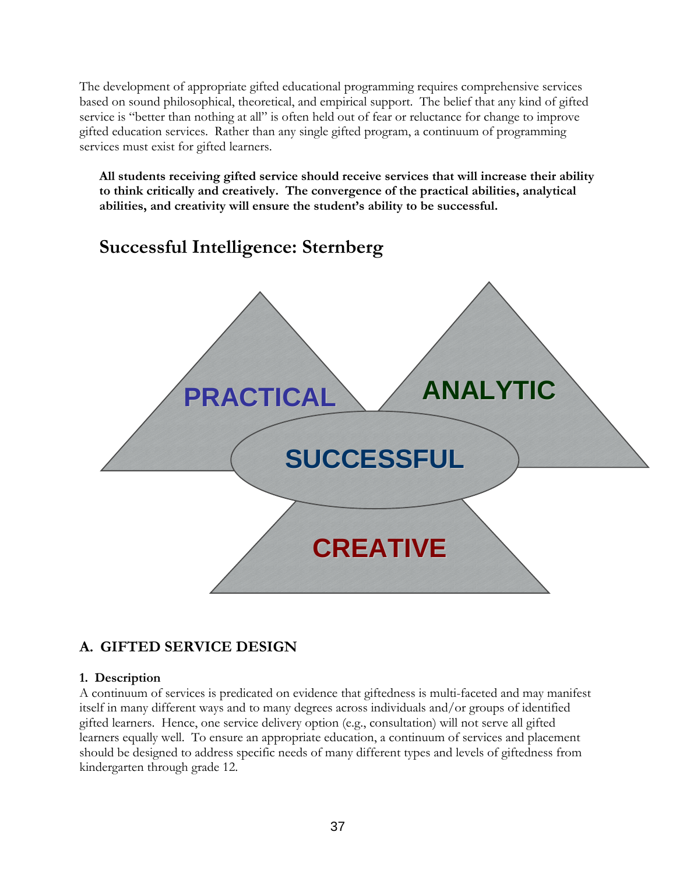The development of appropriate gifted educational programming requires comprehensive services based on sound philosophical, theoretical, and empirical support. The belief that any kind of gifted service is "better than nothing at all" is often held out of fear or reluctance for change to improve gifted education services. Rather than any single gifted program, a continuum of programming services must exist for gifted learners.

**All students receiving gifted service should receive services that will increase their ability to think critically and creatively. The convergence of the practical abilities, analytical abilities, and creativity will ensure the student's ability to be successful.** 

### **Successful Intelligence: Sternberg**



#### **A. GIFTED SERVICE DESIGN**

#### **1. Description**

A continuum of services is predicated on evidence that giftedness is multi-faceted and may manifest itself in many different ways and to many degrees across individuals and/or groups of identified gifted learners. Hence, one service delivery option (e.g., consultation) will not serve all gifted learners equally well. To ensure an appropriate education, a continuum of services and placement should be designed to address specific needs of many different types and levels of giftedness from kindergarten through grade 12.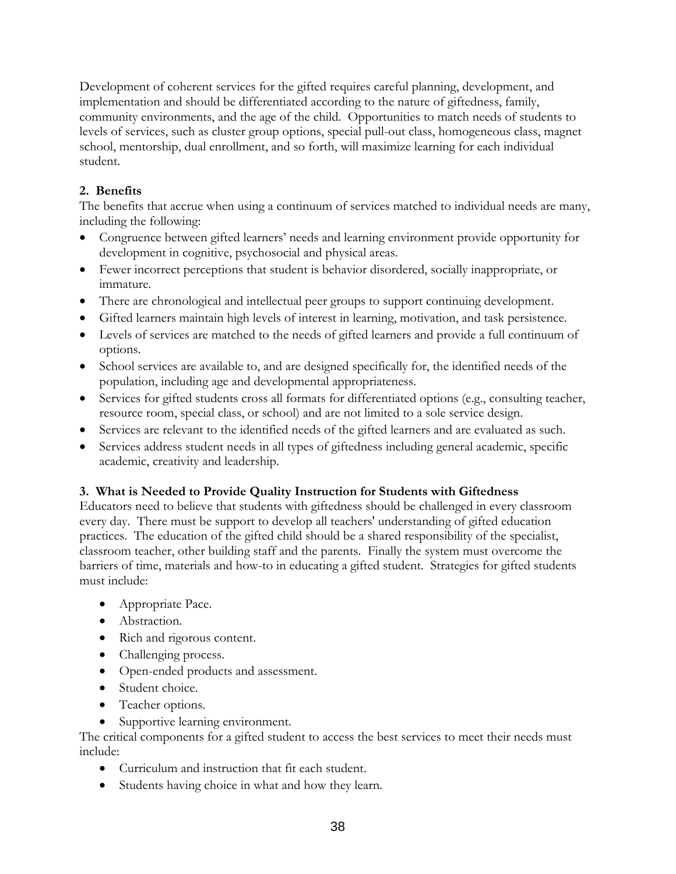Development of coherent services for the gifted requires careful planning, development, and implementation and should be differentiated according to the nature of giftedness, family, community environments, and the age of the child. Opportunities to match needs of students to levels of services, such as cluster group options, special pull-out class, homogeneous class, magnet school, mentorship, dual enrollment, and so forth, will maximize learning for each individual student.

#### **2. Benefits**

The benefits that accrue when using a continuum of services matched to individual needs are many, including the following:

- Congruence between gifted learners' needs and learning environment provide opportunity for development in cognitive, psychosocial and physical areas.
- Fewer incorrect perceptions that student is behavior disordered, socially inappropriate, or immature.
- There are chronological and intellectual peer groups to support continuing development.
- Gifted learners maintain high levels of interest in learning, motivation, and task persistence.
- Levels of services are matched to the needs of gifted learners and provide a full continuum of options.
- School services are available to, and are designed specifically for, the identified needs of the population, including age and developmental appropriateness.
- Services for gifted students cross all formats for differentiated options (e.g., consulting teacher, resource room, special class, or school) and are not limited to a sole service design.
- Services are relevant to the identified needs of the gifted learners and are evaluated as such.
- Services address student needs in all types of giftedness including general academic, specific academic, creativity and leadership.

#### **3. What is Needed to Provide Quality Instruction for Students with Giftedness**

Educators need to believe that students with giftedness should be challenged in every classroom every day. There must be support to develop all teachers' understanding of gifted education practices. The education of the gifted child should be a shared responsibility of the specialist, classroom teacher, other building staff and the parents. Finally the system must overcome the barriers of time, materials and how-to in educating a gifted student. Strategies for gifted students must include:

- Appropriate Pace.
- Abstraction.
- Rich and rigorous content.
- Challenging process.
- Open-ended products and assessment.
- Student choice.
- Teacher options.
- Supportive learning environment.

The critical components for a gifted student to access the best services to meet their needs must include:

- Curriculum and instruction that fit each student.
- Students having choice in what and how they learn.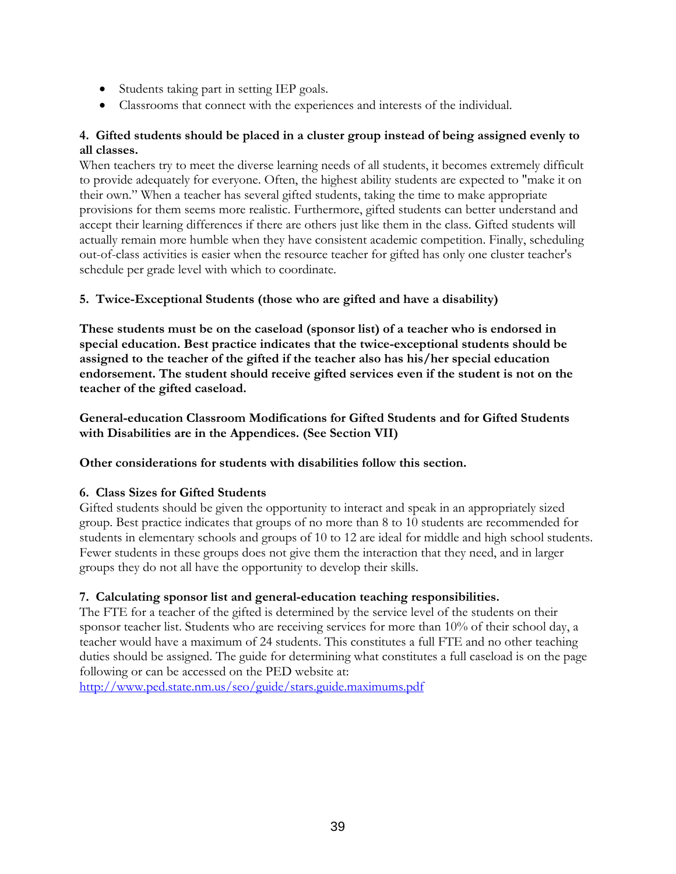- Students taking part in setting IEP goals.
- Classrooms that connect with the experiences and interests of the individual.

#### **4. Gifted students should be placed in a cluster group instead of being assigned evenly to all classes.**

When teachers try to meet the diverse learning needs of all students, it becomes extremely difficult to provide adequately for everyone. Often, the highest ability students are expected to "make it on their own." When a teacher has several gifted students, taking the time to make appropriate provisions for them seems more realistic. Furthermore, gifted students can better understand and accept their learning differences if there are others just like them in the class. Gifted students will actually remain more humble when they have consistent academic competition. Finally, scheduling out-of-class activities is easier when the resource teacher for gifted has only one cluster teacher's schedule per grade level with which to coordinate.

#### **5. Twice-Exceptional Students (those who are gifted and have a disability)**

**These students must be on the caseload (sponsor list) of a teacher who is endorsed in special education. Best practice indicates that the twice-exceptional students should be assigned to the teacher of the gifted if the teacher also has his/her special education endorsement. The student should receive gifted services even if the student is not on the teacher of the gifted caseload.** 

**General-education Classroom Modifications for Gifted Students and for Gifted Students with Disabilities are in the Appendices. (See Section VII)** 

#### **Other considerations for students with disabilities follow this section.**

#### **6. Class Sizes for Gifted Students**

Gifted students should be given the opportunity to interact and speak in an appropriately sized group. Best practice indicates that groups of no more than 8 to 10 students are recommended for students in elementary schools and groups of 10 to 12 are ideal for middle and high school students. Fewer students in these groups does not give them the interaction that they need, and in larger groups they do not all have the opportunity to develop their skills.

#### **7. Calculating sponsor list and general-education teaching responsibilities.**

The FTE for a teacher of the gifted is determined by the service level of the students on their sponsor teacher list. Students who are receiving services for more than 10% of their school day, a teacher would have a maximum of 24 students. This constitutes a full FTE and no other teaching duties should be assigned. The guide for determining what constitutes a full caseload is on the page following or can be accessed on the PED website at:

<http://www.ped.state.nm.us/seo/guide/stars.guide.maximums.pdf>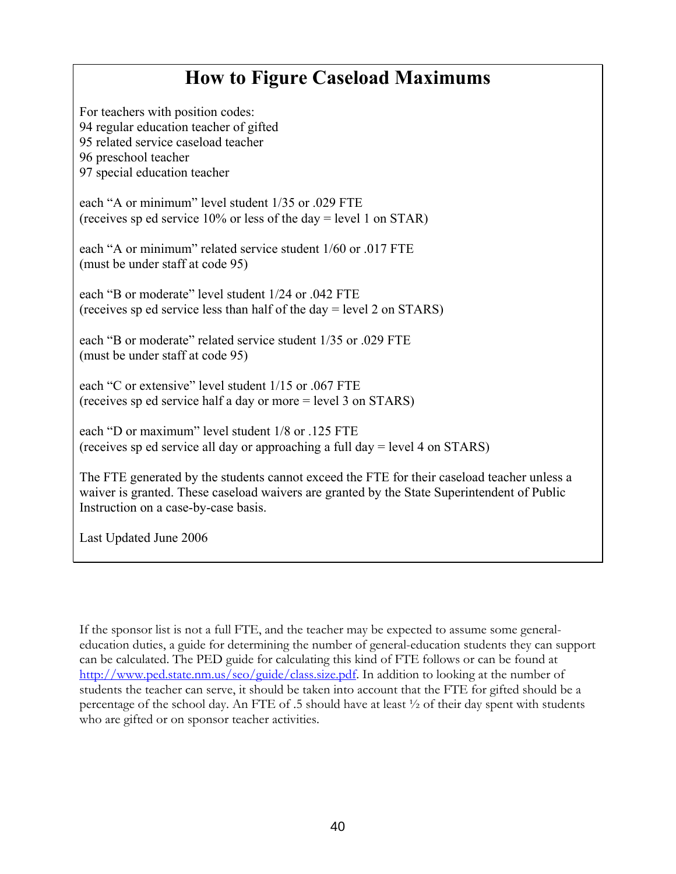### **How to Figure Caseload Maximums**

For teachers with position codes: 94 regular education teacher of gifted 95 related service caseload teacher 96 preschool teacher 97 special education teacher

each "A or minimum" level student 1/35 or .029 FTE (receives sp ed service 10% or less of the day = level 1 on STAR)

each "A or minimum" related service student 1/60 or .017 FTE (must be under staff at code 95)

each "B or moderate" level student  $1/24$  or .042 FTE (receives sp ed service less than half of the day = level 2 on STARS)

each "B or moderate" related service student  $1/35$  or .029 FTE (must be under staff at code 95)

each "C or extensive" level student  $1/15$  or .067 FTE (receives sp ed service half a day or more = level 3 on STARS)

each "D or maximum" level student 1/8 or .125 FTE (receives sp ed service all day or approaching a full day = level 4 on STARS)

The FTE generated by the students cannot exceed the FTE for their caseload teacher unless a waiver is granted. These caseload waivers are granted by the State Superintendent of Public Instruction on a case-by-case basis.

Last Updated June 2006

If the sponsor list is not a full FTE, and the teacher may be expected to assume some generaleducation duties, a guide for determining the number of general-education students they can support can be calculated. The PED guide for calculating this kind of FTE follows or can be found at [http://www.ped.state.nm.us/seo/guide/class.size.pdf.](http://www.ped.state.nm.us/seo/guide/class.size.pdf) In addition to looking at the number of students the teacher can serve, it should be taken into account that the FTE for gifted should be a percentage of the school day. An FTE of .5 should have at least ½ of their day spent with students who are gifted or on sponsor teacher activities.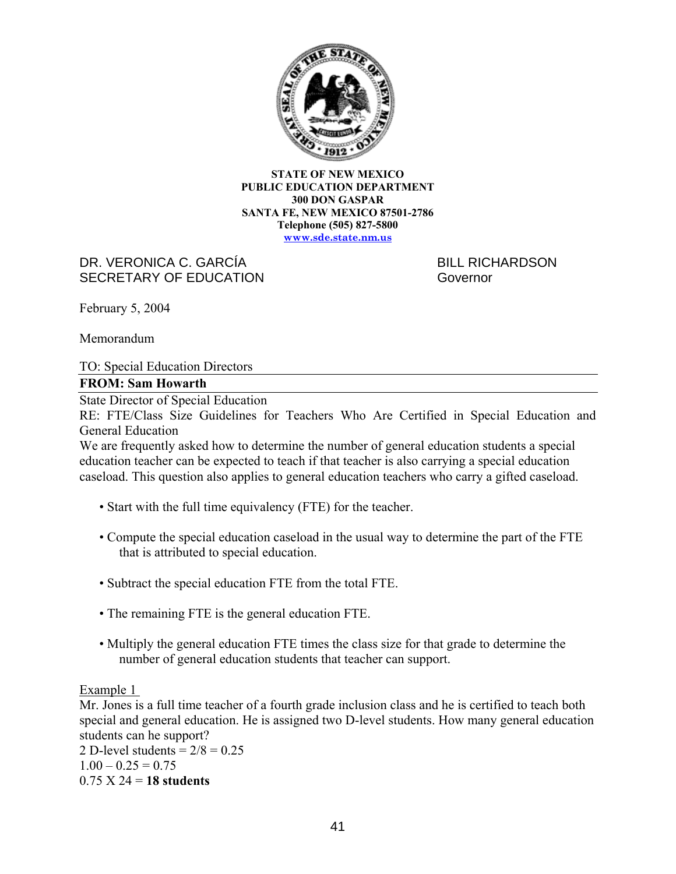

**STATE OF NEW MEXICO PUBLIC EDUCATION DEPARTMENT 300 DON GASPAR SANTA FE, NEW MEXICO 87501-2786 Telephone (505) 827-5800 [www.sde.state.nm.us](http://www.sde.state.nm.us/)**

#### DR. VERONICA C. GARCÍA BILL RICHARDSON SECRETARY OF EDUCATION Governor

February 5, 2004

Memorandum

TO: Special Education Directors

#### **FROM: Sam Howarth**

State Director of Special Education

RE: FTE/Class Size Guidelines for Teachers Who Are Certified in Special Education and General Education

We are frequently asked how to determine the number of general education students a special education teacher can be expected to teach if that teacher is also carrying a special education caseload. This question also applies to general education teachers who carry a gifted caseload.

- Start with the full time equivalency (FTE) for the teacher.
- Compute the special education caseload in the usual way to determine the part of the FTE that is attributed to special education.
- Subtract the special education FTE from the total FTE.
- The remaining FTE is the general education FTE.
- Multiply the general education FTE times the class size for that grade to determine the number of general education students that teacher can support.

Example 1

Mr. Jones is a full time teacher of a fourth grade inclusion class and he is certified to teach both special and general education. He is assigned two D-level students. How many general education students can he support?

2 D-level students =  $2/8 = 0.25$  $1.00 - 0.25 = 0.75$ 0.75 X 24 = **18 students**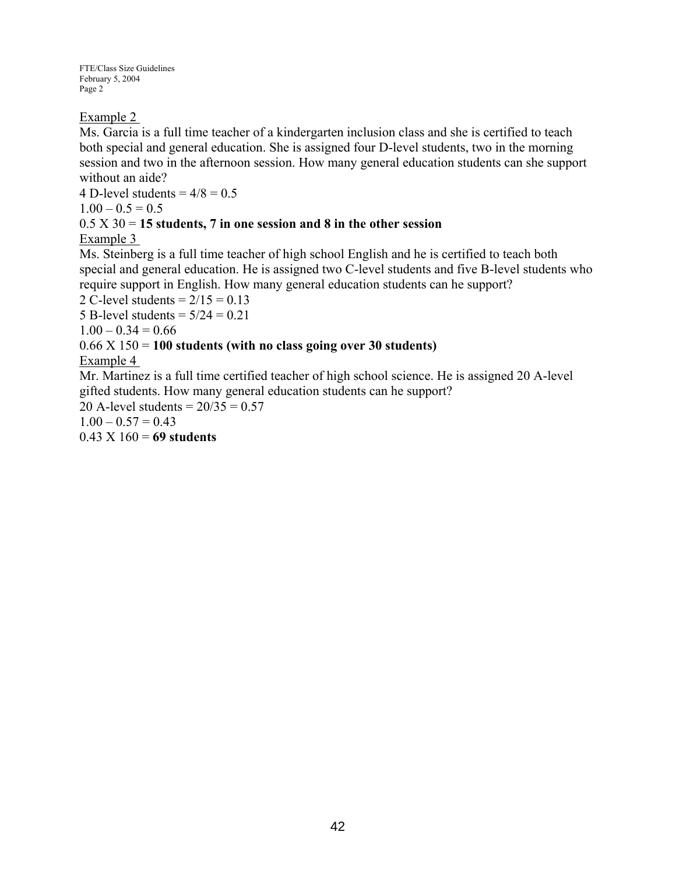FTE/Class Size Guidelines February 5, 2004 Page 2

#### Example 2

Ms. Garcia is a full time teacher of a kindergarten inclusion class and she is certified to teach both special and general education. She is assigned four D-level students, two in the morning session and two in the afternoon session. How many general education students can she support without an aide?

4 D-level students =  $4/8 = 0.5$  $1.00 - 0.5 = 0.5$ 

#### 0.5 X 30 = **15 students, 7 in one session and 8 in the other session**

#### Example 3

Ms. Steinberg is a full time teacher of high school English and he is certified to teach both special and general education. He is assigned two C-level students and five B-level students who require support in English. How many general education students can he support?

2 C-level students  $= 2/15 = 0.13$ 

5 B-level students  $= 5/24 = 0.21$ 

 $1.00 - 0.34 = 0.66$ 

#### 0.66 X 150 = **100 students (with no class going over 30 students)**

#### Example 4

Mr. Martinez is a full time certified teacher of high school science. He is assigned 20 A-level gifted students. How many general education students can he support?

20 A-level students =  $20/35 = 0.57$ 

 $1.00 - 0.57 = 0.43$ 

0.43 X 160 = **69 students**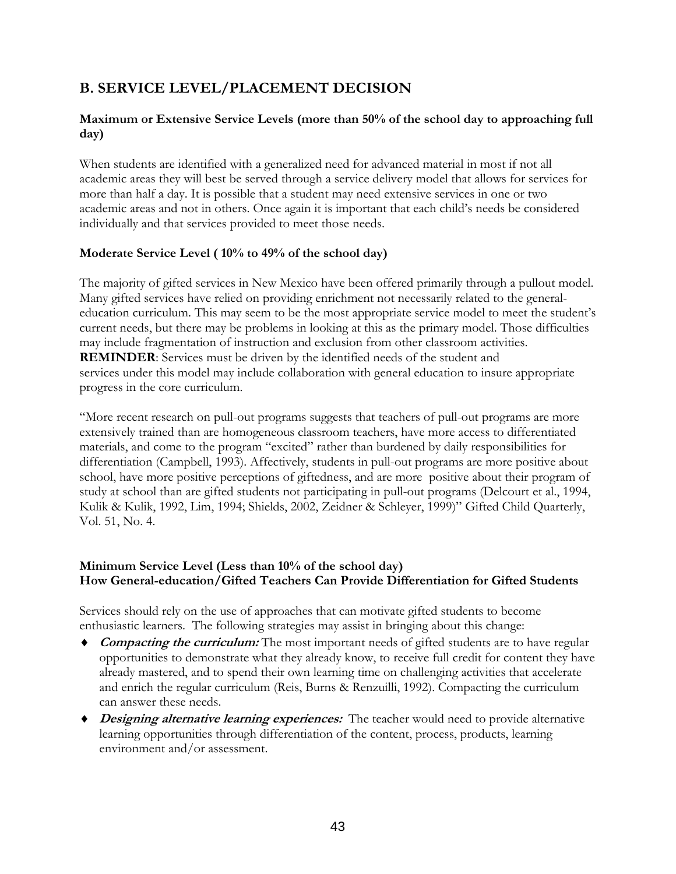#### **B. SERVICE LEVEL/PLACEMENT DECISION**

#### **Maximum or Extensive Service Levels (more than 50% of the school day to approaching full day)**

When students are identified with a generalized need for advanced material in most if not all academic areas they will best be served through a service delivery model that allows for services for more than half a day. It is possible that a student may need extensive services in one or two academic areas and not in others. Once again it is important that each child's needs be considered individually and that services provided to meet those needs.

#### **Moderate Service Level ( 10% to 49% of the school day)**

The majority of gifted services in New Mexico have been offered primarily through a pullout model. Many gifted services have relied on providing enrichment not necessarily related to the generaleducation curriculum. This may seem to be the most appropriate service model to meet the student's current needs, but there may be problems in looking at this as the primary model. Those difficulties may include fragmentation of instruction and exclusion from other classroom activities. **REMINDER**: Services must be driven by the identified needs of the student and services under this model may include collaboration with general education to insure appropriate progress in the core curriculum.

"More recent research on pull-out programs suggests that teachers of pull-out programs are more extensively trained than are homogeneous classroom teachers, have more access to differentiated materials, and come to the program "excited" rather than burdened by daily responsibilities for differentiation (Campbell, 1993). Affectively, students in pull-out programs are more positive about school, have more positive perceptions of giftedness, and are more positive about their program of study at school than are gifted students not participating in pull-out programs (Delcourt et al., 1994, Kulik & Kulik, 1992, Lim, 1994; Shields, 2002, Zeidner & Schleyer, 1999)" Gifted Child Quarterly, Vol. 51, No. 4.

#### **Minimum Service Level (Less than 10% of the school day) How General-education/Gifted Teachers Can Provide Differentiation for Gifted Students**

Services should rely on the use of approaches that can motivate gifted students to become enthusiastic learners. The following strategies may assist in bringing about this change:

- ♦ **Compacting the curriculum:** The most important needs of gifted students are to have regular opportunities to demonstrate what they already know, to receive full credit for content they have already mastered, and to spend their own learning time on challenging activities that accelerate and enrich the regular curriculum (Reis, Burns & Renzuilli, 1992). Compacting the curriculum can answer these needs.
- ♦ **Designing alternative learning experiences:**The teacher would need to provide alternative learning opportunities through differentiation of the content, process, products, learning environment and/or assessment.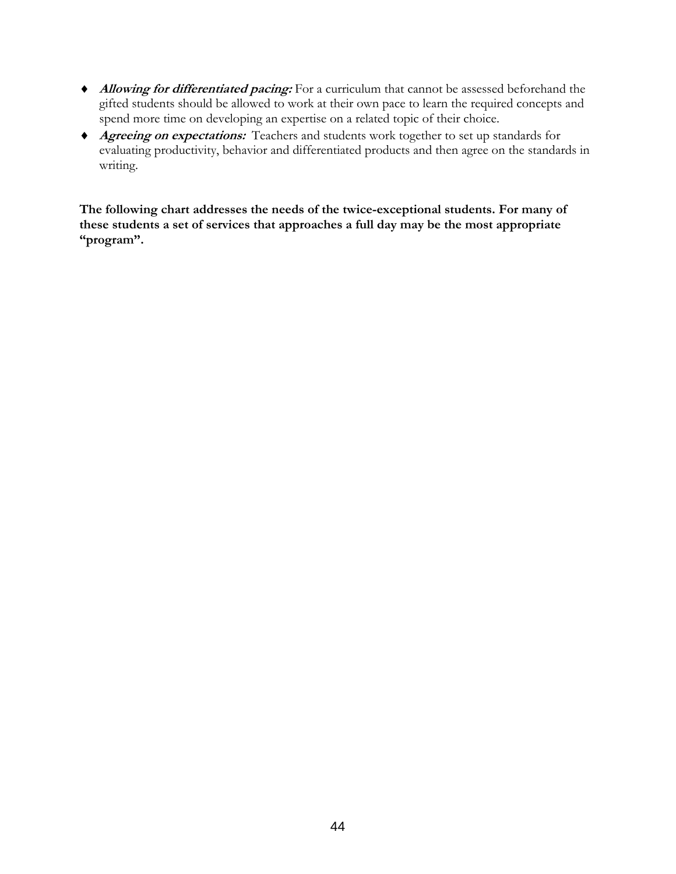- ♦ **Allowing for differentiated pacing:** For a curriculum that cannot be assessed beforehand the gifted students should be allowed to work at their own pace to learn the required concepts and spend more time on developing an expertise on a related topic of their choice.
- ♦ **Agreeing on expectations:**Teachers and students work together to set up standards for evaluating productivity, behavior and differentiated products and then agree on the standards in writing.

**The following chart addresses the needs of the twice-exceptional students. For many of these students a set of services that approaches a full day may be the most appropriate "program".**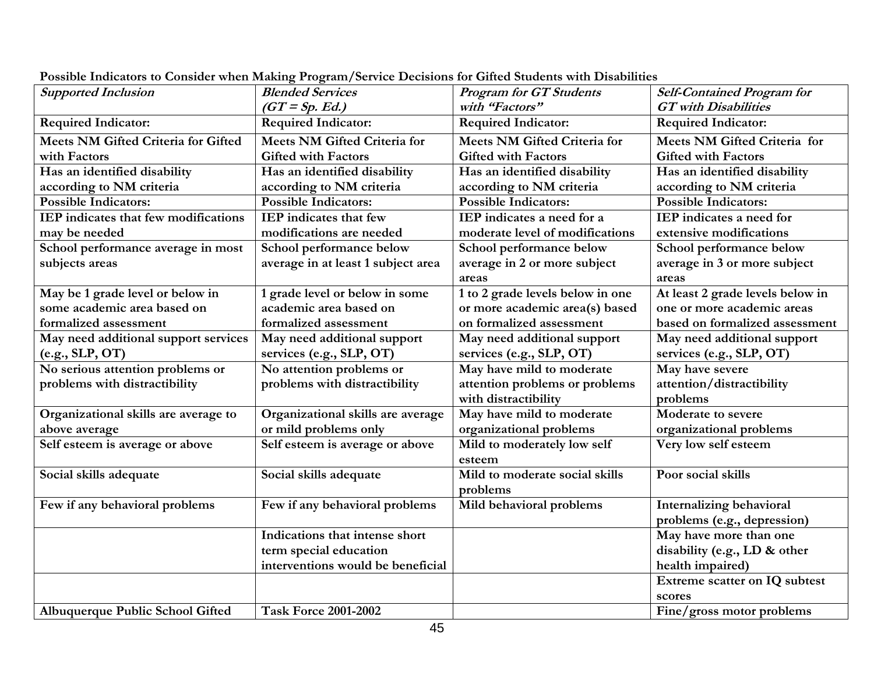| <b>Supported Inclusion</b>                 | <b>Blended Services</b>             | <b>Program for GT Students</b>      | <b>Self-Contained Program for</b> |
|--------------------------------------------|-------------------------------------|-------------------------------------|-----------------------------------|
|                                            | $(GT = Sp. Ed.)$                    | with "Factors"                      | <b>GT</b> with Disabilities       |
| <b>Required Indicator:</b>                 | <b>Required Indicator:</b>          | <b>Required Indicator:</b>          | <b>Required Indicator:</b>        |
| <b>Meets NM Gifted Criteria for Gifted</b> | <b>Meets NM Gifted Criteria for</b> | <b>Meets NM Gifted Criteria for</b> | Meets NM Gifted Criteria for      |
| with Factors                               | <b>Gifted with Factors</b>          | <b>Gifted with Factors</b>          | <b>Gifted with Factors</b>        |
| Has an identified disability               | Has an identified disability        | Has an identified disability        | Has an identified disability      |
| according to NM criteria                   | according to NM criteria            | according to NM criteria            | according to NM criteria          |
| <b>Possible Indicators:</b>                | <b>Possible Indicators:</b>         | <b>Possible Indicators:</b>         | <b>Possible Indicators:</b>       |
| IEP indicates that few modifications       | <b>IEP</b> indicates that few       | IEP indicates a need for a          | IEP indicates a need for          |
| may be needed                              | modifications are needed            | moderate level of modifications     | extensive modifications           |
| School performance average in most         | School performance below            | School performance below            | School performance below          |
| subjects areas                             | average in at least 1 subject area  | average in 2 or more subject        | average in 3 or more subject      |
|                                            |                                     | areas                               | areas                             |
| May be 1 grade level or below in           | 1 grade level or below in some      | 1 to 2 grade levels below in one    | At least 2 grade levels below in  |
| some academic area based on                | academic area based on              | or more academic area(s) based      | one or more academic areas        |
| formalized assessment                      | formalized assessment               | on formalized assessment            | based on formalized assessment    |
| May need additional support services       | May need additional support         | May need additional support         | May need additional support       |
| (e.g., SLP, OT)                            | services (e.g., SLP, OT)            | services (e.g., SLP, OT)            | services (e.g., SLP, OT)          |
| No serious attention problems or           | No attention problems or            | May have mild to moderate           | May have severe                   |
| problems with distractibility              | problems with distractibility       | attention problems or problems      | attention/distractibility         |
|                                            |                                     | with distractibility                | problems                          |
| Organizational skills are average to       | Organizational skills are average   | May have mild to moderate           | Moderate to severe                |
| above average                              | or mild problems only               | organizational problems             | organizational problems           |
| Self esteem is average or above            | Self esteem is average or above     | Mild to moderately low self         | Very low self esteem              |
|                                            |                                     | esteem                              |                                   |
| Social skills adequate                     | Social skills adequate              | Mild to moderate social skills      | Poor social skills                |
|                                            |                                     | problems                            |                                   |
| Few if any behavioral problems             | Few if any behavioral problems      | Mild behavioral problems            | Internalizing behavioral          |
|                                            |                                     |                                     | problems (e.g., depression)       |
|                                            | Indications that intense short      |                                     | May have more than one            |
|                                            | term special education              |                                     | disability (e.g., LD & other      |
|                                            | interventions would be beneficial   |                                     | health impaired)                  |
|                                            |                                     |                                     | Extreme scatter on IQ subtest     |
|                                            |                                     |                                     | scores                            |
| Albuquerque Public School Gifted           | <b>Task Force 2001-2002</b>         |                                     | Fine/gross motor problems         |

**Possible Indicators to Consider when Making Program/Service Decisions for Gifted Students with Disabilities**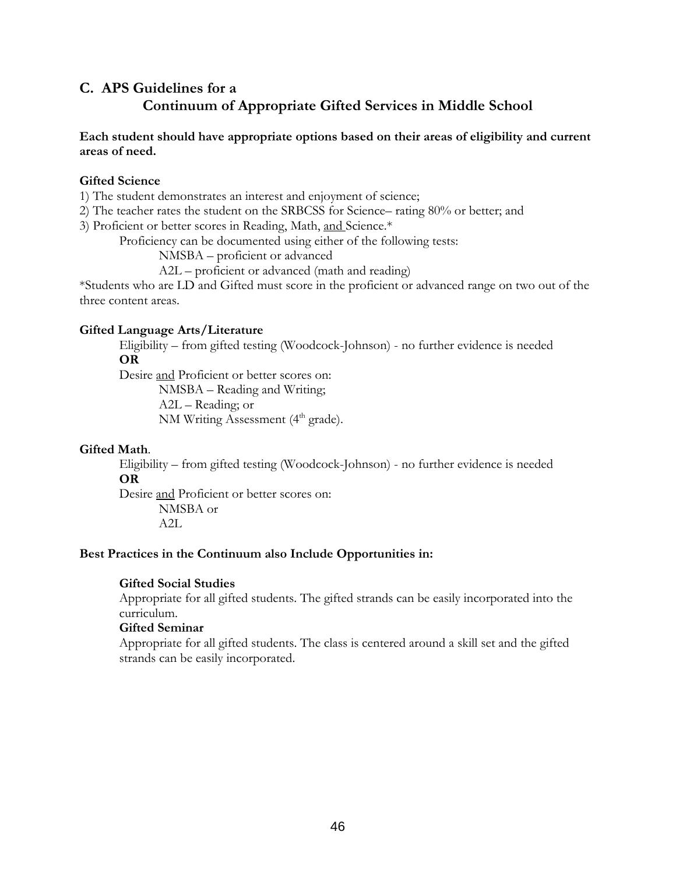#### **C. APS Guidelines for a Continuum of Appropriate Gifted Services in Middle School**

#### **Each student should have appropriate options based on their areas of eligibility and current areas of need.**

#### **Gifted Science**

1) The student demonstrates an interest and enjoyment of science;

2) The teacher rates the student on the SRBCSS for Science– rating 80% or better; and

3) Proficient or better scores in Reading, Math, and Science.\*

Proficiency can be documented using either of the following tests:

NMSBA – proficient or advanced

A2L – proficient or advanced (math and reading)

\*Students who are LD and Gifted must score in the proficient or advanced range on two out of the three content areas.

#### **Gifted Language Arts/Literature**

 Eligibility – from gifted testing (Woodcock-Johnson) - no further evidence is needed **OR** 

Desire and Proficient or better scores on:

 NMSBA – Reading and Writing; A2L – Reading; or NM Writing Assessment  $(4<sup>th</sup> grade)$ .

#### **Gifted Math**.

 Eligibility – from gifted testing (Woodcock-Johnson) - no further evidence is needed **OR** 

 Desire and Proficient or better scores on: NMSBA or

A2L

#### **Best Practices in the Continuum also Include Opportunities in:**

#### **Gifted Social Studies**

Appropriate for all gifted students. The gifted strands can be easily incorporated into the curriculum.

#### **Gifted Seminar**

Appropriate for all gifted students. The class is centered around a skill set and the gifted strands can be easily incorporated.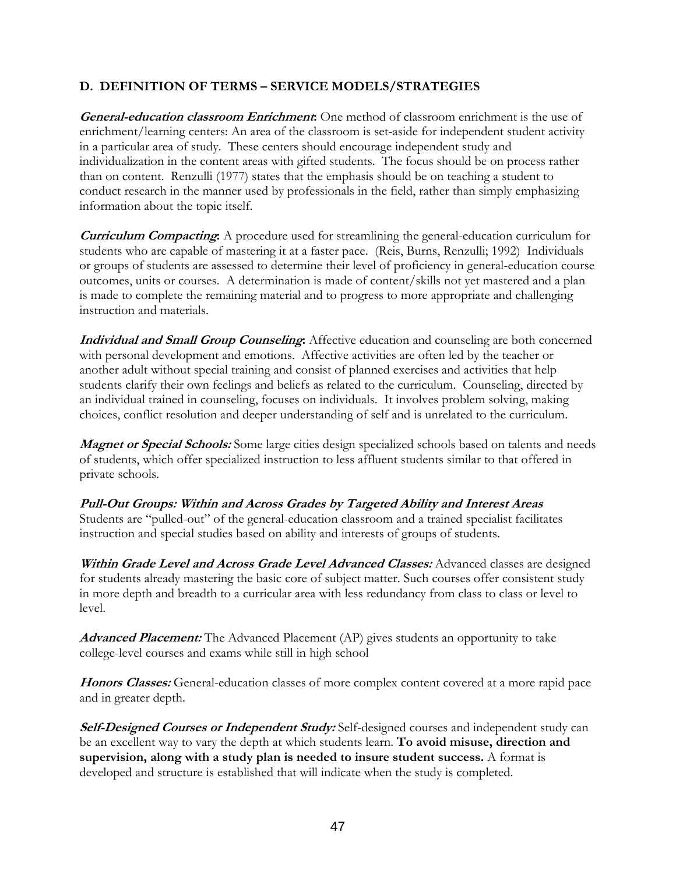#### **D. DEFINITION OF TERMS – SERVICE MODELS/STRATEGIES**

**General-education classroom Enrichment:** One method of classroom enrichment is the use of enrichment/learning centers: An area of the classroom is set-aside for independent student activity in a particular area of study. These centers should encourage independent study and individualization in the content areas with gifted students. The focus should be on process rather than on content. Renzulli (1977) states that the emphasis should be on teaching a student to conduct research in the manner used by professionals in the field, rather than simply emphasizing information about the topic itself.

**Curriculum Compacting:** A procedure used for streamlining the general-education curriculum for students who are capable of mastering it at a faster pace. (Reis, Burns, Renzulli; 1992) Individuals or groups of students are assessed to determine their level of proficiency in general-education course outcomes, units or courses. A determination is made of content/skills not yet mastered and a plan is made to complete the remaining material and to progress to more appropriate and challenging instruction and materials.

**Individual and Small Group Counseling:** Affective education and counseling are both concerned with personal development and emotions. Affective activities are often led by the teacher or another adult without special training and consist of planned exercises and activities that help students clarify their own feelings and beliefs as related to the curriculum. Counseling, directed by an individual trained in counseling, focuses on individuals. It involves problem solving, making choices, conflict resolution and deeper understanding of self and is unrelated to the curriculum.

*Magnet or Special Schools:* Some large cities design specialized schools based on talents and needs of students, which offer specialized instruction to less affluent students similar to that offered in private schools.

**Pull-Out Groups: Within and Across Grades by Targeted Ability and Interest Areas**  Students are "pulled-out" of the general-education classroom and a trained specialist facilitates instruction and special studies based on ability and interests of groups of students.

**Within Grade Level and Across Grade Level Advanced Classes:** Advanced classes are designed for students already mastering the basic core of subject matter. Such courses offer consistent study in more depth and breadth to a curricular area with less redundancy from class to class or level to level.

**Advanced Placement:** The Advanced Placement (AP) gives students an opportunity to take college-level courses and exams while still in high school

**Honors Classes:** General-education classes of more complex content covered at a more rapid pace and in greater depth.

**Self-Designed Courses or Independent Study:** Self-designed courses and independent study can be an excellent way to vary the depth at which students learn. **To avoid misuse, direction and supervision, along with a study plan is needed to insure student success.** A format is developed and structure is established that will indicate when the study is completed.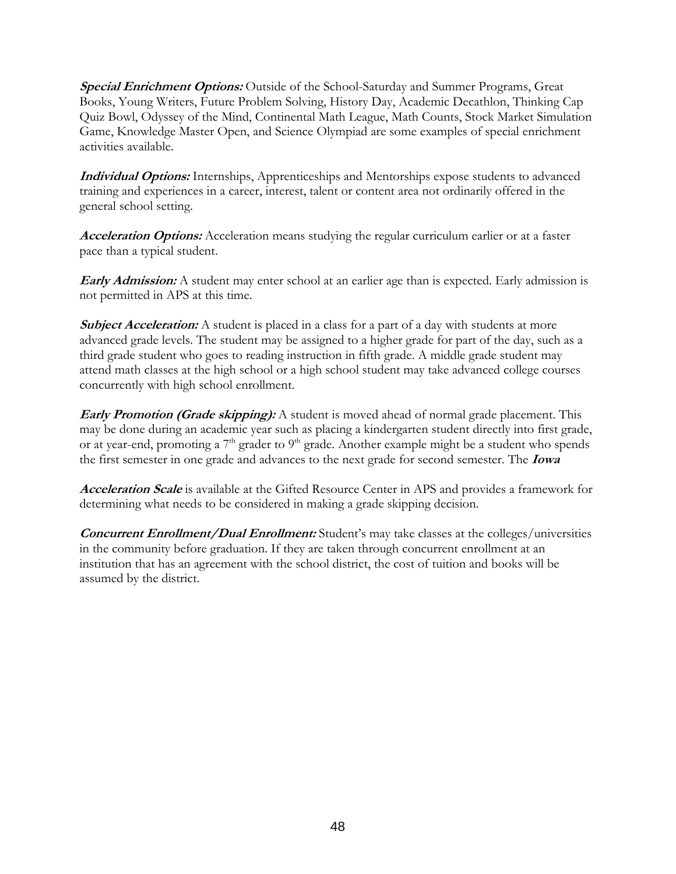**Special Enrichment Options:** Outside of the School-Saturday and Summer Programs, Great Books, Young Writers, Future Problem Solving, History Day, Academic Decathlon, Thinking Cap Quiz Bowl, Odyssey of the Mind, Continental Math League, Math Counts, Stock Market Simulation Game, Knowledge Master Open, and Science Olympiad are some examples of special enrichment activities available.

**Individual Options:** Internships, Apprenticeships and Mentorships expose students to advanced training and experiences in a career, interest, talent or content area not ordinarily offered in the general school setting.

**Acceleration Options:** Acceleration means studying the regular curriculum earlier or at a faster pace than a typical student.

**Early Admission:** A student may enter school at an earlier age than is expected. Early admission is not permitted in APS at this time.

**Subject Acceleration:** A student is placed in a class for a part of a day with students at more advanced grade levels. The student may be assigned to a higher grade for part of the day, such as a third grade student who goes to reading instruction in fifth grade. A middle grade student may attend math classes at the high school or a high school student may take advanced college courses concurrently with high school enrollment.

**Early Promotion (Grade skipping):** A student is moved ahead of normal grade placement. This may be done during an academic year such as placing a kindergarten student directly into first grade, or at year-end, promoting a  $7<sup>th</sup>$  grader to  $9<sup>th</sup>$  grade. Another example might be a student who spends the first semester in one grade and advances to the next grade for second semester. The **Iowa** 

**Acceleration Scale** is available at the Gifted Resource Center in APS and provides a framework for determining what needs to be considered in making a grade skipping decision.

**Concurrent Enrollment/Dual Enrollment:** Student's may take classes at the colleges/universities in the community before graduation. If they are taken through concurrent enrollment at an institution that has an agreement with the school district, the cost of tuition and books will be assumed by the district.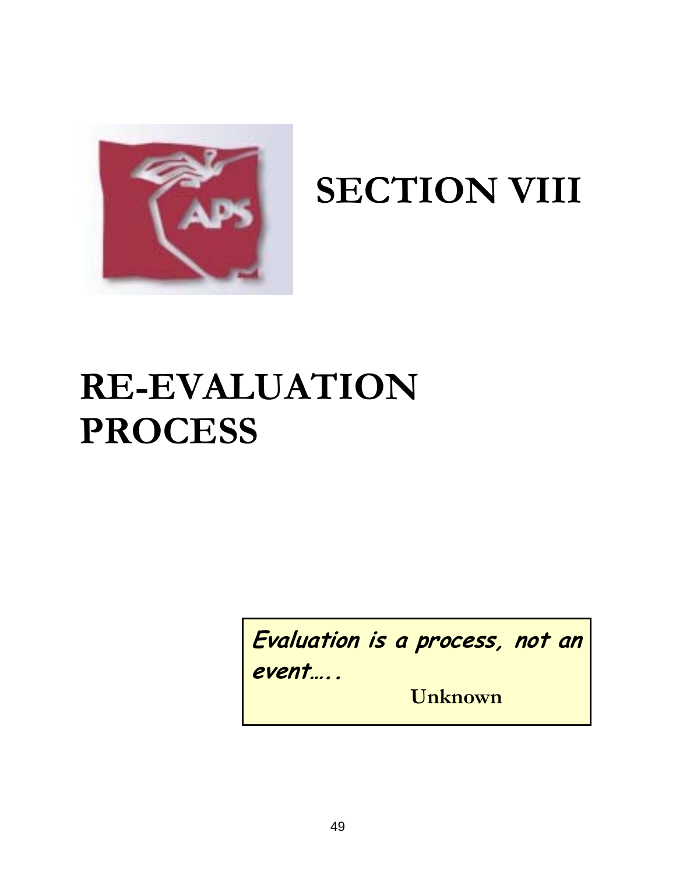

## **SECTION VIII**

## **RE-EVALUATION PROCESS**

**Evaluation is a process, not an event…..** 

 **Unknown**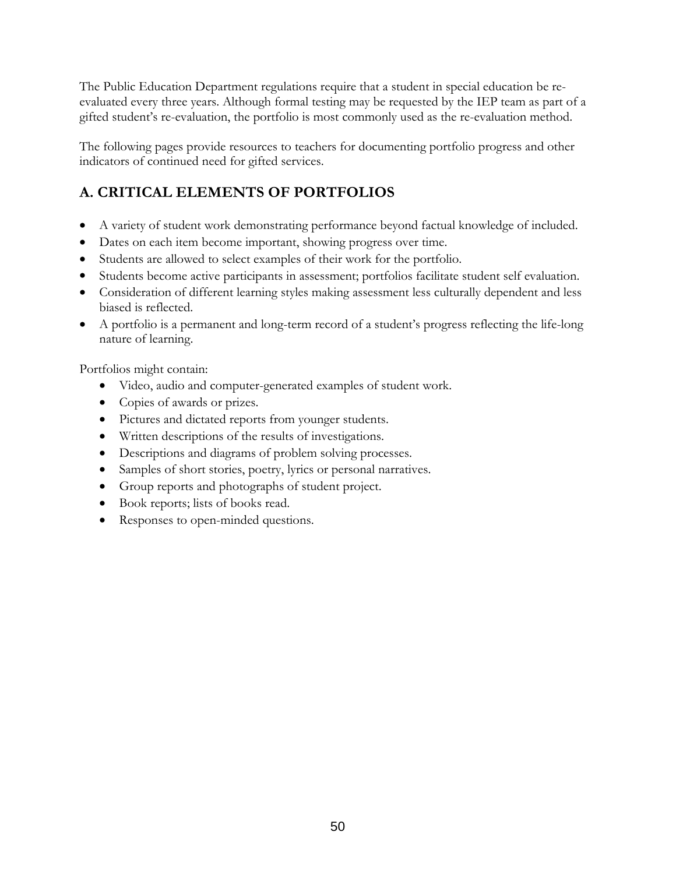The Public Education Department regulations require that a student in special education be reevaluated every three years. Although formal testing may be requested by the IEP team as part of a gifted student's re-evaluation, the portfolio is most commonly used as the re-evaluation method.

The following pages provide resources to teachers for documenting portfolio progress and other indicators of continued need for gifted services.

### **A. CRITICAL ELEMENTS OF PORTFOLIOS**

- A variety of student work demonstrating performance beyond factual knowledge of included.
- Dates on each item become important, showing progress over time.
- Students are allowed to select examples of their work for the portfolio.
- Students become active participants in assessment; portfolios facilitate student self evaluation.
- Consideration of different learning styles making assessment less culturally dependent and less biased is reflected.
- A portfolio is a permanent and long-term record of a student's progress reflecting the life-long nature of learning.

Portfolios might contain:

- Video, audio and computer-generated examples of student work.
- Copies of awards or prizes.
- Pictures and dictated reports from younger students.
- Written descriptions of the results of investigations.
- Descriptions and diagrams of problem solving processes.
- Samples of short stories, poetry, lyrics or personal narratives.
- Group reports and photographs of student project.
- Book reports; lists of books read.
- Responses to open-minded questions.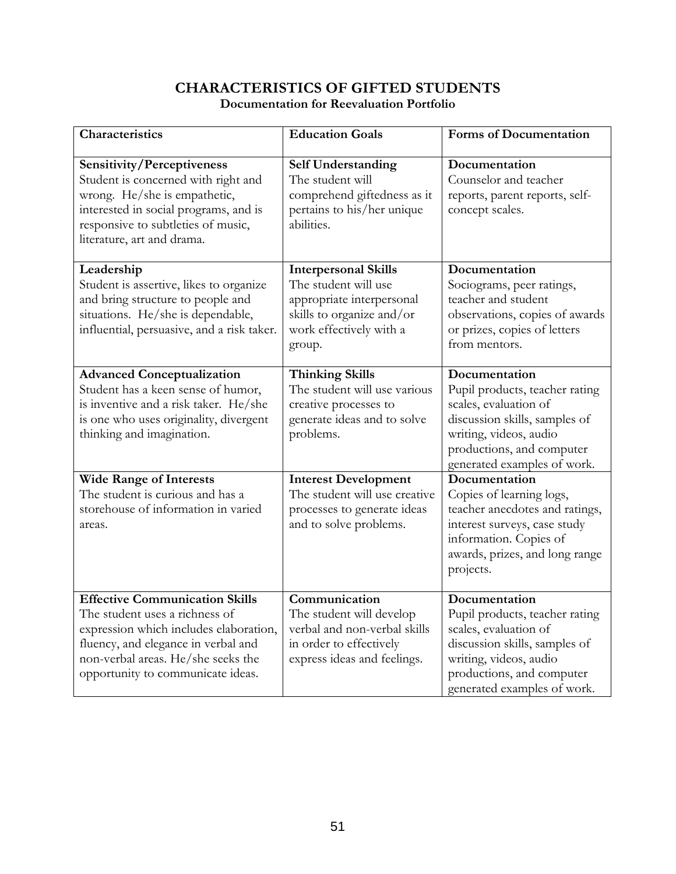### **CHARACTERISTICS OF GIFTED STUDENTS**

| Characteristics                                                                                                                                                                                                                     | <b>Education Goals</b>                                                                                                                             | <b>Forms of Documentation</b>                                                                                                                                                                   |
|-------------------------------------------------------------------------------------------------------------------------------------------------------------------------------------------------------------------------------------|----------------------------------------------------------------------------------------------------------------------------------------------------|-------------------------------------------------------------------------------------------------------------------------------------------------------------------------------------------------|
| <b>Sensitivity/Perceptiveness</b><br>Student is concerned with right and<br>wrong. He/she is empathetic,<br>interested in social programs, and is<br>responsive to subtleties of music,<br>literature, art and drama.               | <b>Self Understanding</b><br>The student will<br>comprehend giftedness as it<br>pertains to his/her unique<br>abilities.                           | Documentation<br>Counselor and teacher<br>reports, parent reports, self-<br>concept scales.                                                                                                     |
| Leadership<br>Student is assertive, likes to organize<br>and bring structure to people and<br>situations. He/she is dependable,<br>influential, persuasive, and a risk taker.                                                       | <b>Interpersonal Skills</b><br>The student will use<br>appropriate interpersonal<br>skills to organize and/or<br>work effectively with a<br>group. | Documentation<br>Sociograms, peer ratings,<br>teacher and student<br>observations, copies of awards<br>or prizes, copies of letters<br>from mentors.                                            |
| <b>Advanced Conceptualization</b><br>Student has a keen sense of humor,<br>is inventive and a risk taker. He/she<br>is one who uses originality, divergent<br>thinking and imagination.                                             | <b>Thinking Skills</b><br>The student will use various<br>creative processes to<br>generate ideas and to solve<br>problems.                        | Documentation<br>Pupil products, teacher rating<br>scales, evaluation of<br>discussion skills, samples of<br>writing, videos, audio<br>productions, and computer<br>generated examples of work. |
| <b>Wide Range of Interests</b><br>The student is curious and has a<br>storehouse of information in varied<br>areas.                                                                                                                 | <b>Interest Development</b><br>The student will use creative<br>processes to generate ideas<br>and to solve problems.                              | Documentation<br>Copies of learning logs,<br>teacher anecdotes and ratings,<br>interest surveys, case study<br>information. Copies of<br>awards, prizes, and long range<br>projects.            |
| <b>Effective Communication Skills</b><br>The student uses a richness of<br>expression which includes elaboration,<br>fluency, and elegance in verbal and<br>non-verbal areas. He/she seeks the<br>opportunity to communicate ideas. | Communication<br>The student will develop<br>verbal and non-verbal skills<br>in order to effectively<br>express ideas and feelings.                | Documentation<br>Pupil products, teacher rating<br>scales, evaluation of<br>discussion skills, samples of<br>writing, videos, audio<br>productions, and computer<br>generated examples of work. |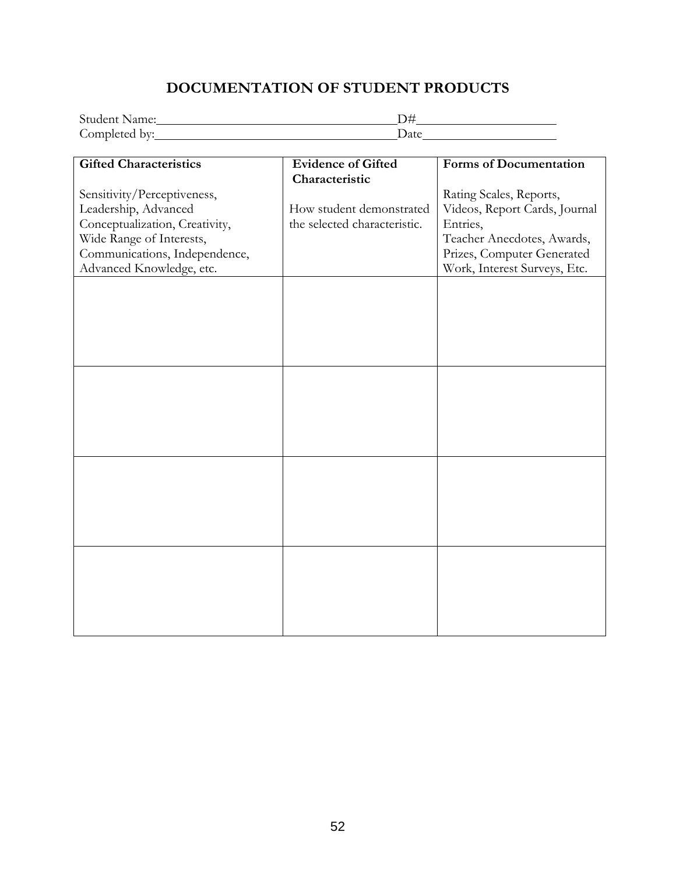#### **DOCUMENTATION OF STUDENT PRODUCTS**

| <b>Student Name:</b> |      |  |
|----------------------|------|--|
| Completed by:        | Jate |  |

| <b>Gifted Characteristics</b>  | <b>Evidence of Gifted</b>    | <b>Forms of Documentation</b> |
|--------------------------------|------------------------------|-------------------------------|
|                                | Characteristic               |                               |
|                                |                              |                               |
| Sensitivity/Perceptiveness,    |                              | Rating Scales, Reports,       |
| Leadership, Advanced           | How student demonstrated     | Videos, Report Cards, Journal |
| Conceptualization, Creativity, | the selected characteristic. | Entries,                      |
| Wide Range of Interests,       |                              | Teacher Anecdotes, Awards,    |
| Communications, Independence,  |                              | Prizes, Computer Generated    |
| Advanced Knowledge, etc.       |                              | Work, Interest Surveys, Etc.  |
|                                |                              |                               |
|                                |                              |                               |
|                                |                              |                               |
|                                |                              |                               |
|                                |                              |                               |
|                                |                              |                               |
|                                |                              |                               |
|                                |                              |                               |
|                                |                              |                               |
|                                |                              |                               |
|                                |                              |                               |
|                                |                              |                               |
|                                |                              |                               |
|                                |                              |                               |
|                                |                              |                               |
|                                |                              |                               |
|                                |                              |                               |
|                                |                              |                               |
|                                |                              |                               |
|                                |                              |                               |
|                                |                              |                               |
|                                |                              |                               |
|                                |                              |                               |
|                                |                              |                               |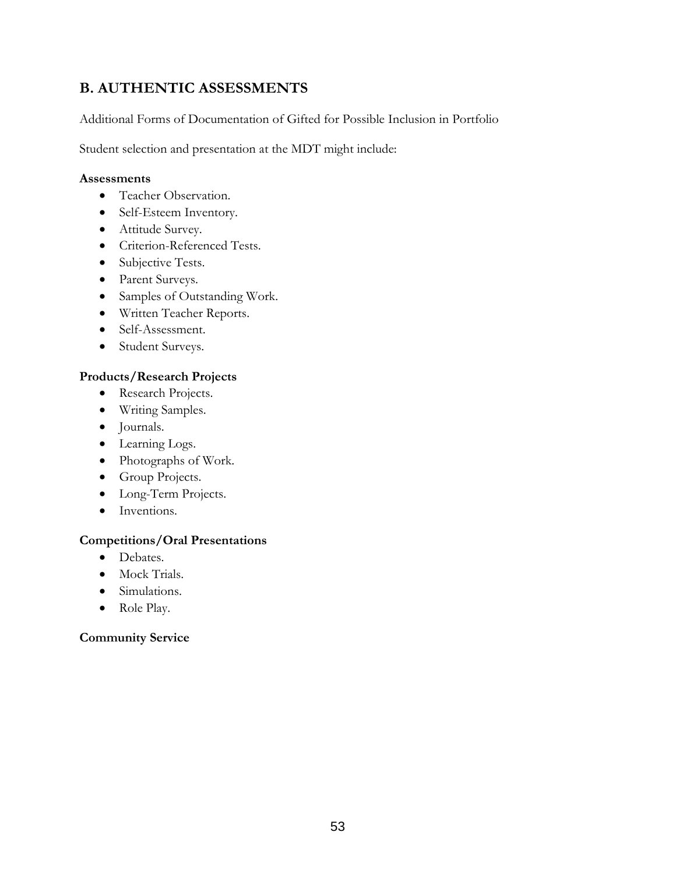#### **B. AUTHENTIC ASSESSMENTS**

Additional Forms of Documentation of Gifted for Possible Inclusion in Portfolio

Student selection and presentation at the MDT might include:

#### **Assessments**

- Teacher Observation.
- Self-Esteem Inventory.
- Attitude Survey.
- Criterion-Referenced Tests.
- Subjective Tests.
- Parent Surveys.
- Samples of Outstanding Work.
- Written Teacher Reports.
- Self-Assessment.
- Student Surveys.

#### **Products/Research Projects**

- Research Projects.
- Writing Samples.
- Journals.
- Learning Logs.
- Photographs of Work.
- Group Projects.
- Long-Term Projects.
- Inventions.

#### **Competitions/Oral Presentations**

- Debates.
- Mock Trials.
- Simulations.
- Role Play.

#### **Community Service**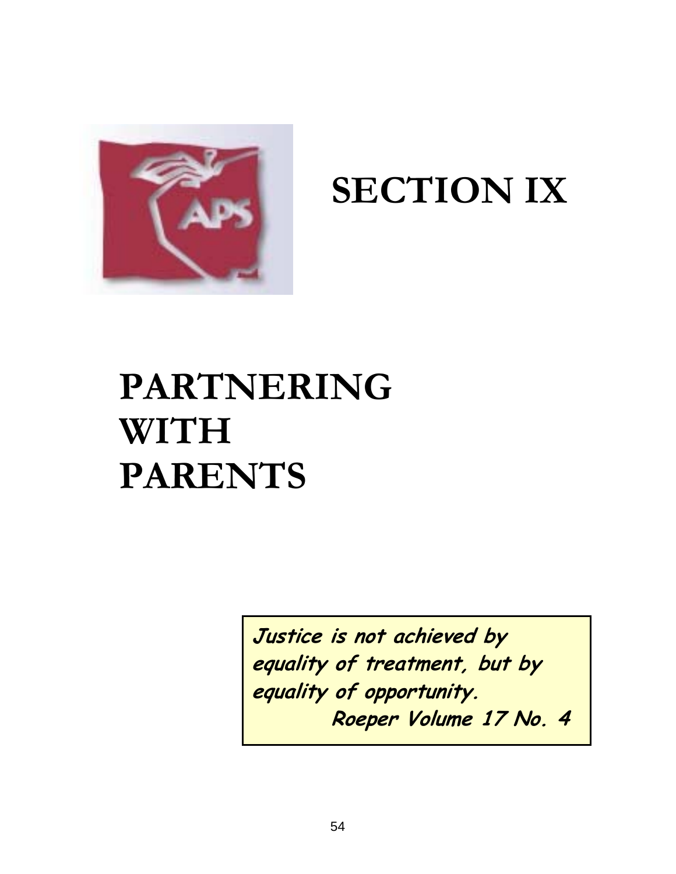

## **SECTION IX**

## **PARTNERING WITH PARENTS**

**Justice is not achieved by equality of treatment, but by equality of opportunity. Roeper Volume 17 No. 4**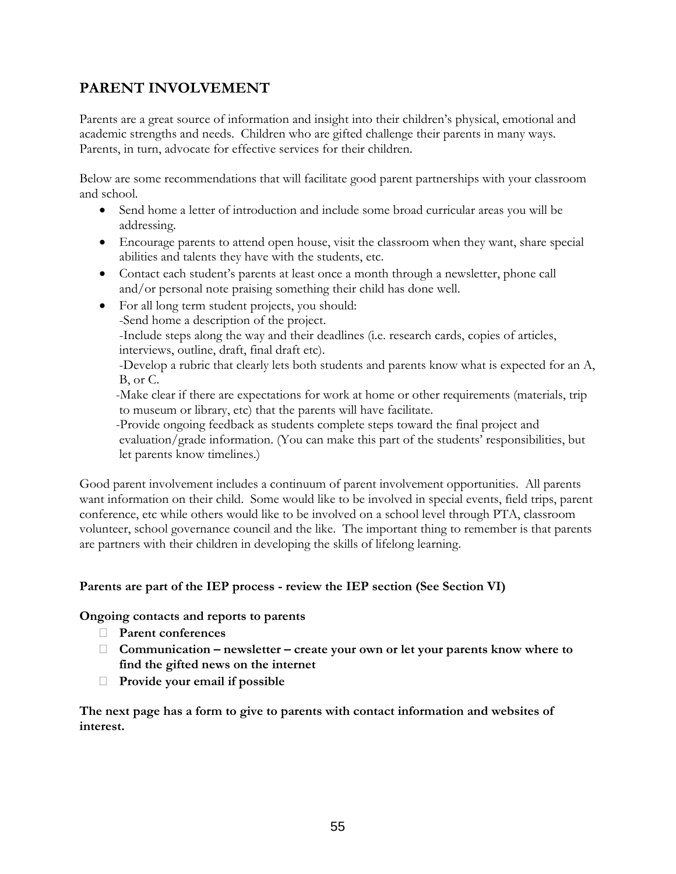#### **PARENT INVOLVEMENT**

Parents are a great source of information and insight into their children's physical, emotional and academic strengths and needs. Children who are gifted challenge their parents in many ways. Parents, in turn, advocate for effective services for their children.

Below are some recommendations that will facilitate good parent partnerships with your classroom and school.

- Send home a letter of introduction and include some broad curricular areas you will be addressing.
- Encourage parents to attend open house, visit the classroom when they want, share special abilities and talents they have with the students, etc.
- Contact each student's parents at least once a month through a newsletter, phone call and/or personal note praising something their child has done well.
- For all long term student projects, you should:
	- -Send home a description of the project.

 -Include steps along the way and their deadlines (i.e. research cards, copies of articles, interviews, outline, draft, final draft etc).

 -Develop a rubric that clearly lets both students and parents know what is expected for an A, B, or C.

 -Make clear if there are expectations for work at home or other requirements (materials, trip to museum or library, etc) that the parents will have facilitate.

 -Provide ongoing feedback as students complete steps toward the final project and evaluation/grade information. (You can make this part of the students' responsibilities, but let parents know timelines.)

Good parent involvement includes a continuum of parent involvement opportunities. All parents want information on their child. Some would like to be involved in special events, field trips, parent conference, etc while others would like to be involved on a school level through PTA, classroom volunteer, school governance council and the like. The important thing to remember is that parents are partners with their children in developing the skills of lifelong learning.

#### **Parents are part of the IEP process - review the IEP section (See Section VI)**

#### **Ongoing contacts and reports to parents**

- **Parent conferences**
- **Communication newsletter create your own or let your parents know where to find the gifted news on the internet**
- **Provide your email if possible**

**The next page has a form to give to parents with contact information and websites of interest.**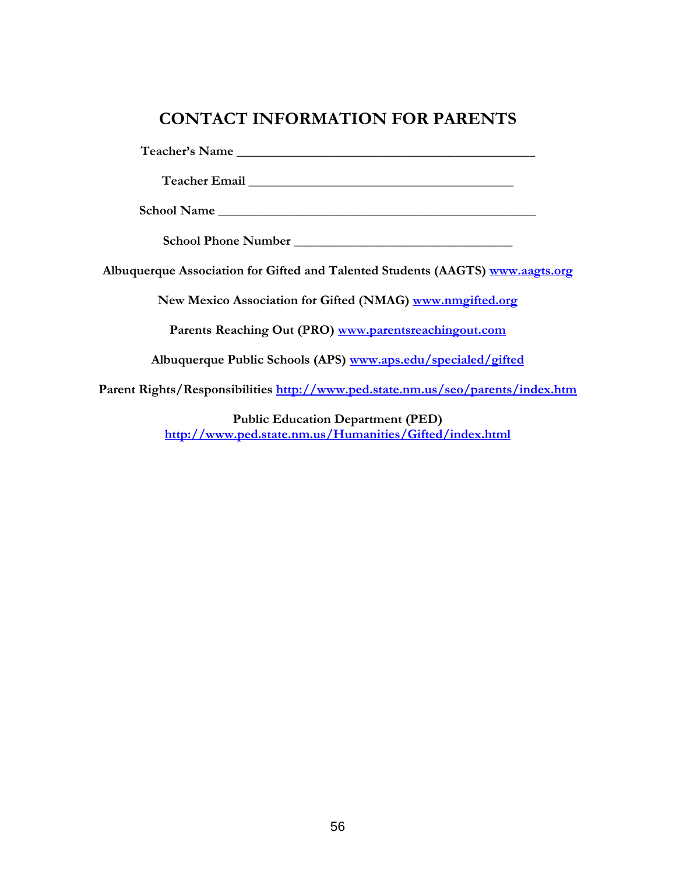#### **CONTACT INFORMATION FOR PARENTS**

**Teacher's Name \_\_\_\_\_\_\_\_\_\_\_\_\_\_\_\_\_\_\_\_\_\_\_\_\_\_\_\_\_\_\_\_\_\_\_\_\_\_\_\_\_\_\_\_\_** 

**Teacher Email \_\_\_\_\_\_\_\_\_\_\_\_\_\_\_\_\_\_\_\_\_\_\_\_\_\_\_\_\_\_\_\_\_\_\_\_\_\_\_\_** 

**School Name \_\_\_\_\_\_\_\_\_\_\_\_\_\_\_\_\_\_\_\_\_\_\_\_\_\_\_\_\_\_\_\_\_\_\_\_\_\_\_\_\_\_\_\_\_\_\_\_** 

**School Phone Number \_\_\_\_\_\_\_\_\_\_\_\_\_\_\_\_\_\_\_\_\_\_\_\_\_\_\_\_\_\_\_\_\_** 

**Albuquerque Association for Gifted and Talented Students (AAGTS) [www.aagts.org](http://www.aagts.org/)**

**New Mexico Association for Gifted (NMAG) [www.nmgifted.org](http://www.nmgifted.org/)** 

**Parents Reaching Out (PRO) [www.parentsreachingout.com](http://www.parentsreachingout.com/)** 

**Albuquerque Public Schools (APS) [www.aps.edu/specialed/gifted](http://www.aps.edu/specialed/gifted)** 

**Parent Rights/Responsibilities<http://www.ped.state.nm.us/seo/parents/index.htm>** 

**Public Education Department (PED) <http://www.ped.state.nm.us/Humanities/Gifted/index.html>**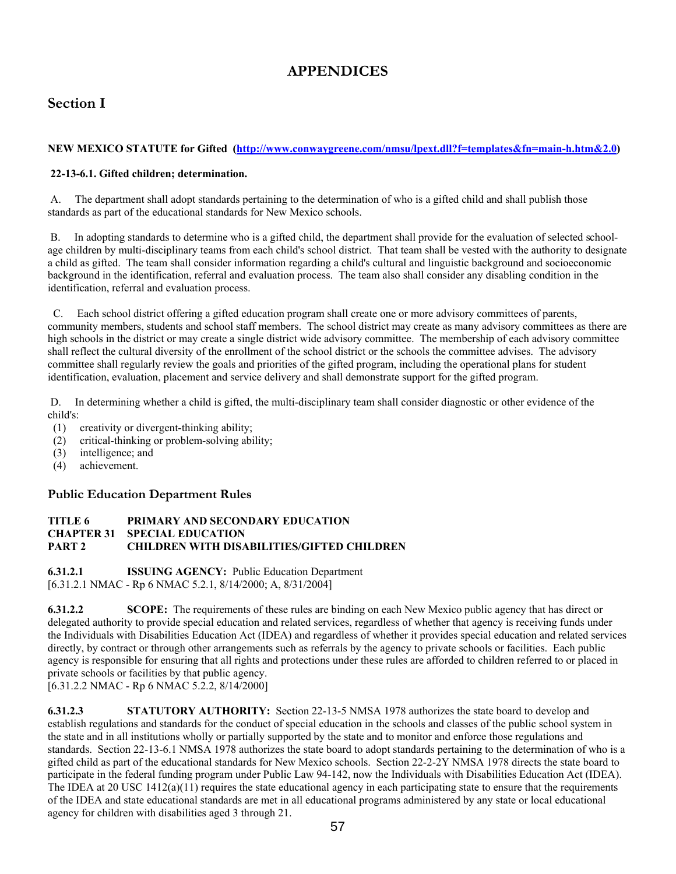#### **APPENDICES**

#### **Section I**

#### **NEW MEXICO STATUTE for Gifted [\(http://www.conwaygreene.com/nmsu/lpext.dll?f=templates&fn=main-h.htm&2.0\)](http://www.conwaygreene.com/nmsu/lpext.dll?f=templates&fn=main-h.htm&2.0)**

#### **22-13-6.1. Gifted children; determination.**

 A. The department shall adopt standards pertaining to the determination of who is a gifted child and shall publish those standards as part of the educational standards for New Mexico schools.

 B. In adopting standards to determine who is a gifted child, the department shall provide for the evaluation of selected schoolage children by multi-disciplinary teams from each child's school district. That team shall be vested with the authority to designate a child as gifted. The team shall consider information regarding a child's cultural and linguistic background and socioeconomic background in the identification, referral and evaluation process. The team also shall consider any disabling condition in the identification, referral and evaluation process.

 C. Each school district offering a gifted education program shall create one or more advisory committees of parents, community members, students and school staff members. The school district may create as many advisory committees as there are high schools in the district or may create a single district wide advisory committee. The membership of each advisory committee shall reflect the cultural diversity of the enrollment of the school district or the schools the committee advises. The advisory committee shall regularly review the goals and priorities of the gifted program, including the operational plans for student identification, evaluation, placement and service delivery and shall demonstrate support for the gifted program.

 D. In determining whether a child is gifted, the multi-disciplinary team shall consider diagnostic or other evidence of the child's:

- (1) creativity or divergent-thinking ability;
- (2) critical-thinking or problem-solving ability;
- (3) intelligence; and
- (4) achievement.

#### **Public Education Department Rules**

#### **TITLE 6 PRIMARY AND SECONDARY EDUCATION CHAPTER 31 SPECIAL EDUCATION PART 2 CHILDREN WITH DISABILITIES/GIFTED CHILDREN**

**6.31.2.1 ISSUING AGENCY:** Public Education Department [6.31.2.1 NMAC - Rp 6 NMAC 5.2.1, 8/14/2000; A, 8/31/2004]

**6.31.2.2 SCOPE:** The requirements of these rules are binding on each New Mexico public agency that has direct or delegated authority to provide special education and related services, regardless of whether that agency is receiving funds under the Individuals with Disabilities Education Act (IDEA) and regardless of whether it provides special education and related services directly, by contract or through other arrangements such as referrals by the agency to private schools or facilities. Each public agency is responsible for ensuring that all rights and protections under these rules are afforded to children referred to or placed in private schools or facilities by that public agency. [6.31.2.2 NMAC - Rp 6 NMAC 5.2.2, 8/14/2000]

**6.31.2.3 STATUTORY AUTHORITY:** Section 22-13-5 NMSA 1978 authorizes the state board to develop and establish regulations and standards for the conduct of special education in the schools and classes of the public school system in the state and in all institutions wholly or partially supported by the state and to monitor and enforce those regulations and standards. Section 22-13-6.1 NMSA 1978 authorizes the state board to adopt standards pertaining to the determination of who is a gifted child as part of the educational standards for New Mexico schools. Section 22-2-2Y NMSA 1978 directs the state board to participate in the federal funding program under Public Law 94-142, now the Individuals with Disabilities Education Act (IDEA). The IDEA at 20 USC  $1412(a)(11)$  requires the state educational agency in each participating state to ensure that the requirements of the IDEA and state educational standards are met in all educational programs administered by any state or local educational agency for children with disabilities aged 3 through 21.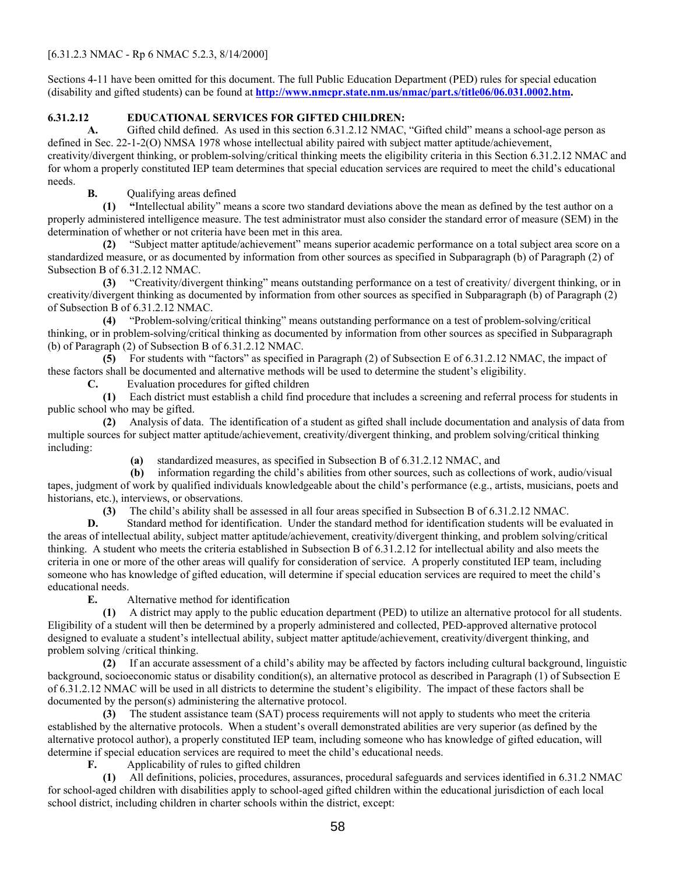#### [6.31.2.3 NMAC - Rp 6 NMAC 5.2.3, 8/14/2000]

Sections 4-11 have been omitted for this document. The full Public Education Department (PED) rules for special education (disability and gifted students) can be found at **<http://www.nmcpr.state.nm.us/nmac/part.s/title06/06.031.0002.htm>.** 

#### **6.31.2.12 EDUCATIONAL SERVICES FOR GIFTED CHILDREN:**

 **A.** Gifted child defined. As used in this section 6.31.2.12 NMAC, "Gifted child" means a school-age person as defined in Sec. 22-1-2(O) NMSA 1978 whose intellectual ability paired with subject matter aptitude/achievement, creativity/divergent thinking, or problem-solving/critical thinking meets the eligibility criteria in this Section 6.31.2.12 NMAC and for whom a properly constituted IEP team determines that special education services are required to meet the child's educational needs.

**B.** Qualifying areas defined

 **(1) "**Intellectual ability" means a score two standard deviations above the mean as defined by the test author on a properly administered intelligence measure. The test administrator must also consider the standard error of measure (SEM) in the determination of whether or not criteria have been met in this area.

 **(2)** "Subject matter aptitude/achievement" means superior academic performance on a total subject area score on a standardized measure, or as documented by information from other sources as specified in Subparagraph (b) of Paragraph (2) of Subsection B of 6.31.2.12 NMAC.

 **(3)** "Creativity/divergent thinking" means outstanding performance on a test of creativity/ divergent thinking, or in creativity/divergent thinking as documented by information from other sources as specified in Subparagraph (b) of Paragraph (2) of Subsection B of 6.31.2.12 NMAC.

 **(4)** "Problem-solving/critical thinking" means outstanding performance on a test of problem-solving/critical thinking, or in problem-solving/critical thinking as documented by information from other sources as specified in Subparagraph (b) of Paragraph (2) of Subsection B of 6.31.2.12 NMAC.

 **(5)** For students with "factors" as specified in Paragraph (2) of Subsection E of 6.31.2.12 NMAC, the impact of these factors shall be documented and alternative methods will be used to determine the student's eligibility.

**C.** Evaluation procedures for gifted children

 **(1)** Each district must establish a child find procedure that includes a screening and referral process for students in public school who may be gifted.

 **(2)** Analysis of data. The identification of a student as gifted shall include documentation and analysis of data from multiple sources for subject matter aptitude/achievement, creativity/divergent thinking, and problem solving/critical thinking including:

**(a)** standardized measures, as specified in Subsection B of 6.31.2.12 NMAC, and

 **(b)** information regarding the child's abilities from other sources, such as collections of work, audio/visual tapes, judgment of work by qualified individuals knowledgeable about the child's performance (e.g., artists, musicians, poets and historians, etc.), interviews, or observations.

**(3)** The child's ability shall be assessed in all four areas specified in Subsection B of 6.31.2.12 NMAC.

**D.** Standard method for identification. Under the standard method for identification students will be evaluated in the areas of intellectual ability, subject matter aptitude/achievement, creativity/divergent thinking, and problem solving/critical thinking. A student who meets the criteria established in Subsection B of 6.31.2.12 for intellectual ability and also meets the criteria in one or more of the other areas will qualify for consideration of service. A properly constituted IEP team, including someone who has knowledge of gifted education, will determine if special education services are required to meet the child's educational needs.

**E.** Alternative method for identification

 **(1)** A district may apply to the public education department (PED) to utilize an alternative protocol for all students. Eligibility of a student will then be determined by a properly administered and collected, PED-approved alternative protocol designed to evaluate a student's intellectual ability, subject matter aptitude/achievement, creativity/divergent thinking, and problem solving /critical thinking.

 **(2)** If an accurate assessment of a child's ability may be affected by factors including cultural background, linguistic background, socioeconomic status or disability condition(s), an alternative protocol as described in Paragraph (1) of Subsection E of 6.31.2.12 NMAC will be used in all districts to determine the student's eligibility. The impact of these factors shall be documented by the person(s) administering the alternative protocol.

 **(3)** The student assistance team (SAT) process requirements will not apply to students who meet the criteria established by the alternative protocols. When a student's overall demonstrated abilities are very superior (as defined by the alternative protocol author), a properly constituted IEP team, including someone who has knowledge of gifted education, will determine if special education services are required to meet the child's educational needs.

**F.** Applicability of rules to gifted children

 **(1)** All definitions, policies, procedures, assurances, procedural safeguards and services identified in 6.31.2 NMAC for school-aged children with disabilities apply to school-aged gifted children within the educational jurisdiction of each local school district, including children in charter schools within the district, except: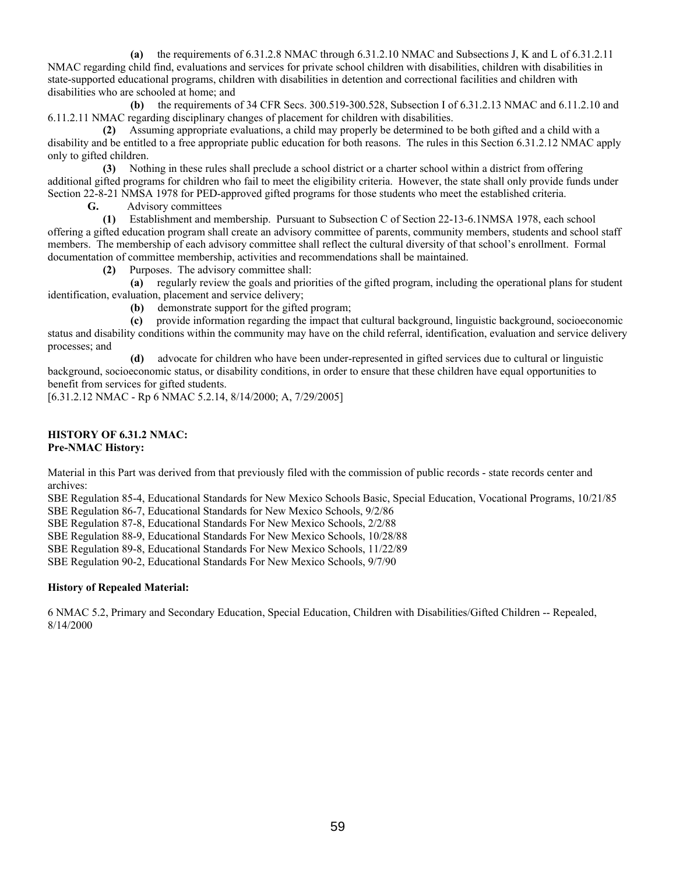**(a)** the requirements of 6.31.2.8 NMAC through 6.31.2.10 NMAC and Subsections J, K and L of 6.31.2.11 NMAC regarding child find, evaluations and services for private school children with disabilities, children with disabilities in state-supported educational programs, children with disabilities in detention and correctional facilities and children with disabilities who are schooled at home; and

 **(b)** the requirements of 34 CFR Secs. 300.519-300.528, Subsection I of 6.31.2.13 NMAC and 6.11.2.10 and 6.11.2.11 NMAC regarding disciplinary changes of placement for children with disabilities.

 **(2)** Assuming appropriate evaluations, a child may properly be determined to be both gifted and a child with a disability and be entitled to a free appropriate public education for both reasons. The rules in this Section 6.31.2.12 NMAC apply only to gifted children.

 **(3)** Nothing in these rules shall preclude a school district or a charter school within a district from offering additional gifted programs for children who fail to meet the eligibility criteria. However, the state shall only provide funds under Section 22-8-21 NMSA 1978 for PED-approved gifted programs for those students who meet the established criteria.

**G.** Advisory committees

 **(1)** Establishment and membership. Pursuant to Subsection C of Section 22-13-6.1NMSA 1978, each school offering a gifted education program shall create an advisory committee of parents, community members, students and school staff members. The membership of each advisory committee shall reflect the cultural diversity of that school's enrollment. Formal documentation of committee membership, activities and recommendations shall be maintained.

**(2)** Purposes. The advisory committee shall:

 **(a)** regularly review the goals and priorities of the gifted program, including the operational plans for student identification, evaluation, placement and service delivery;

**(b)** demonstrate support for the gifted program;

 **(c)** provide information regarding the impact that cultural background, linguistic background, socioeconomic status and disability conditions within the community may have on the child referral, identification, evaluation and service delivery processes; and

 **(d)** advocate for children who have been under-represented in gifted services due to cultural or linguistic background, socioeconomic status, or disability conditions, in order to ensure that these children have equal opportunities to benefit from services for gifted students.

[6.31.2.12 NMAC - Rp 6 NMAC 5.2.14, 8/14/2000; A, 7/29/2005]

#### **HISTORY OF 6.31.2 NMAC: Pre-NMAC History:**

Material in this Part was derived from that previously filed with the commission of public records - state records center and archives:

SBE Regulation 85-4, Educational Standards for New Mexico Schools Basic, Special Education, Vocational Programs, 10/21/85 SBE Regulation 86-7, Educational Standards for New Mexico Schools, 9/2/86

SBE Regulation 87-8, Educational Standards For New Mexico Schools, 2/2/88

SBE Regulation 88-9, Educational Standards For New Mexico Schools, 10/28/88

SBE Regulation 89-8, Educational Standards For New Mexico Schools, 11/22/89

SBE Regulation 90-2, Educational Standards For New Mexico Schools, 9/7/90

#### **History of Repealed Material:**

6 NMAC 5.2, Primary and Secondary Education, Special Education, Children with Disabilities/Gifted Children -- Repealed, 8/14/2000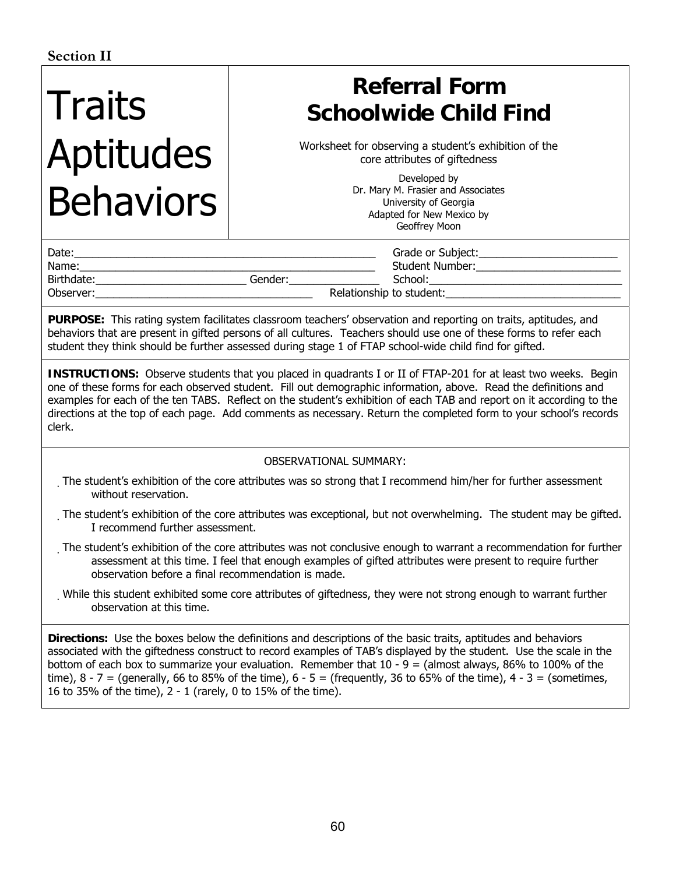# Traits Aptitudes Behaviors

### **Referral Form Schoolwide Child Find**

Worksheet for observing a student's exhibition of the core attributes of giftedness

> Developed by Dr. Mary M. Frasier and Associates University of Georgia Adapted for New Mexico by Geoffrey Moon

| Date:      |         | Grade or Subject:        |
|------------|---------|--------------------------|
| Name:      |         | <b>Student Number:</b>   |
| Birthdate: | Gender: | School:                  |
| Observer:  |         | Relationship to student: |

**PURPOSE:** This rating system facilitates classroom teachers' observation and reporting on traits, aptitudes, and behaviors that are present in gifted persons of all cultures. Teachers should use one of these forms to refer each student they think should be further assessed during stage 1 of FTAP school-wide child find for gifted.

**INSTRUCTIONS:** Observe students that you placed in quadrants I or II of FTAP-201 for at least two weeks. Begin one of these forms for each observed student. Fill out demographic information, above. Read the definitions and examples for each of the ten TABS. Reflect on the student's exhibition of each TAB and report on it according to the directions at the top of each page. Add comments as necessary. Return the completed form to your school's records clerk.

#### OBSERVATIONAL SUMMARY:

- The student's exhibition of the core attributes was so strong that I recommend him/her for further assessment without reservation.
- The student's exhibition of the core attributes was exceptional, but not overwhelming. The student may be gifted. I recommend further assessment.
- The student's exhibition of the core attributes was not conclusive enough to warrant a recommendation for further assessment at this time. I feel that enough examples of gifted attributes were present to require further observation before a final recommendation is made.
- While this student exhibited some core attributes of giftedness, they were not strong enough to warrant further observation at this time.

**Directions:** Use the boxes below the definitions and descriptions of the basic traits, aptitudes and behaviors associated with the giftedness construct to record examples of TAB's displayed by the student. Use the scale in the bottom of each box to summarize your evaluation. Remember that  $10 - 9 =$  (almost always, 86% to 100% of the time),  $8 - 7 =$  (generally, 66 to 85% of the time),  $6 - 5 =$  (frequently, 36 to 65% of the time),  $4 - 3 =$  (sometimes, 16 to 35% of the time), 2 - 1 (rarely, 0 to 15% of the time).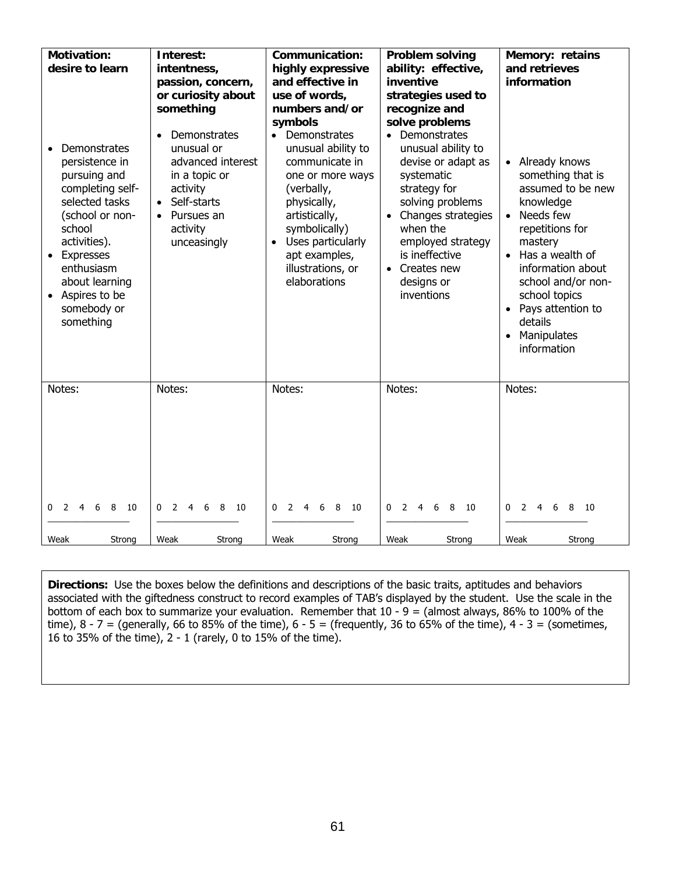| <b>Motivation:</b><br>desire to learn<br>Demonstrates<br>persistence in<br>pursuing and<br>completing self-<br>selected tasks<br>(school or non-<br>school<br>activities).<br><b>Expresses</b><br>$\bullet$<br>enthusiasm<br>about learning<br>Aspires to be<br>$\bullet$<br>somebody or<br>something | Interest:<br>intentness,<br>passion, concern,<br>or curiosity about<br>something<br>Demonstrates<br>$\bullet$<br>unusual or<br>advanced interest<br>in a topic or<br>activity<br>Self-starts<br>Pursues an<br>$\bullet$<br>activity<br>unceasingly | <b>Communication:</b><br>highly expressive<br>and effective in<br>use of words,<br>numbers and/or<br>symbols<br>• Demonstrates<br>unusual ability to<br>communicate in<br>one or more ways<br>(verbally,<br>physically,<br>artistically,<br>symbolically)<br>Uses particularly<br>$\bullet$<br>apt examples,<br>illustrations, or<br>elaborations | <b>Problem solving</b><br>ability: effective,<br>inventive<br>strategies used to<br>recognize and<br>solve problems<br>• Demonstrates<br>unusual ability to<br>devise or adapt as<br>systematic<br>strategy for<br>solving problems<br>Changes strategies<br>when the<br>employed strategy<br>is ineffective<br>• Creates new<br>designs or<br>inventions | Memory: retains<br>and retrieves<br>information<br>• Already knows<br>something that is<br>assumed to be new<br>knowledge<br>Needs few<br>$\bullet$<br>repetitions for<br>mastery<br>Has a wealth of<br>$\bullet$<br>information about<br>school and/or non-<br>school topics<br>• Pays attention to<br>details<br>Manipulates<br>$\bullet$<br>information |
|-------------------------------------------------------------------------------------------------------------------------------------------------------------------------------------------------------------------------------------------------------------------------------------------------------|----------------------------------------------------------------------------------------------------------------------------------------------------------------------------------------------------------------------------------------------------|---------------------------------------------------------------------------------------------------------------------------------------------------------------------------------------------------------------------------------------------------------------------------------------------------------------------------------------------------|-----------------------------------------------------------------------------------------------------------------------------------------------------------------------------------------------------------------------------------------------------------------------------------------------------------------------------------------------------------|------------------------------------------------------------------------------------------------------------------------------------------------------------------------------------------------------------------------------------------------------------------------------------------------------------------------------------------------------------|
| Notes:                                                                                                                                                                                                                                                                                                | Notes:                                                                                                                                                                                                                                             | Notes:                                                                                                                                                                                                                                                                                                                                            | Notes:                                                                                                                                                                                                                                                                                                                                                    | Notes:                                                                                                                                                                                                                                                                                                                                                     |
| - 6                                                                                                                                                                                                                                                                                                   | 2                                                                                                                                                                                                                                                  | 0                                                                                                                                                                                                                                                                                                                                                 | 8                                                                                                                                                                                                                                                                                                                                                         | 8                                                                                                                                                                                                                                                                                                                                                          |
| 8                                                                                                                                                                                                                                                                                                     | 8                                                                                                                                                                                                                                                  | 8                                                                                                                                                                                                                                                                                                                                                 | $\Omega$                                                                                                                                                                                                                                                                                                                                                  | $\Omega$                                                                                                                                                                                                                                                                                                                                                   |
| $\mathcal{P}$                                                                                                                                                                                                                                                                                         | 10                                                                                                                                                                                                                                                 | 10                                                                                                                                                                                                                                                                                                                                                | $\mathcal{P}$                                                                                                                                                                                                                                                                                                                                             | $\mathcal{P}$                                                                                                                                                                                                                                                                                                                                              |
| 4                                                                                                                                                                                                                                                                                                     | $\mathbf{0}$                                                                                                                                                                                                                                       | 2                                                                                                                                                                                                                                                                                                                                                 | 4                                                                                                                                                                                                                                                                                                                                                         | - 10                                                                                                                                                                                                                                                                                                                                                       |
| - 10                                                                                                                                                                                                                                                                                                  | 4                                                                                                                                                                                                                                                  | 4                                                                                                                                                                                                                                                                                                                                                 | 6                                                                                                                                                                                                                                                                                                                                                         | 4                                                                                                                                                                                                                                                                                                                                                          |
| 0                                                                                                                                                                                                                                                                                                     | -6                                                                                                                                                                                                                                                 | 6                                                                                                                                                                                                                                                                                                                                                 | - 10                                                                                                                                                                                                                                                                                                                                                      | 6                                                                                                                                                                                                                                                                                                                                                          |
| Weak                                                                                                                                                                                                                                                                                                  | Weak                                                                                                                                                                                                                                               | Weak                                                                                                                                                                                                                                                                                                                                              | Weak                                                                                                                                                                                                                                                                                                                                                      | Weak                                                                                                                                                                                                                                                                                                                                                       |
| Strong                                                                                                                                                                                                                                                                                                | Strong                                                                                                                                                                                                                                             | Strong                                                                                                                                                                                                                                                                                                                                            | Strong                                                                                                                                                                                                                                                                                                                                                    | Strona                                                                                                                                                                                                                                                                                                                                                     |

**Directions:** Use the boxes below the definitions and descriptions of the basic traits, aptitudes and behaviors associated with the giftedness construct to record examples of TAB's displayed by the student. Use the scale in the bottom of each box to summarize your evaluation. Remember that  $10 - 9 =$  (almost always, 86% to 100% of the time),  $8 - 7 =$  (generally, 66 to 85% of the time),  $6 - 5 =$  (frequently, 36 to 65% of the time),  $4 - 3 =$  (sometimes, 16 to 35% of the time), 2 - 1 (rarely, 0 to 15% of the time).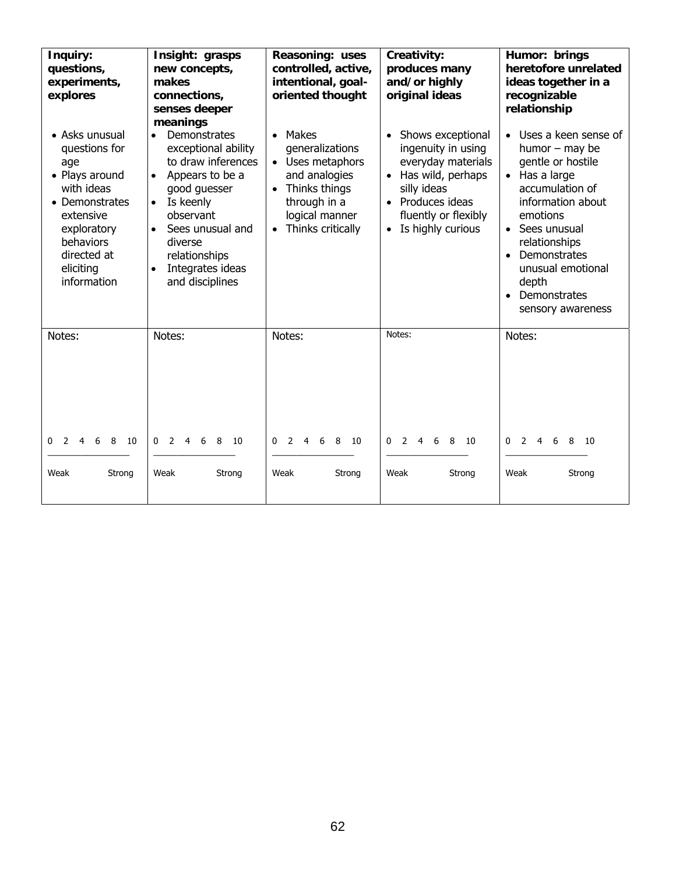| Inquiry:<br>questions,<br>experiments,<br>explores<br>• Asks unusual<br>questions for<br>age<br>• Plays around<br>with ideas<br>• Demonstrates<br>extensive<br>exploratory<br>behaviors<br>directed at<br>eliciting<br>information | Insight: grasps<br>new concepts,<br>makes<br>connections,<br>senses deeper<br>meanings<br>Demonstrates<br>exceptional ability<br>to draw inferences<br>Appears to be a<br>$\bullet$<br>good guesser<br>Is keenly<br>$\bullet$<br>observant<br>Sees unusual and<br>diverse<br>relationships<br>Integrates ideas<br>and disciplines | Reasoning: uses<br>controlled, active,<br>intentional, goal-<br>oriented thought<br>Makes<br>$\bullet$<br>generalizations<br>Uses metaphors<br>and analogies<br>Thinks things<br>$\bullet$<br>through in a<br>logical manner<br>Thinks critically | Creativity:<br>produces many<br>and/or highly<br>original ideas<br>Shows exceptional<br>ingenuity in using<br>everyday materials<br>Has wild, perhaps<br>$\bullet$<br>silly ideas<br>• Produces ideas<br>fluently or flexibly<br>• Is highly curious | Humor: brings<br>heretofore unrelated<br>ideas together in a<br>recognizable<br>relationship<br>• Uses a keen sense of<br>humor $-$ may be<br>gentle or hostile<br>• Has a large<br>accumulation of<br>information about<br>emotions<br>Sees unusual<br>relationships<br>Demonstrates<br>$\bullet$<br>unusual emotional<br>depth<br>Demonstrates<br>sensory awareness |
|------------------------------------------------------------------------------------------------------------------------------------------------------------------------------------------------------------------------------------|-----------------------------------------------------------------------------------------------------------------------------------------------------------------------------------------------------------------------------------------------------------------------------------------------------------------------------------|---------------------------------------------------------------------------------------------------------------------------------------------------------------------------------------------------------------------------------------------------|------------------------------------------------------------------------------------------------------------------------------------------------------------------------------------------------------------------------------------------------------|-----------------------------------------------------------------------------------------------------------------------------------------------------------------------------------------------------------------------------------------------------------------------------------------------------------------------------------------------------------------------|
| Notes:<br>2 4 6 8<br>0<br>- 10<br>Weak<br>Strong                                                                                                                                                                                   | Notes:<br>$\overline{2}$<br>$\Omega$<br>$4 \quad$<br>6<br>8<br>10<br>Weak<br>Strong                                                                                                                                                                                                                                               | Notes:<br>6 8<br>$\Omega$<br>2<br>$\overline{4}$<br>- 10<br>Weak<br>Strong                                                                                                                                                                        | Notes:<br>2<br>4 6 8 10<br>0<br>Weak<br>Strong                                                                                                                                                                                                       | Notes:<br>$2 \t 4 \t 6$<br>0<br>8<br>- 10<br>Weak<br>Strong                                                                                                                                                                                                                                                                                                           |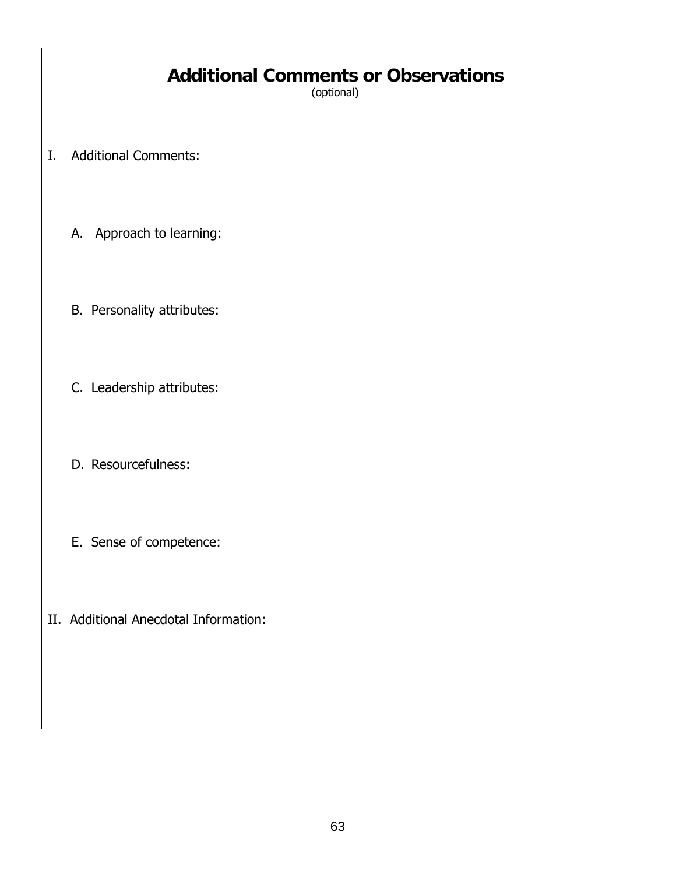### **Additional Comments or Observations**

(optional)

- I. Additional Comments:
	- A. Approach to learning:
	- B. Personality attributes:
	- C. Leadership attributes:
	- D. Resourcefulness:
	- E. Sense of competence:
- II. Additional Anecdotal Information: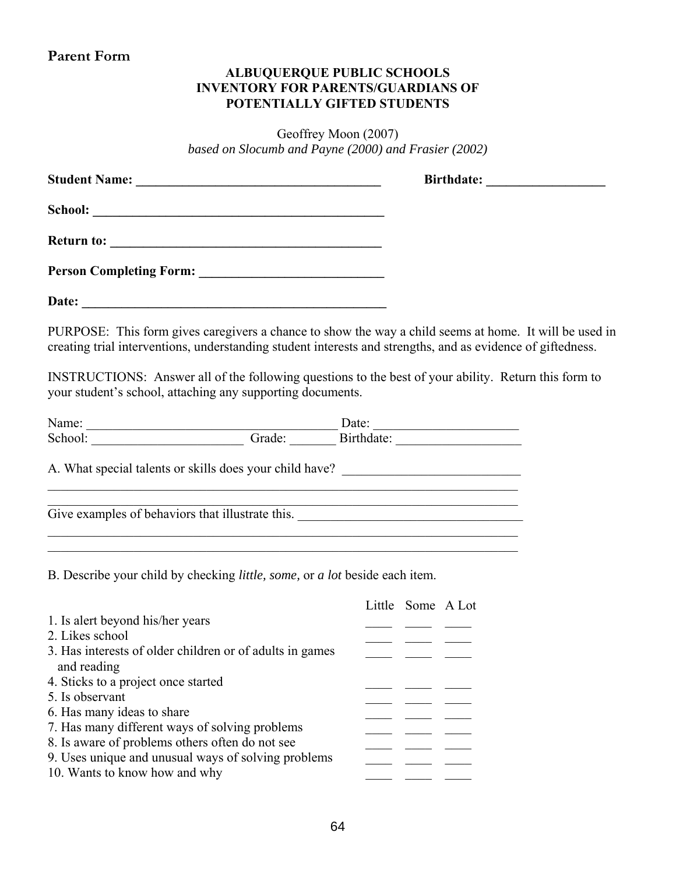#### **Parent Form**

#### **ALBUQUERQUE PUBLIC SCHOOLS INVENTORY FOR PARENTS/GUARDIANS OF POTENTIALLY GIFTED STUDENTS**

Geoffrey Moon (2007) *based on Slocumb and Payne (2000) and Frasier (2002)* 

| PURPOSE: This form gives caregivers a chance to show the way a child seems at home. It will be used in<br>creating trial interventions, understanding student interests and strengths, and as evidence of giftedness.         |                                                                                                                      |
|-------------------------------------------------------------------------------------------------------------------------------------------------------------------------------------------------------------------------------|----------------------------------------------------------------------------------------------------------------------|
| INSTRUCTIONS: Answer all of the following questions to the best of your ability. Return this form to<br>your student's school, attaching any supporting documents.                                                            |                                                                                                                      |
|                                                                                                                                                                                                                               |                                                                                                                      |
| Name: Date: Date: Date: Date: Date: Date: Date: Date: Date: Date: Date: Director of Birthdate: Director of Birthdate: Director of Birthdate: Director of Birthdate: Director of Birthdate: Director of Birthdate: Director of |                                                                                                                      |
| A. What special talents or skills does your child have? _________________________<br><u> 1989 - Johann Stoff, amerikansk politiker (d. 1989)</u>                                                                              | <u> 1989 - Johann John Stein, markin film ar yn y brenin y brenin y brenin y brenin y brenin y brenin y brenin y</u> |
| and the control of the control of the control of the control of the control of the control of the control of the                                                                                                              |                                                                                                                      |
| B. Describe your child by checking <i>little</i> , <i>some</i> , or <i>a lot</i> beside each item.                                                                                                                            |                                                                                                                      |
| 1. Is alert beyond his/her years<br>2. Likes school                                                                                                                                                                           | Little Some A Lot                                                                                                    |
| 3. Has interests of older children or of adults in games<br>and reading                                                                                                                                                       |                                                                                                                      |
| 4. Sticks to a project once started<br>5. Is observant                                                                                                                                                                        |                                                                                                                      |
| 6. Has many ideas to share                                                                                                                                                                                                    |                                                                                                                      |
| 7. Has many different ways of solving problems<br>8. Is aware of problems others often do not see                                                                                                                             |                                                                                                                      |

9. Uses unique and unusual ways of solving problems  $\frac{1}{\sqrt{1-\frac{1}{\sqrt{1-\frac{1}{\sqrt{1-\frac{1}{\sqrt{1-\frac{1}{\sqrt{1-\frac{1}{\sqrt{1-\frac{1}{\sqrt{1-\frac{1}{\sqrt{1-\frac{1}{\sqrt{1-\frac{1}{\sqrt{1-\frac{1}{\sqrt{1-\frac{1}{\sqrt{1-\frac{1}{\sqrt{1-\frac{1}{\sqrt{1-\frac{1}{\sqrt{1-\frac{1}{\sqrt{1-\frac{1}{\sqrt{1-\frac{1}{\sqrt{1-\frac{1}{\sqrt$ 10. Wants to know how and why  $\frac{10}{\sqrt{2}}$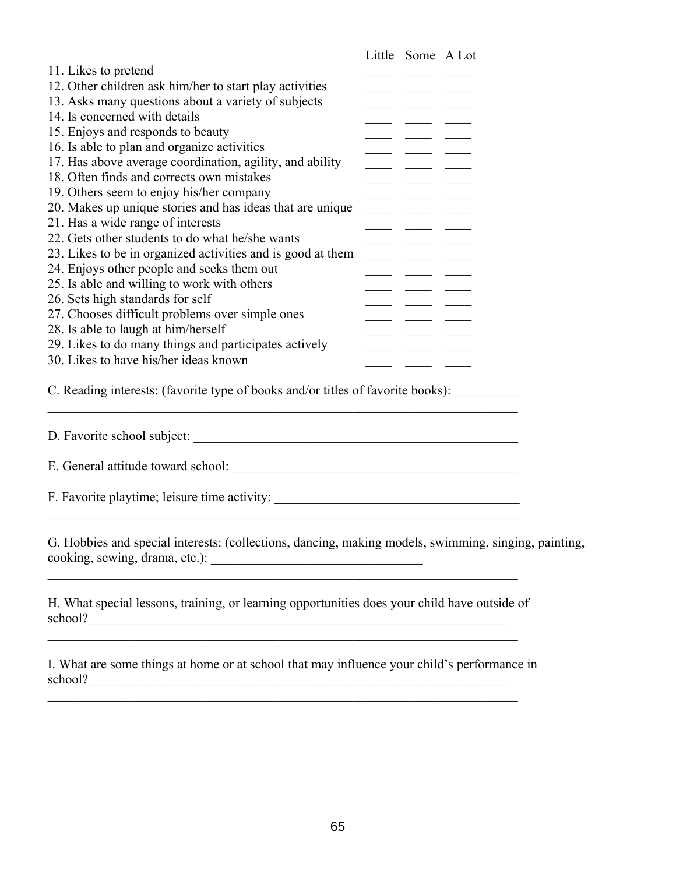|                                                             | Little Some A Lot |  |
|-------------------------------------------------------------|-------------------|--|
| 11. Likes to pretend                                        |                   |  |
| 12. Other children ask him/her to start play activities     |                   |  |
| 13. Asks many questions about a variety of subjects         |                   |  |
| 14. Is concerned with details                               |                   |  |
| 15. Enjoys and responds to beauty                           |                   |  |
| 16. Is able to plan and organize activities                 |                   |  |
| 17. Has above average coordination, agility, and ability    |                   |  |
| 18. Often finds and corrects own mistakes                   |                   |  |
| 19. Others seem to enjoy his/her company                    |                   |  |
| 20. Makes up unique stories and has ideas that are unique   |                   |  |
| 21. Has a wide range of interests                           |                   |  |
| 22. Gets other students to do what he/she wants             |                   |  |
| 23. Likes to be in organized activities and is good at them |                   |  |
| 24. Enjoys other people and seeks them out                  |                   |  |
| 25. Is able and willing to work with others                 |                   |  |
| 26. Sets high standards for self                            |                   |  |
| 27. Chooses difficult problems over simple ones             |                   |  |
| 28. Is able to laugh at him/herself                         |                   |  |
| 29. Likes to do many things and participates actively       |                   |  |
| 30. Likes to have his/her ideas known                       |                   |  |

C. Reading interests: (favorite type of books and/or titles of favorite books):  $\mathcal{L}_\mathcal{L} = \mathcal{L}_\mathcal{L} = \mathcal{L}_\mathcal{L} = \mathcal{L}_\mathcal{L} = \mathcal{L}_\mathcal{L} = \mathcal{L}_\mathcal{L} = \mathcal{L}_\mathcal{L} = \mathcal{L}_\mathcal{L} = \mathcal{L}_\mathcal{L} = \mathcal{L}_\mathcal{L} = \mathcal{L}_\mathcal{L} = \mathcal{L}_\mathcal{L} = \mathcal{L}_\mathcal{L} = \mathcal{L}_\mathcal{L} = \mathcal{L}_\mathcal{L} = \mathcal{L}_\mathcal{L} = \mathcal{L}_\mathcal{L}$ 

D. Favorite school subject:

E. General attitude toward school: \_\_\_\_\_\_\_\_\_\_\_\_\_\_\_\_\_\_\_\_\_\_\_\_\_\_\_\_\_\_\_\_\_\_\_\_\_\_\_\_\_\_\_

 $\mathcal{L}_\text{max} = \mathcal{L}_\text{max} = \mathcal{L}_\text{max} = \mathcal{L}_\text{max} = \mathcal{L}_\text{max} = \mathcal{L}_\text{max} = \mathcal{L}_\text{max} = \mathcal{L}_\text{max} = \mathcal{L}_\text{max} = \mathcal{L}_\text{max} = \mathcal{L}_\text{max} = \mathcal{L}_\text{max} = \mathcal{L}_\text{max} = \mathcal{L}_\text{max} = \mathcal{L}_\text{max} = \mathcal{L}_\text{max} = \mathcal{L}_\text{max} = \mathcal{L}_\text{max} = \mathcal{$ 

F. Favorite playtime; leisure time activity: \_\_\_\_\_\_\_\_\_\_\_\_\_\_\_\_\_\_\_\_\_\_\_\_\_\_\_\_\_\_\_\_\_\_\_

G. Hobbies and special interests: (collections, dancing, making models, swimming, singing, painting, cooking, sewing, drama, etc.): \_\_\_\_\_\_\_\_\_\_\_\_\_\_\_\_\_\_\_\_\_\_\_\_\_\_\_\_\_\_\_\_

 $\mathcal{L}_\text{max} = \frac{1}{2} \sum_{i=1}^n \mathcal{L}_\text{max} = \frac{1}{2} \sum_{i=1}^n \mathcal{L}_\text{max} = \frac{1}{2} \sum_{i=1}^n \mathcal{L}_\text{max} = \frac{1}{2} \sum_{i=1}^n \mathcal{L}_\text{max} = \frac{1}{2} \sum_{i=1}^n \mathcal{L}_\text{max} = \frac{1}{2} \sum_{i=1}^n \mathcal{L}_\text{max} = \frac{1}{2} \sum_{i=1}^n \mathcal{L}_\text{max} = \frac{1}{2} \sum_{i=$ 

H. What special lessons, training, or learning opportunities does your child have outside of school?

 $\mathcal{L}_\text{max}$  and  $\mathcal{L}_\text{max}$  and  $\mathcal{L}_\text{max}$  and  $\mathcal{L}_\text{max}$  and  $\mathcal{L}_\text{max}$  and  $\mathcal{L}_\text{max}$ 

 $\mathcal{L}_\text{max}$  and  $\mathcal{L}_\text{max}$  and  $\mathcal{L}_\text{max}$  and  $\mathcal{L}_\text{max}$  and  $\mathcal{L}_\text{max}$  and  $\mathcal{L}_\text{max}$ 

I. What are some things at home or at school that may influence your child's performance in school?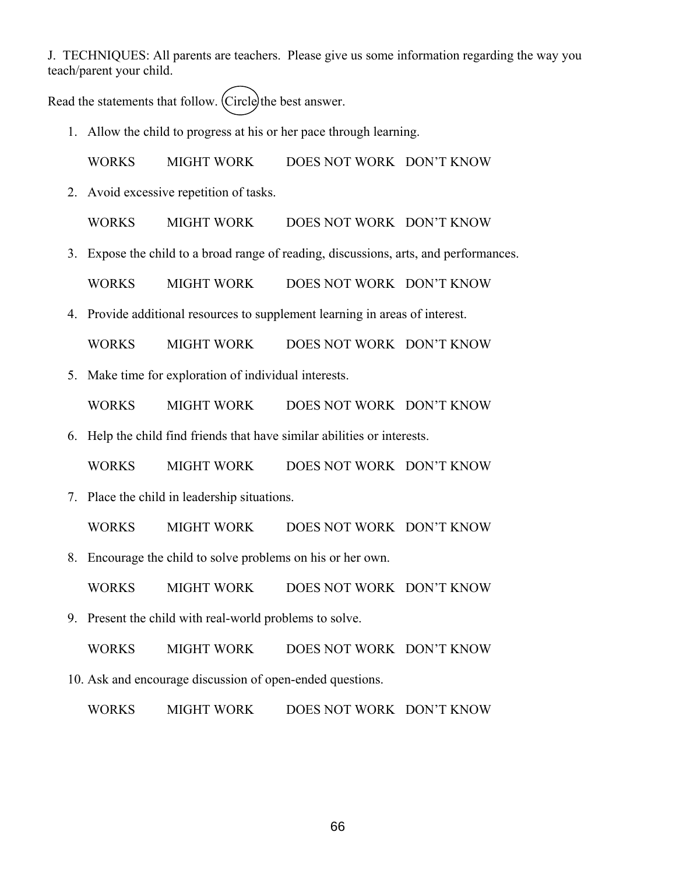J. TECHNIQUES: All parents are teachers. Please give us some information regarding the way you teach/parent your child.

Read the statements that follow. (Circle) the best answer.

1. Allow the child to progress at his or her pace through learning.

WORKS MIGHT WORK DOES NOT WORK DON'T KNOW

2. Avoid excessive repetition of tasks.

WORKS MIGHT WORK DOES NOT WORK DON'T KNOW

3. Expose the child to a broad range of reading, discussions, arts, and performances.

WORKS MIGHT WORK DOES NOT WORK DON'T KNOW

4. Provide additional resources to supplement learning in areas of interest.

WORKS MIGHT WORK DOES NOT WORK DON'T KNOW

5. Make time for exploration of individual interests.

WORKS MIGHT WORK DOES NOT WORK DON'T KNOW

6. Help the child find friends that have similar abilities or interests.

WORKS MIGHT WORK DOES NOT WORK DON'T KNOW

7. Place the child in leadership situations.

WORKS MIGHT WORK DOES NOT WORK DON'T KNOW

8. Encourage the child to solve problems on his or her own.

WORKS MIGHT WORK DOES NOT WORK DON'T KNOW

9. Present the child with real-world problems to solve.

WORKS MIGHT WORK DOES NOT WORK DON'T KNOW

10. Ask and encourage discussion of open-ended questions.

WORKS MIGHT WORK DOES NOT WORK DON'T KNOW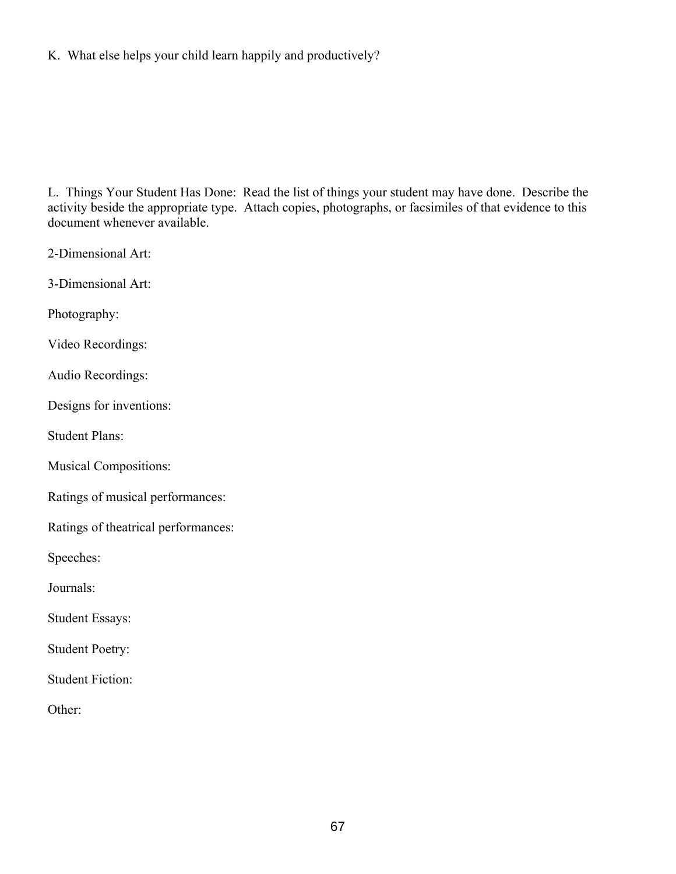#### K. What else helps your child learn happily and productively?

L. Things Your Student Has Done: Read the list of things your student may have done. Describe the activity beside the appropriate type. Attach copies, photographs, or facsimiles of that evidence to this document whenever available.

2-Dimensional Art:

3-Dimensional Art:

Photography:

Video Recordings:

Audio Recordings:

Designs for inventions:

Student Plans:

Musical Compositions:

Ratings of musical performances:

Ratings of theatrical performances:

Speeches:

Journals:

Student Essays:

Student Poetry:

Student Fiction:

Other: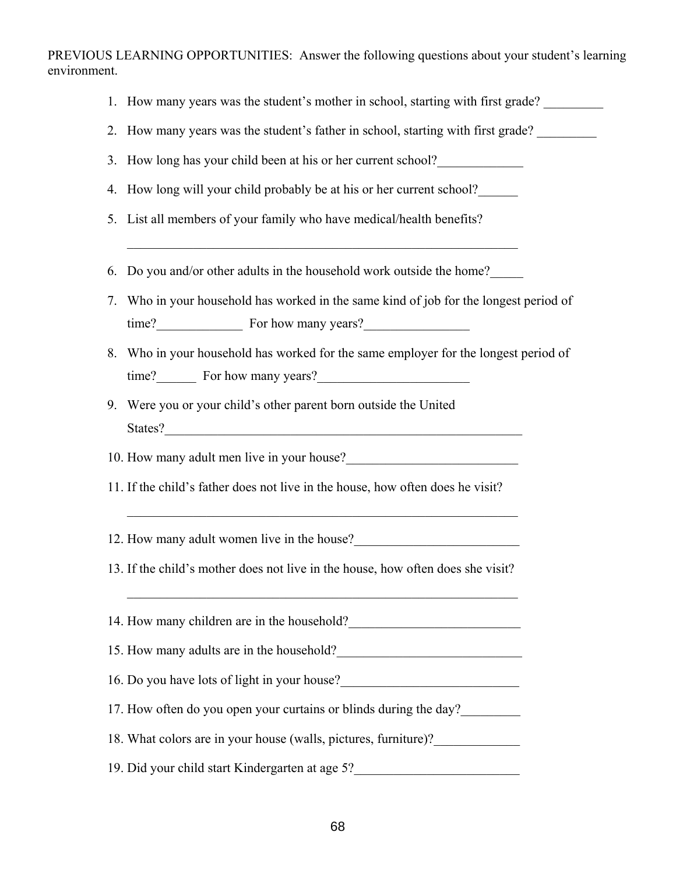PREVIOUS LEARNING OPPORTUNITIES: Answer the following questions about your student's learning environment.

- 1. How many years was the student's mother in school, starting with first grade?
- 2. How many years was the student's father in school, starting with first grade?
- 3. How long has your child been at his or her current school?
- 4. How long will your child probably be at his or her current school?\_\_\_\_\_\_
- 5. List all members of your family who have medical/health benefits?
- 6. Do you and/or other adults in the household work outside the home?\_\_\_\_\_

 $\mathcal{L}_\text{max}$  and the contract of the contract of the contract of the contract of the contract of the contract of

- 7. Who in your household has worked in the same kind of job for the longest period of time? For how many years?
- 8. Who in your household has worked for the same employer for the longest period of time? For how many years?
- 9. Were you or your child's other parent born outside the United States?

10. How many adult men live in your house?

11. If the child's father does not live in the house, how often does he visit?

 $\mathcal{L}_\text{max}$  , and the contribution of the contribution of the contribution of the contribution of the contribution of the contribution of the contribution of the contribution of the contribution of the contribution of t

 $\mathcal{L}_\text{max}$  and the contract of the contract of the contract of the contract of the contract of the contract of

- 12. How many adult women live in the house?
- 13. If the child's mother does not live in the house, how often does she visit?

14. How many children are in the household?

15. How many adults are in the household?

- 16. Do you have lots of light in your house?
- 17. How often do you open your curtains or blinds during the day?

18. What colors are in your house (walls, pictures, furniture)?

19. Did your child start Kindergarten at age 5?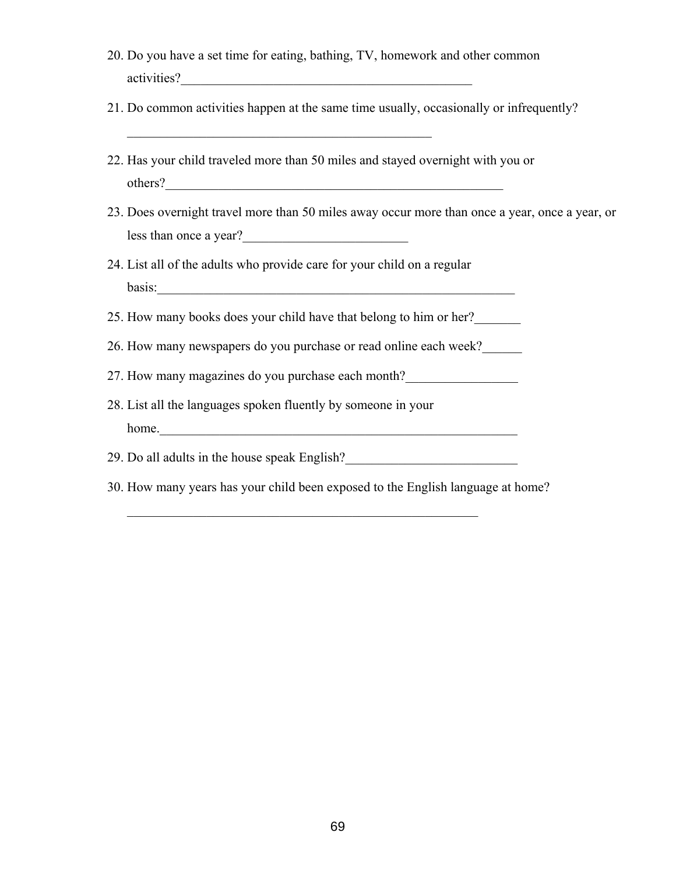- 20. Do you have a set time for eating, bathing, TV, homework and other common activities?\_\_\_\_\_\_\_\_\_\_\_\_\_\_\_\_\_\_\_\_\_\_\_\_\_\_\_\_\_\_\_\_\_\_\_\_\_\_\_\_\_\_\_\_
- 21. Do common activities happen at the same time usually, occasionally or infrequently?
- 22. Has your child traveled more than 50 miles and stayed overnight with you or others?

 $\mathcal{L}_\text{max}$  and  $\mathcal{L}_\text{max}$  and  $\mathcal{L}_\text{max}$  and  $\mathcal{L}_\text{max}$ 

- 23. Does overnight travel more than 50 miles away occur more than once a year, once a year, or less than once a year?\_\_\_\_\_\_\_\_\_\_\_\_\_\_\_\_\_\_\_\_\_\_\_\_\_
- 24. List all of the adults who provide care for your child on a regular basis:
- 25. How many books does your child have that belong to him or her?\_\_\_\_\_\_\_
- 26. How many newspapers do you purchase or read online each week?\_\_\_\_\_\_
- 27. How many magazines do you purchase each month?\_\_\_\_\_\_\_\_\_\_\_\_\_\_\_\_\_
- 28. List all the languages spoken fluently by someone in your home.

29. Do all adults in the house speak English?\_\_\_\_\_\_\_\_\_\_\_\_\_\_\_\_\_\_\_\_\_\_\_\_\_\_

 $\mathcal{L}_\text{max}$  , and the contract of the contract of the contract of the contract of the contract of the contract of the contract of the contract of the contract of the contract of the contract of the contract of the contr

30. How many years has your child been exposed to the English language at home?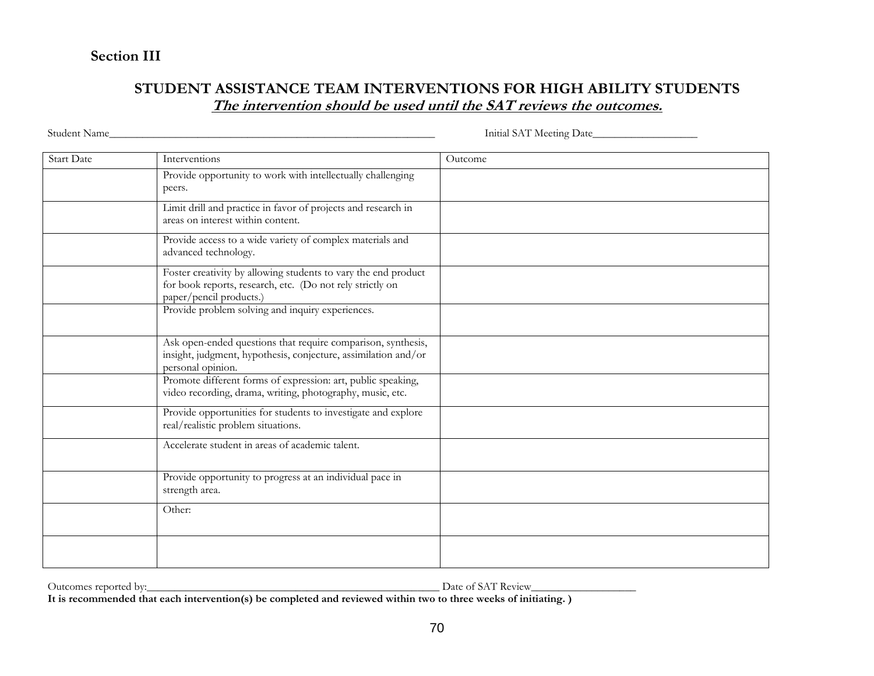# **Section III**

# **STUDENT ASSISTANCE TEAM INTERVENTIONS FOR HIGH ABILITY STUDENTS The intervention should be used until the SAT reviews the outcomes.**

Student Name\_\_\_\_\_\_\_\_\_\_\_\_\_\_\_\_\_\_\_\_\_\_\_\_\_\_\_\_\_\_\_\_\_\_\_\_\_\_\_\_\_\_\_\_\_\_\_\_\_\_\_\_\_\_\_\_\_\_\_ Initial SAT Meeting Date\_\_\_\_\_\_\_\_\_\_\_\_\_\_\_\_\_\_\_

| <b>Start Date</b> | Interventions                                                                                                                                          | Outcome |
|-------------------|--------------------------------------------------------------------------------------------------------------------------------------------------------|---------|
|                   | Provide opportunity to work with intellectually challenging<br>peers.                                                                                  |         |
|                   | Limit drill and practice in favor of projects and research in<br>areas on interest within content.                                                     |         |
|                   | Provide access to a wide variety of complex materials and<br>advanced technology.                                                                      |         |
|                   | Foster creativity by allowing students to vary the end product<br>for book reports, research, etc. (Do not rely strictly on<br>paper/pencil products.) |         |
|                   | Provide problem solving and inquiry experiences.                                                                                                       |         |
|                   | Ask open-ended questions that require comparison, synthesis,<br>insight, judgment, hypothesis, conjecture, assimilation and/or<br>personal opinion.    |         |
|                   | Promote different forms of expression: art, public speaking,<br>video recording, drama, writing, photography, music, etc.                              |         |
|                   | Provide opportunities for students to investigate and explore<br>real/realistic problem situations.                                                    |         |
|                   | Accelerate student in areas of academic talent.                                                                                                        |         |
|                   | Provide opportunity to progress at an individual pace in<br>strength area.                                                                             |         |
|                   | Other:                                                                                                                                                 |         |
|                   |                                                                                                                                                        |         |

Outcomes reported by:\_\_\_\_\_\_\_\_\_\_\_\_\_\_\_\_\_\_\_\_\_\_\_\_\_\_\_\_\_\_\_\_\_\_\_\_\_\_\_\_\_\_\_\_\_\_\_\_\_\_\_\_\_ Date of SAT Review\_\_\_\_\_\_\_\_\_\_\_\_\_\_\_\_\_\_\_

**It is recommended that each intervention(s) be completed and reviewed within two to three weeks of initiating. )**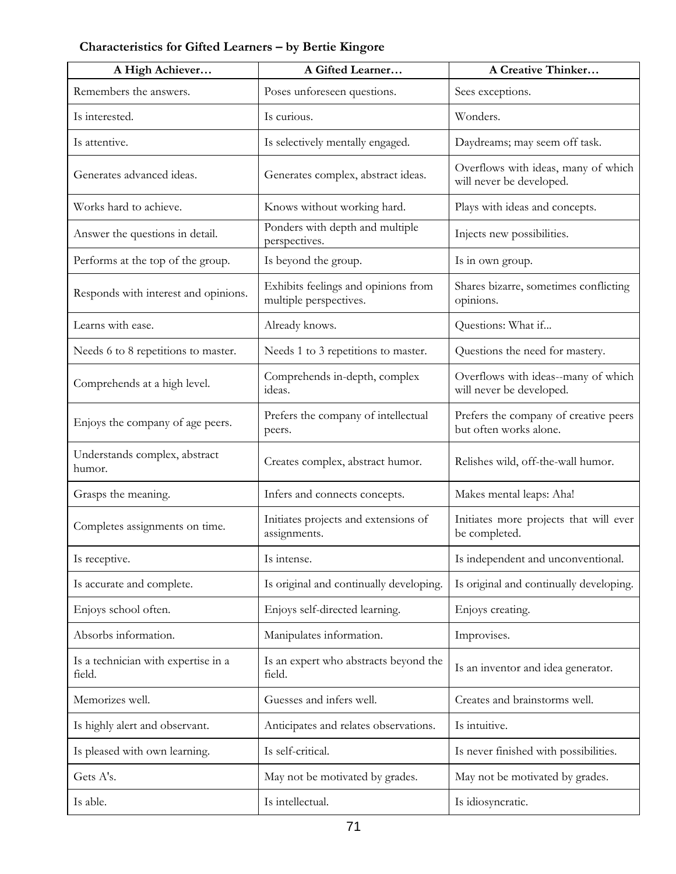# **Characteristics for Gifted Learners – by Bertie Kingore**

| A High Achiever                               | A Gifted Learner                                              | A Creative Thinker                                              |
|-----------------------------------------------|---------------------------------------------------------------|-----------------------------------------------------------------|
| Remembers the answers.                        | Poses unforeseen questions.                                   | Sees exceptions.                                                |
| Is interested.                                | Is curious.                                                   | Wonders.                                                        |
| Is attentive.                                 | Is selectively mentally engaged.                              | Daydreams; may seem off task.                                   |
| Generates advanced ideas.                     | Generates complex, abstract ideas.                            | Overflows with ideas, many of which<br>will never be developed. |
| Works hard to achieve.                        | Knows without working hard.                                   | Plays with ideas and concepts.                                  |
| Answer the questions in detail.               | Ponders with depth and multiple<br>perspectives.              | Injects new possibilities.                                      |
| Performs at the top of the group.             | Is beyond the group.                                          | Is in own group.                                                |
| Responds with interest and opinions.          | Exhibits feelings and opinions from<br>multiple perspectives. | Shares bizarre, sometimes conflicting<br>opinions.              |
| Learns with ease.                             | Already knows.                                                | Questions: What if                                              |
| Needs 6 to 8 repetitions to master.           | Needs 1 to 3 repetitions to master.                           | Questions the need for mastery.                                 |
| Comprehends at a high level.                  | Comprehends in-depth, complex<br>ideas.                       | Overflows with ideas--many of which<br>will never be developed. |
| Enjoys the company of age peers.              | Prefers the company of intellectual<br>peers.                 | Prefers the company of creative peers<br>but often works alone. |
| Understands complex, abstract<br>humor.       | Creates complex, abstract humor.                              | Relishes wild, off-the-wall humor.                              |
| Grasps the meaning.                           | Infers and connects concepts.                                 | Makes mental leaps: Aha!                                        |
| Completes assignments on time.                | Initiates projects and extensions of<br>assignments.          | Initiates more projects that will ever<br>be completed.         |
| Is receptive.                                 | Is intense.                                                   | Is independent and unconventional.                              |
| Is accurate and complete.                     | Is original and continually developing.                       | Is original and continually developing.                         |
| Enjoys school often.                          | Enjoys self-directed learning.                                | Enjoys creating.                                                |
| Absorbs information.                          | Manipulates information.                                      | Improvises.                                                     |
| Is a technician with expertise in a<br>field. | Is an expert who abstracts beyond the<br>field.               | Is an inventor and idea generator.                              |
| Memorizes well.                               | Guesses and infers well.                                      | Creates and brainstorms well.                                   |
| Is highly alert and observant.                | Anticipates and relates observations.                         | Is intuitive.                                                   |
| Is pleased with own learning.                 | Is self-critical.                                             | Is never finished with possibilities.                           |
| Gets A's.                                     | May not be motivated by grades.                               | May not be motivated by grades.                                 |
| Is able.                                      | Is intellectual.                                              | Is idiosyncratic.                                               |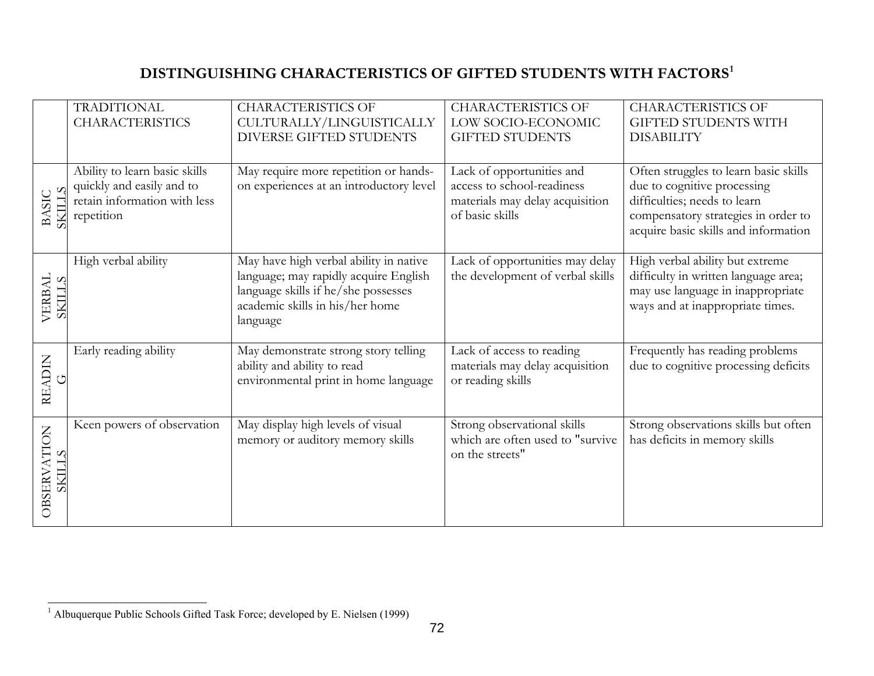# **DISTINGUISHING CHARACTERISTICS OF GIFTED STUDENTS WITH FACTORS[1](#page-76-0)**

|                                | <b>TRADITIONAL</b><br><b>CHARACTERISTICS</b>                                                             | <b>CHARACTERISTICS OF</b><br>CULTURALLY/LINGUISTICALLY<br>DIVERSE GIFTED STUDENTS                                                                                     | <b>CHARACTERISTICS OF</b><br>LOW SOCIO-ECONOMIC<br><b>GIFTED STUDENTS</b>                                     | <b>CHARACTERISTICS OF</b><br><b>GIFTED STUDENTS WITH</b><br><b>DISABILITY</b>                                                                                                       |
|--------------------------------|----------------------------------------------------------------------------------------------------------|-----------------------------------------------------------------------------------------------------------------------------------------------------------------------|---------------------------------------------------------------------------------------------------------------|-------------------------------------------------------------------------------------------------------------------------------------------------------------------------------------|
| BASIC<br>SKILLS<br><b>TINS</b> | Ability to learn basic skills<br>quickly and easily and to<br>retain information with less<br>repetition | May require more repetition or hands-<br>on experiences at an introductory level                                                                                      | Lack of opportunities and<br>access to school-readiness<br>materials may delay acquisition<br>of basic skills | Often struggles to learn basic skills<br>due to cognitive processing<br>difficulties; needs to learn<br>compensatory strategies in order to<br>acquire basic skills and information |
| VERBAL<br>SKILLS               | High verbal ability                                                                                      | May have high verbal ability in native<br>language; may rapidly acquire English<br>language skills if he/she possesses<br>academic skills in his/her home<br>language | Lack of opportunities may delay<br>the development of verbal skills                                           | High verbal ability but extreme<br>difficulty in written language area;<br>may use language in inappropriate<br>ways and at inappropriate times.                                    |
| <b>READIN</b><br>ڻ             | Early reading ability                                                                                    | May demonstrate strong story telling<br>ability and ability to read<br>environmental print in home language                                                           | Lack of access to reading<br>materials may delay acquisition<br>or reading skills                             | Frequently has reading problems<br>due to cognitive processing deficits                                                                                                             |
| <b>OBSERVATION</b><br>SKILLS   | Keen powers of observation                                                                               | May display high levels of visual<br>memory or auditory memory skills                                                                                                 | Strong observational skills<br>which are often used to "survive<br>on the streets"                            | Strong observations skills but often<br>has deficits in memory skills                                                                                                               |

<span id="page-76-0"></span><sup>&</sup>lt;sup>1</sup> Albuquerque Public Schools Gifted Task Force; developed by E. Nielsen (1999)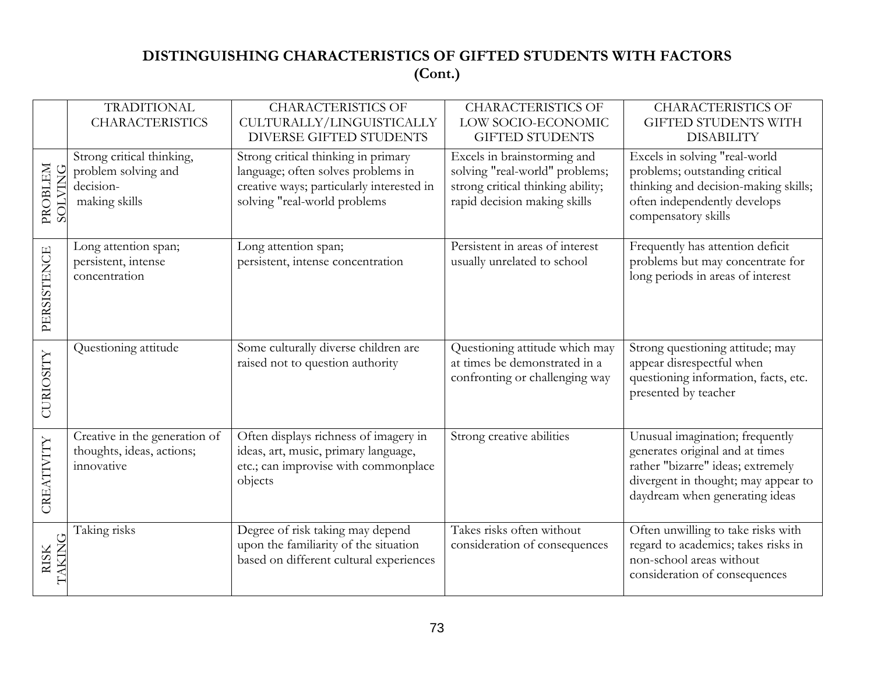# **DISTINGUISHING CHARACTERISTICS OF GIFTED STUDENTS WITH FACTORS (Cont.)**

|                              | <b>TRADITIONAL</b><br><b>CHARACTERISTICS</b>                                   | <b>CHARACTERISTICS OF</b><br>CULTURALLY/LINGUISTICALLY<br>DIVERSE GIFTED STUDENTS                                                                      | <b>CHARACTERISTICS OF</b><br>LOW SOCIO-ECONOMIC<br><b>GIFTED STUDENTS</b>                                                          | <b>CHARACTERISTICS OF</b><br><b>GIFTED STUDENTS WITH</b><br><b>DISABILITY</b>                                                                                                    |
|------------------------------|--------------------------------------------------------------------------------|--------------------------------------------------------------------------------------------------------------------------------------------------------|------------------------------------------------------------------------------------------------------------------------------------|----------------------------------------------------------------------------------------------------------------------------------------------------------------------------------|
| PROBLEM<br><b>SOLVING</b>    | Strong critical thinking,<br>problem solving and<br>decision-<br>making skills | Strong critical thinking in primary<br>language; often solves problems in<br>creative ways; particularly interested in<br>solving "real-world problems | Excels in brainstorming and<br>solving "real-world" problems;<br>strong critical thinking ability;<br>rapid decision making skills | Excels in solving "real-world<br>problems; outstanding critical<br>thinking and decision-making skills;<br>often independently develops<br>compensatory skills                   |
| PERSISTENCE                  | Long attention span;<br>persistent, intense<br>concentration                   | Long attention span;<br>persistent, intense concentration                                                                                              | Persistent in areas of interest<br>usually unrelated to school                                                                     | Frequently has attention deficit<br>problems but may concentrate for<br>long periods in areas of interest                                                                        |
| CURIOSITY                    | Questioning attitude                                                           | Some culturally diverse children are<br>raised not to question authority                                                                               | Questioning attitude which may<br>at times be demonstrated in a<br>confronting or challenging way                                  | Strong questioning attitude; may<br>appear disrespectful when<br>questioning information, facts, etc.<br>presented by teacher                                                    |
| CREATIVITY                   | Creative in the generation of<br>thoughts, ideas, actions;<br>innovative       | Often displays richness of imagery in<br>ideas, art, music, primary language,<br>etc.; can improvise with commonplace<br>objects                       | Strong creative abilities                                                                                                          | Unusual imagination; frequently<br>generates original and at times<br>rather "bizarre" ideas; extremely<br>divergent in thought; may appear to<br>daydream when generating ideas |
| <b>TAKING</b><br><b>RISK</b> | Taking risks                                                                   | Degree of risk taking may depend<br>upon the familiarity of the situation<br>based on different cultural experiences                                   | Takes risks often without<br>consideration of consequences                                                                         | Often unwilling to take risks with<br>regard to academics; takes risks in<br>non-school areas without<br>consideration of consequences                                           |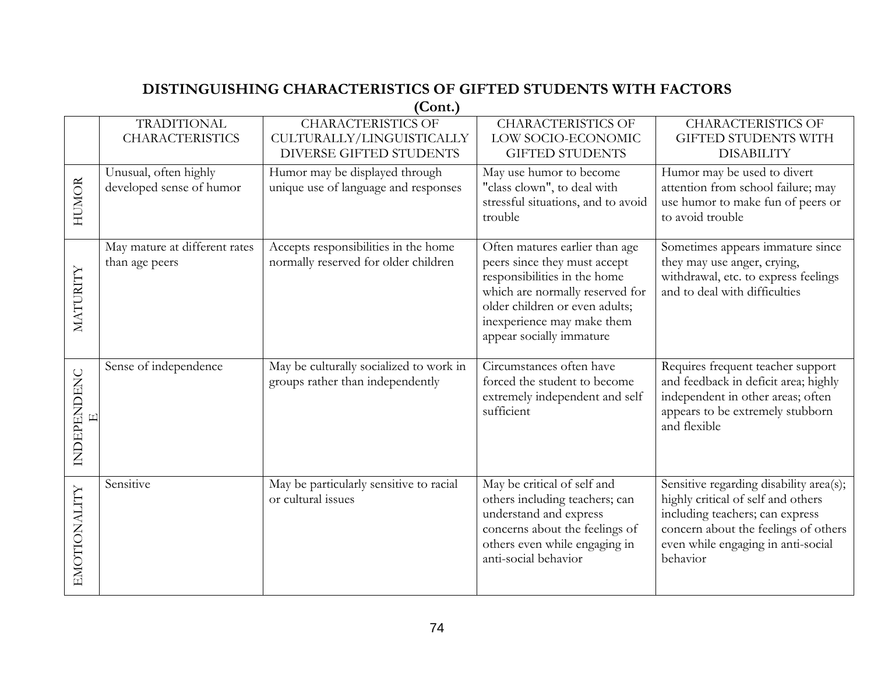# **DISTINGUISHING CHARACTERISTICS OF GIFTED STUDENTS WITH FACTORS**

**(Cont.)** 

|                    | <b>TRADITIONAL</b><br><b>CHARACTERISTICS</b>      | $\sqrt{ }$<br><b>CHARACTERISTICS OF</b><br>CULTURALLY/LINGUISTICALLY<br><b>DIVERSE GIFTED STUDENTS</b> | <b>CHARACTERISTICS OF</b><br>LOW SOCIO-ECONOMIC<br><b>GIFTED STUDENTS</b>                                                                                                                                                     | <b>CHARACTERISTICS OF</b><br><b>GIFTED STUDENTS WITH</b><br><b>DISABILITY</b>                                                                                                                              |
|--------------------|---------------------------------------------------|--------------------------------------------------------------------------------------------------------|-------------------------------------------------------------------------------------------------------------------------------------------------------------------------------------------------------------------------------|------------------------------------------------------------------------------------------------------------------------------------------------------------------------------------------------------------|
| <b>HUMOR</b>       | Unusual, often highly<br>developed sense of humor | Humor may be displayed through<br>unique use of language and responses                                 | May use humor to become<br>"class clown", to deal with<br>stressful situations, and to avoid<br>trouble                                                                                                                       | Humor may be used to divert<br>attention from school failure; may<br>use humor to make fun of peers or<br>to avoid trouble                                                                                 |
| <b>MATURITY</b>    | May mature at different rates<br>than age peers   | Accepts responsibilities in the home<br>normally reserved for older children                           | Often matures earlier than age<br>peers since they must accept<br>responsibilities in the home<br>which are normally reserved for<br>older children or even adults;<br>inexperience may make them<br>appear socially immature | Sometimes appears immature since<br>they may use anger, crying,<br>withdrawal, etc. to express feelings<br>and to deal with difficulties                                                                   |
| <b>INDEPENDENC</b> | Sense of independence                             | May be culturally socialized to work in<br>groups rather than independently                            | Circumstances often have<br>forced the student to become<br>extremely independent and self<br>sufficient                                                                                                                      | Requires frequent teacher support<br>and feedback in deficit area; highly<br>independent in other areas; often<br>appears to be extremely stubborn<br>and flexible                                         |
| EMOTIONALITY       | Sensitive                                         | May be particularly sensitive to racial<br>or cultural issues                                          | May be critical of self and<br>others including teachers; can<br>understand and express<br>concerns about the feelings of<br>others even while engaging in<br>anti-social behavior                                            | Sensitive regarding disability area(s);<br>highly critical of self and others<br>including teachers; can express<br>concern about the feelings of others<br>even while engaging in anti-social<br>behavior |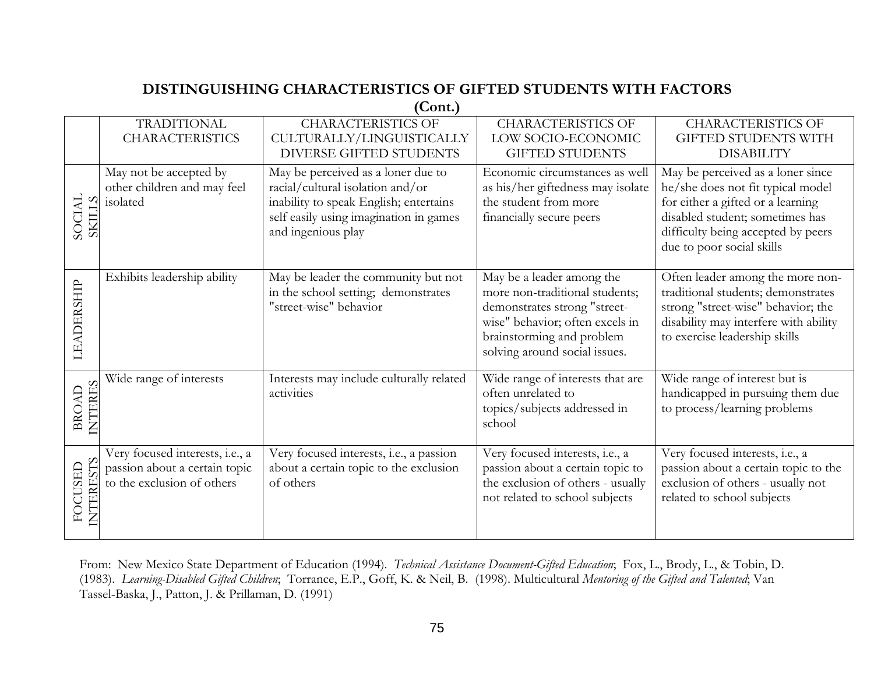# **DISTINGUISHING CHARACTERISTICS OF GIFTED STUDENTS WITH FACTORS**

**(Cont.)** 

|                               | <b>TRADITIONAL</b>                                                                             | , som<br><b>CHARACTERISTICS OF</b>                                                                                                                                               | <b>CHARACTERISTICS OF</b>                                                                                                                                                                    | <b>CHARACTERISTICS OF</b>                                                                                                                                                                                         |
|-------------------------------|------------------------------------------------------------------------------------------------|----------------------------------------------------------------------------------------------------------------------------------------------------------------------------------|----------------------------------------------------------------------------------------------------------------------------------------------------------------------------------------------|-------------------------------------------------------------------------------------------------------------------------------------------------------------------------------------------------------------------|
|                               | <b>CHARACTERISTICS</b>                                                                         | CULTURALLY/LINGUISTICALLY                                                                                                                                                        | LOW SOCIO-ECONOMIC                                                                                                                                                                           | <b>GIFTED STUDENTS WITH</b>                                                                                                                                                                                       |
|                               |                                                                                                | DIVERSE GIFTED STUDENTS                                                                                                                                                          | <b>GIFTED STUDENTS</b>                                                                                                                                                                       | <b>DISABILITY</b>                                                                                                                                                                                                 |
| <b>NDOS</b><br><b>TTESS</b>   | May not be accepted by<br>other children and may feel<br>isolated                              | May be perceived as a loner due to<br>racial/cultural isolation and/or<br>inability to speak English; entertains<br>self easily using imagination in games<br>and ingenious play | Economic circumstances as well<br>as his/her giftedness may isolate<br>the student from more<br>financially secure peers                                                                     | May be perceived as a loner since<br>he/she does not fit typical model<br>for either a gifted or a learning<br>disabled student; sometimes has<br>difficulty being accepted by peers<br>due to poor social skills |
| LEADERSHIP                    | Exhibits leadership ability                                                                    | May be leader the community but not<br>in the school setting; demonstrates<br>"street-wise" behavior                                                                             | May be a leader among the<br>more non-traditional students;<br>demonstrates strong "street-<br>wise" behavior; often excels in<br>brainstorming and problem<br>solving around social issues. | Often leader among the more non-<br>traditional students; demonstrates<br>strong "street-wise" behavior; the<br>disability may interfere with ability<br>to exercise leadership skills                            |
| <b>NTERES</b><br><b>BROAD</b> | Wide range of interests                                                                        | Interests may include culturally related<br>activities                                                                                                                           | Wide range of interests that are<br>often unrelated to<br>topics/subjects addressed in<br>school                                                                                             | Wide range of interest but is<br>handicapped in pursuing them due<br>to process/learning problems                                                                                                                 |
| <b>INTERESTS</b><br>FOCUSED   | Very focused interests, i.e., a<br>passion about a certain topic<br>to the exclusion of others | Very focused interests, i.e., a passion<br>about a certain topic to the exclusion<br>of others                                                                                   | Very focused interests, i.e., a<br>passion about a certain topic to<br>the exclusion of others - usually<br>not related to school subjects                                                   | Very focused interests, i.e., a<br>passion about a certain topic to the<br>exclusion of others - usually not<br>related to school subjects                                                                        |

From: New Mexico State Department of Education (1994). *Technical Assistance Document-Gifted Education*; Fox, L., Brody, L., & Tobin, D. (1983). *Learning-Disabled Gifted Children*; Torrance, E.P., Goff, K. & Neil, B. (1998). Multicultural *Mentoring of the Gifted and Talented*; Van Tassel-Baska, J., Patton, J. & Prillaman, D. (1991)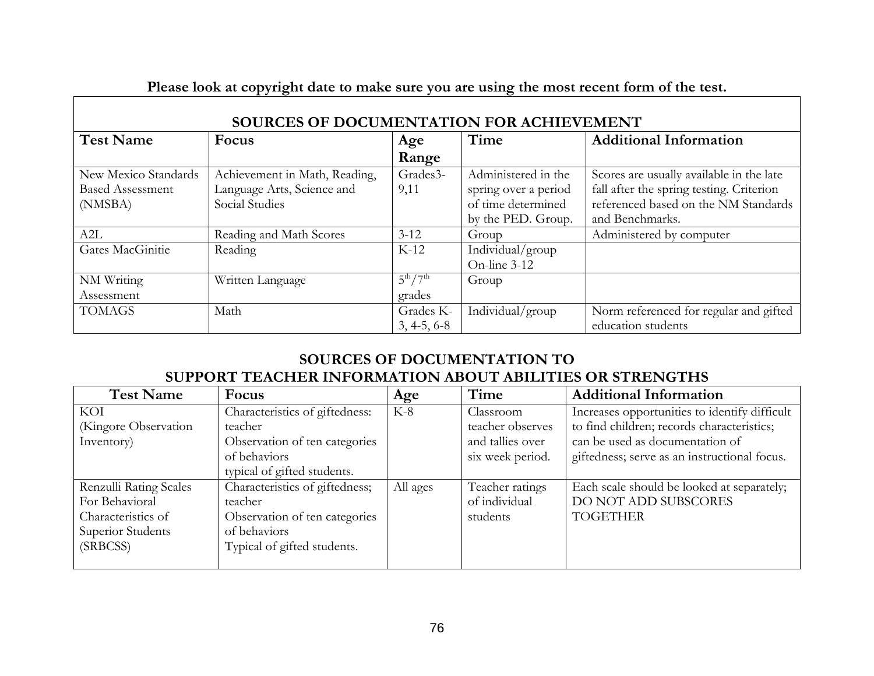| Please look at copyright date to make sure you are using the most recent form of the test. |                               |                 |                      |                                          |
|--------------------------------------------------------------------------------------------|-------------------------------|-----------------|----------------------|------------------------------------------|
| SOURCES OF DOCUMENTATION FOR ACHIEVEMENT                                                   |                               |                 |                      |                                          |
| <b>Test Name</b>                                                                           | Focus                         | Age             | Time                 | <b>Additional Information</b>            |
|                                                                                            |                               | Range           |                      |                                          |
| New Mexico Standards                                                                       | Achievement in Math, Reading, | Grades3-        | Administered in the  | Scores are usually available in the late |
| <b>Based Assessment</b>                                                                    | Language Arts, Science and    | 9,11            | spring over a period | fall after the spring testing. Criterion |
| (NMSBA)                                                                                    | Social Studies                |                 | of time determined   | referenced based on the NM Standards     |
|                                                                                            |                               |                 | by the PED. Group.   | and Benchmarks.                          |
| A2L                                                                                        | Reading and Math Scores       | $3 - 12$        | Group                | Administered by computer                 |
| Gates MacGinitie                                                                           | Reading                       | $K-12$          | Individual/group     |                                          |
|                                                                                            |                               |                 | On-line 3-12         |                                          |
| NM Writing                                                                                 | Written Language              | $5^{th}/7^{th}$ | Group                |                                          |
| Assessment                                                                                 |                               | grades          |                      |                                          |
| <b>TOMAGS</b>                                                                              | Math                          | Grades K-       | Individual/group     | Norm referenced for regular and gifted   |
|                                                                                            |                               | $3, 4-5, 6-8$   |                      | education students                       |

# **Please look at copyright date to make sure you are using the most recent form of the test.**

# **SOURCES OF DOCUMENTATION TO SUPPORT TEACHER INFORMATION ABOUT ABILITIES OR STRENGTHS**

| <b>Test Name</b>       | Focus                          | Age      | Time             | <b>Additional Information</b>                 |
|------------------------|--------------------------------|----------|------------------|-----------------------------------------------|
| KOI                    | Characteristics of giftedness: | $K-8$    | Classroom        | Increases opportunities to identify difficult |
| (Kingore Observation   | teacher                        |          | teacher observes | to find children; records characteristics;    |
| Inventory)             | Observation of ten categories  |          | and tallies over | can be used as documentation of               |
|                        | of behaviors                   |          | six week period. | giftedness; serve as an instructional focus.  |
|                        | typical of gifted students.    |          |                  |                                               |
| Renzulli Rating Scales | Characteristics of giftedness; | All ages | Teacher ratings  | Each scale should be looked at separately;    |
| For Behavioral         | teacher                        |          | of individual    | DO NOT ADD SUBSCORES                          |
| Characteristics of     | Observation of ten categories  |          | students         | <b>TOGETHER</b>                               |
| Superior Students      | of behaviors                   |          |                  |                                               |
| (SRBCSS)               | Typical of gifted students.    |          |                  |                                               |
|                        |                                |          |                  |                                               |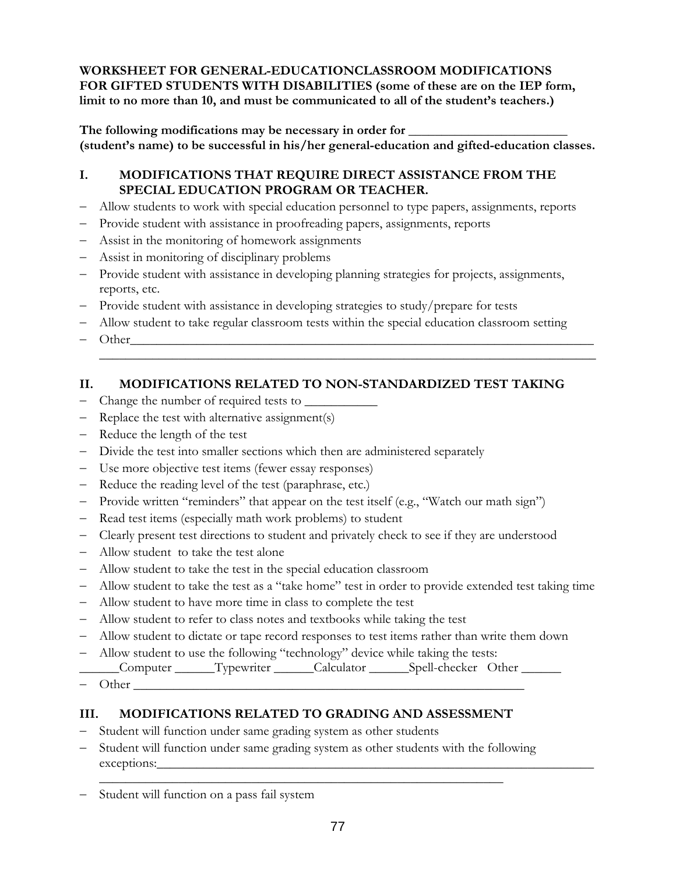**WORKSHEET FOR GENERAL-EDUCATIONCLASSROOM MODIFICATIONS FOR GIFTED STUDENTS WITH DISABILITIES (some of these are on the IEP form, limit to no more than 10, and must be communicated to all of the student's teachers.)** 

**The following modifications may be necessary in order for \_\_\_\_\_\_\_\_\_\_\_\_\_\_\_\_\_\_\_\_\_\_\_\_ (student's name) to be successful in his/her general-education and gifted-education classes.** 

### **I. MODIFICATIONS THAT REQUIRE DIRECT ASSISTANCE FROM THE SPECIAL EDUCATION PROGRAM OR TEACHER.**

- − Allow students to work with special education personnel to type papers, assignments, reports
- − Provide student with assistance in proofreading papers, assignments, reports
- − Assist in the monitoring of homework assignments
- − Assist in monitoring of disciplinary problems
- − Provide student with assistance in developing planning strategies for projects, assignments, reports, etc.
- − Provide student with assistance in developing strategies to study/prepare for tests
- − Allow student to take regular classroom tests within the special education classroom setting

\_\_\_\_\_\_\_\_\_\_\_\_\_\_\_\_\_\_\_\_\_\_\_\_\_\_\_\_\_\_\_\_\_\_\_\_\_\_\_\_\_\_\_\_\_\_\_\_\_\_\_\_\_\_\_\_\_\_\_\_\_\_\_\_\_\_\_\_\_\_\_\_\_\_\_

 $-$  Other

### **II. MODIFICATIONS RELATED TO NON-STANDARDIZED TEST TAKING**

- − Change the number of required tests to \_\_\_\_\_\_\_\_\_\_\_
- − Replace the test with alternative assignment(s)
- − Reduce the length of the test
- − Divide the test into smaller sections which then are administered separately
- − Use more objective test items (fewer essay responses)
- − Reduce the reading level of the test (paraphrase, etc.)
- − Provide written "reminders" that appear on the test itself (e.g., "Watch our math sign")
- − Read test items (especially math work problems) to student
- − Clearly present test directions to student and privately check to see if they are understood
- − Allow student to take the test alone
- − Allow student to take the test in the special education classroom
- − Allow student to take the test as a "take home" test in order to provide extended test taking time
- − Allow student to have more time in class to complete the test
- − Allow student to refer to class notes and textbooks while taking the test
- − Allow student to dictate or tape record responses to test items rather than write them down
- Allow student to use the following "technology" device while taking the tests:
- \_\_\_\_\_\_Computer \_\_\_\_\_\_Typewriter \_\_\_\_\_\_Calculator \_\_\_\_\_\_Spell-checker Other \_\_\_\_\_\_
- $-$  Other

### **III. MODIFICATIONS RELATED TO GRADING AND ASSESSMENT**

- − Student will function under same grading system as other students
- − Student will function under same grading system as other students with the following exceptions:\_\_\_\_\_\_\_\_\_\_\_\_\_\_\_\_\_\_\_\_\_\_\_\_\_\_\_\_\_\_\_\_\_\_\_\_\_\_\_\_\_\_\_\_\_\_\_\_\_\_\_\_\_\_\_\_\_\_\_\_\_\_\_\_\_\_

\_\_\_\_\_\_\_\_\_\_\_\_\_\_\_\_\_\_\_\_\_\_\_\_\_\_\_\_\_\_\_\_\_\_\_\_\_\_\_\_\_\_\_\_\_\_\_\_\_\_\_\_\_\_\_\_\_\_\_\_\_

Student will function on a pass fail system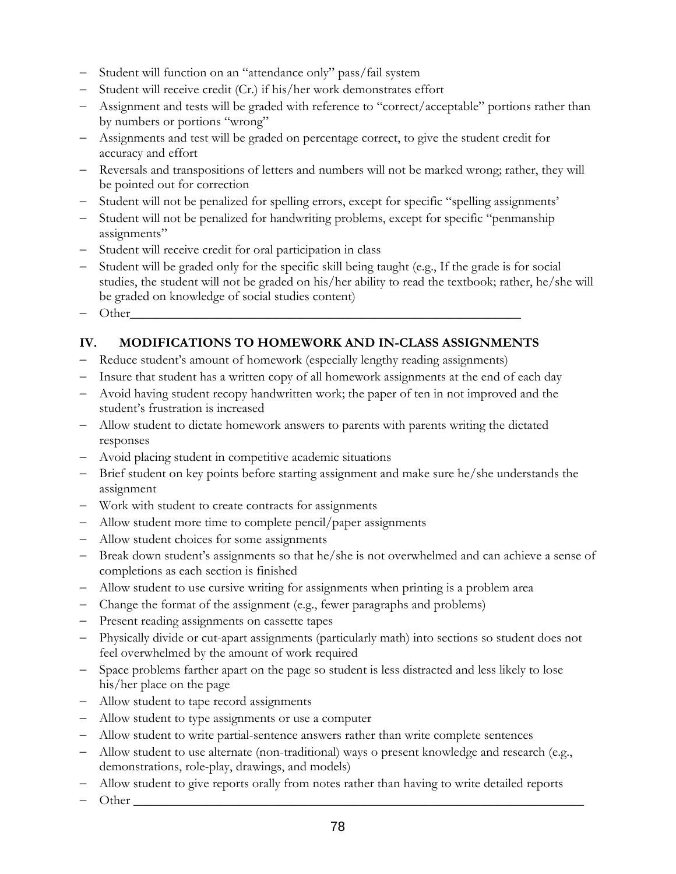- − Student will function on an "attendance only" pass/fail system
- − Student will receive credit (Cr.) if his/her work demonstrates effort
- − Assignment and tests will be graded with reference to "correct/acceptable" portions rather than by numbers or portions "wrong"
- − Assignments and test will be graded on percentage correct, to give the student credit for accuracy and effort
- − Reversals and transpositions of letters and numbers will not be marked wrong; rather, they will be pointed out for correction
- − Student will not be penalized for spelling errors, except for specific "spelling assignments'
- Student will not be penalized for handwriting problems, except for specific "penmanship" assignments"
- − Student will receive credit for oral participation in class
- Student will be graded only for the specific skill being taught (e.g., If the grade is for social studies, the student will not be graded on his/her ability to read the textbook; rather, he/she will be graded on knowledge of social studies content)
- − Other\_\_\_\_\_\_\_\_\_\_\_\_\_\_\_\_\_\_\_\_\_\_\_\_\_\_\_\_\_\_\_\_\_\_\_\_\_\_\_\_\_\_\_\_\_\_\_\_\_\_\_\_\_\_\_\_\_\_\_

# **IV. MODIFICATIONS TO HOMEWORK AND IN-CLASS ASSIGNMENTS**

- − Reduce student's amount of homework (especially lengthy reading assignments)
- − Insure that student has a written copy of all homework assignments at the end of each day
- − Avoid having student recopy handwritten work; the paper of ten in not improved and the student's frustration is increased
- − Allow student to dictate homework answers to parents with parents writing the dictated responses
- − Avoid placing student in competitive academic situations
- − Brief student on key points before starting assignment and make sure he/she understands the assignment
- − Work with student to create contracts for assignments
- − Allow student more time to complete pencil/paper assignments
- − Allow student choices for some assignments
- − Break down student's assignments so that he/she is not overwhelmed and can achieve a sense of completions as each section is finished
- − Allow student to use cursive writing for assignments when printing is a problem area
- − Change the format of the assignment (e.g., fewer paragraphs and problems)
- − Present reading assignments on cassette tapes
- − Physically divide or cut-apart assignments (particularly math) into sections so student does not feel overwhelmed by the amount of work required
- − Space problems farther apart on the page so student is less distracted and less likely to lose his/her place on the page
- − Allow student to tape record assignments
- − Allow student to type assignments or use a computer
- − Allow student to write partial-sentence answers rather than write complete sentences
- − Allow student to use alternate (non-traditional) ways o present knowledge and research (e.g., demonstrations, role-play, drawings, and models)
- − Allow student to give reports orally from notes rather than having to write detailed reports
- − Other \_\_\_\_\_\_\_\_\_\_\_\_\_\_\_\_\_\_\_\_\_\_\_\_\_\_\_\_\_\_\_\_\_\_\_\_\_\_\_\_\_\_\_\_\_\_\_\_\_\_\_\_\_\_\_\_\_\_\_\_\_\_\_\_\_\_\_\_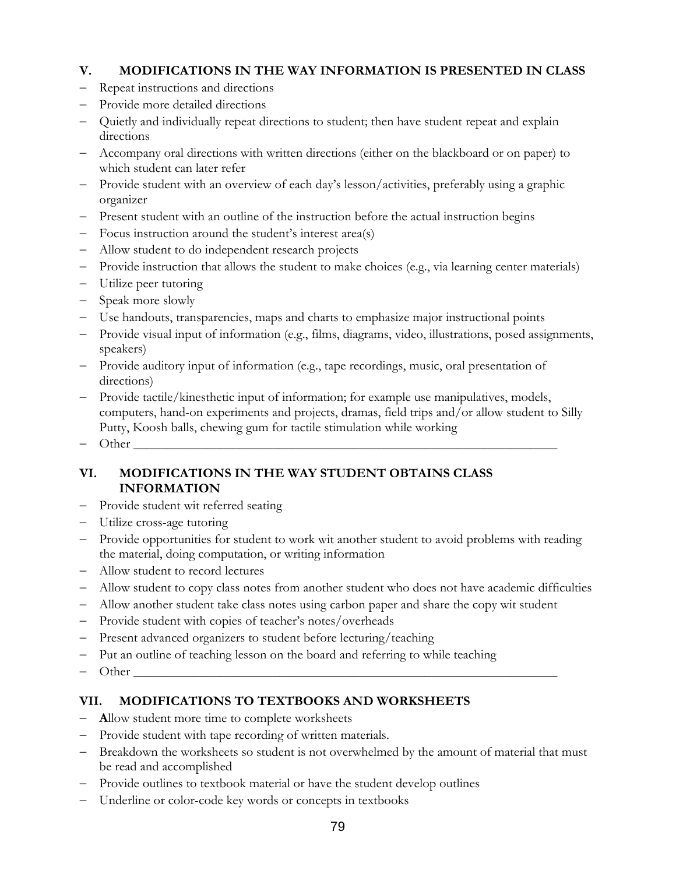### **V. MODIFICATIONS IN THE WAY INFORMATION IS PRESENTED IN CLASS**

- − Repeat instructions and directions
- − Provide more detailed directions
- − Quietly and individually repeat directions to student; then have student repeat and explain directions
- − Accompany oral directions with written directions (either on the blackboard or on paper) to which student can later refer
- − Provide student with an overview of each day's lesson/activities, preferably using a graphic organizer
- − Present student with an outline of the instruction before the actual instruction begins
- − Focus instruction around the student's interest area(s)
- − Allow student to do independent research projects
- − Provide instruction that allows the student to make choices (e.g., via learning center materials)
- − Utilize peer tutoring
- − Speak more slowly
- − Use handouts, transparencies, maps and charts to emphasize major instructional points
- − Provide visual input of information (e.g., films, diagrams, video, illustrations, posed assignments, speakers)
- − Provide auditory input of information (e.g., tape recordings, music, oral presentation of directions)
- − Provide tactile/kinesthetic input of information; for example use manipulatives, models, computers, hand-on experiments and projects, dramas, field trips and/or allow student to Silly Putty, Koosh balls, chewing gum for tactile stimulation while working
- $-$  Other

## **VI. MODIFICATIONS IN THE WAY STUDENT OBTAINS CLASS INFORMATION**

- − Provide student wit referred seating
- − Utilize cross-age tutoring
- − Provide opportunities for student to work wit another student to avoid problems with reading the material, doing computation, or writing information
- − Allow student to record lectures
- − Allow student to copy class notes from another student who does not have academic difficulties
- − Allow another student take class notes using carbon paper and share the copy wit student
- − Provide student with copies of teacher's notes/overheads
- − Present advanced organizers to student before lecturing/teaching
- − Put an outline of teaching lesson on the board and referring to while teaching
- $-$  Other

## **VII. MODIFICATIONS TO TEXTBOOKS AND WORKSHEETS**

- − **A**llow student more time to complete worksheets
- − Provide student with tape recording of written materials.
- − Breakdown the worksheets so student is not overwhelmed by the amount of material that must be read and accomplished
- − Provide outlines to textbook material or have the student develop outlines
- Underline or color-code key words or concepts in textbooks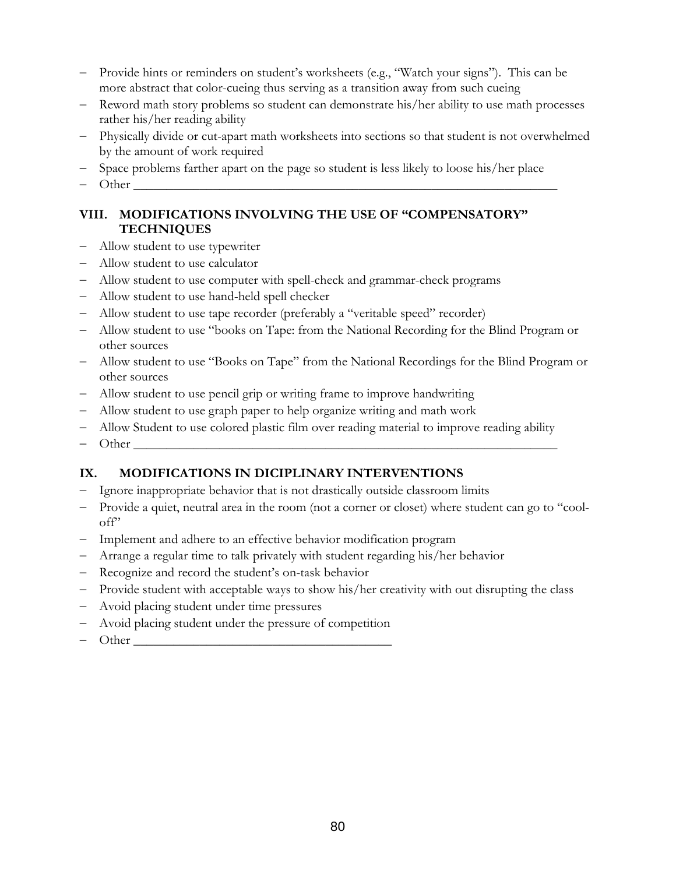- − Provide hints or reminders on student's worksheets (e.g., "Watch your signs"). This can be more abstract that color-cueing thus serving as a transition away from such cueing
- − Reword math story problems so student can demonstrate his/her ability to use math processes rather his/her reading ability
- − Physically divide or cut-apart math worksheets into sections so that student is not overwhelmed by the amount of work required
- − Space problems farther apart on the page so student is less likely to loose his/her place
- $-$  Other

### **VIII. MODIFICATIONS INVOLVING THE USE OF "COMPENSATORY" TECHNIQUES**

- − Allow student to use typewriter
- − Allow student to use calculator
- − Allow student to use computer with spell-check and grammar-check programs
- − Allow student to use hand-held spell checker
- − Allow student to use tape recorder (preferably a "veritable speed" recorder)
- − Allow student to use "books on Tape: from the National Recording for the Blind Program or other sources
- − Allow student to use "Books on Tape" from the National Recordings for the Blind Program or other sources
- − Allow student to use pencil grip or writing frame to improve handwriting
- − Allow student to use graph paper to help organize writing and math work
- − Allow Student to use colored plastic film over reading material to improve reading ability
- $-$  Other

## **IX. MODIFICATIONS IN DICIPLINARY INTERVENTIONS**

- Ignore inappropriate behavior that is not drastically outside classroom limits
- − Provide a quiet, neutral area in the room (not a corner or closet) where student can go to "cooloff"
- − Implement and adhere to an effective behavior modification program
- − Arrange a regular time to talk privately with student regarding his/her behavior
- − Recognize and record the student's on-task behavior
- − Provide student with acceptable ways to show his/her creativity with out disrupting the class
- − Avoid placing student under time pressures
- Avoid placing student under the pressure of competition
- $Other$   $Other$   $\Box$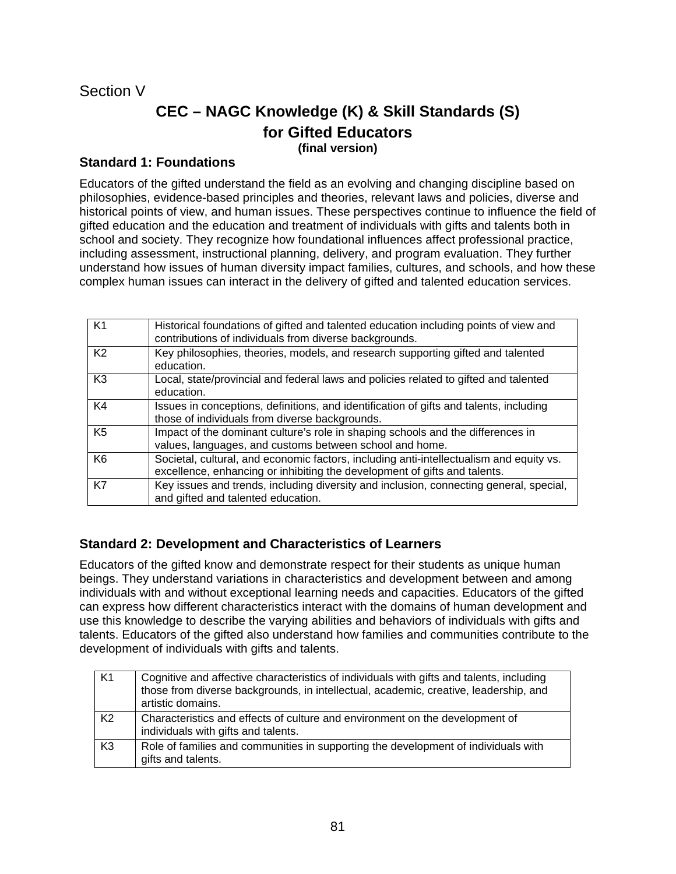# Section V

# **CEC – NAGC Knowledge (K) & Skill Standards (S) for Gifted Educators (final version)**

### **Standard 1: Foundations**

Educators of the gifted understand the field as an evolving and changing discipline based on philosophies, evidence-based principles and theories, relevant laws and policies, diverse and historical points of view, and human issues. These perspectives continue to influence the field of gifted education and the education and treatment of individuals with gifts and talents both in school and society. They recognize how foundational influences affect professional practice, including assessment, instructional planning, delivery, and program evaluation. They further understand how issues of human diversity impact families, cultures, and schools, and how these complex human issues can interact in the delivery of gifted and talented education services.

| K <sub>1</sub> | Historical foundations of gifted and talented education including points of view and<br>contributions of individuals from diverse backgrounds.                       |
|----------------|----------------------------------------------------------------------------------------------------------------------------------------------------------------------|
| K <sub>2</sub> | Key philosophies, theories, models, and research supporting gifted and talented<br>education.                                                                        |
| K <sub>3</sub> | Local, state/provincial and federal laws and policies related to gifted and talented<br>education.                                                                   |
| K4             | Issues in conceptions, definitions, and identification of gifts and talents, including<br>those of individuals from diverse backgrounds.                             |
| K <sub>5</sub> | Impact of the dominant culture's role in shaping schools and the differences in<br>values, languages, and customs between school and home.                           |
| K <sub>6</sub> | Societal, cultural, and economic factors, including anti-intellectualism and equity vs.<br>excellence, enhancing or inhibiting the development of gifts and talents. |
| K7             | Key issues and trends, including diversity and inclusion, connecting general, special,<br>and gifted and talented education.                                         |

### **Standard 2: Development and Characteristics of Learners**

Educators of the gifted know and demonstrate respect for their students as unique human beings. They understand variations in characteristics and development between and among individuals with and without exceptional learning needs and capacities. Educators of the gifted can express how different characteristics interact with the domains of human development and use this knowledge to describe the varying abilities and behaviors of individuals with gifts and talents. Educators of the gifted also understand how families and communities contribute to the development of individuals with gifts and talents.

| <b>K1</b>      | Cognitive and affective characteristics of individuals with gifts and talents, including<br>those from diverse backgrounds, in intellectual, academic, creative, leadership, and<br>artistic domains. |
|----------------|-------------------------------------------------------------------------------------------------------------------------------------------------------------------------------------------------------|
| K <sub>2</sub> | Characteristics and effects of culture and environment on the development of<br>individuals with gifts and talents.                                                                                   |
| K <sub>3</sub> | Role of families and communities in supporting the development of individuals with<br>gifts and talents.                                                                                              |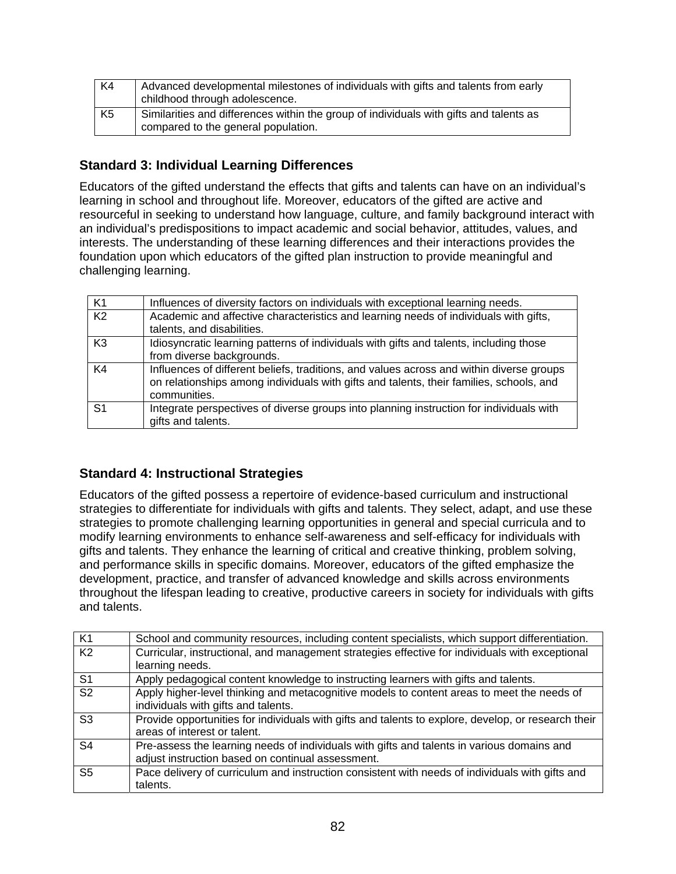| K4             | Advanced developmental milestones of individuals with gifts and talents from early<br>childhood through adolescence.          |
|----------------|-------------------------------------------------------------------------------------------------------------------------------|
| K <sub>5</sub> | Similarities and differences within the group of individuals with gifts and talents as<br>compared to the general population. |

# **Standard 3: Individual Learning Differences**

Educators of the gifted understand the effects that gifts and talents can have on an individual's learning in school and throughout life. Moreover, educators of the gifted are active and resourceful in seeking to understand how language, culture, and family background interact with an individual's predispositions to impact academic and social behavior, attitudes, values, and interests. The understanding of these learning differences and their interactions provides the foundation upon which educators of the gifted plan instruction to provide meaningful and challenging learning.

| K <sub>1</sub> | Influences of diversity factors on individuals with exceptional learning needs.                                                                                                                     |
|----------------|-----------------------------------------------------------------------------------------------------------------------------------------------------------------------------------------------------|
| K <sub>2</sub> | Academic and affective characteristics and learning needs of individuals with gifts,<br>talents, and disabilities.                                                                                  |
| K <sub>3</sub> | Idiosyncratic learning patterns of individuals with gifts and talents, including those<br>from diverse backgrounds.                                                                                 |
| K4             | Influences of different beliefs, traditions, and values across and within diverse groups<br>on relationships among individuals with gifts and talents, their families, schools, and<br>communities. |
| S <sub>1</sub> | Integrate perspectives of diverse groups into planning instruction for individuals with<br>gifts and talents.                                                                                       |

## **Standard 4: Instructional Strategies**

Educators of the gifted possess a repertoire of evidence-based curriculum and instructional strategies to differentiate for individuals with gifts and talents. They select, adapt, and use these strategies to promote challenging learning opportunities in general and special curricula and to modify learning environments to enhance self-awareness and self-efficacy for individuals with gifts and talents. They enhance the learning of critical and creative thinking, problem solving, and performance skills in specific domains. Moreover, educators of the gifted emphasize the development, practice, and transfer of advanced knowledge and skills across environments throughout the lifespan leading to creative, productive careers in society for individuals with gifts and talents.

| K <sub>1</sub>           | School and community resources, including content specialists, which support differentiation.                                                   |  |  |  |  |
|--------------------------|-------------------------------------------------------------------------------------------------------------------------------------------------|--|--|--|--|
| K <sub>2</sub>           | Curricular, instructional, and management strategies effective for individuals with exceptional<br>learning needs.                              |  |  |  |  |
| S <sub>1</sub>           | Apply pedagogical content knowledge to instructing learners with gifts and talents.                                                             |  |  |  |  |
| $\overline{\mathsf{S2}}$ | Apply higher-level thinking and metacognitive models to content areas to meet the needs of<br>individuals with gifts and talents.               |  |  |  |  |
| S <sub>3</sub>           | Provide opportunities for individuals with gifts and talents to explore, develop, or research their<br>areas of interest or talent.             |  |  |  |  |
| S <sub>4</sub>           | Pre-assess the learning needs of individuals with gifts and talents in various domains and<br>adjust instruction based on continual assessment. |  |  |  |  |
| S <sub>5</sub>           | Pace delivery of curriculum and instruction consistent with needs of individuals with gifts and<br>talents.                                     |  |  |  |  |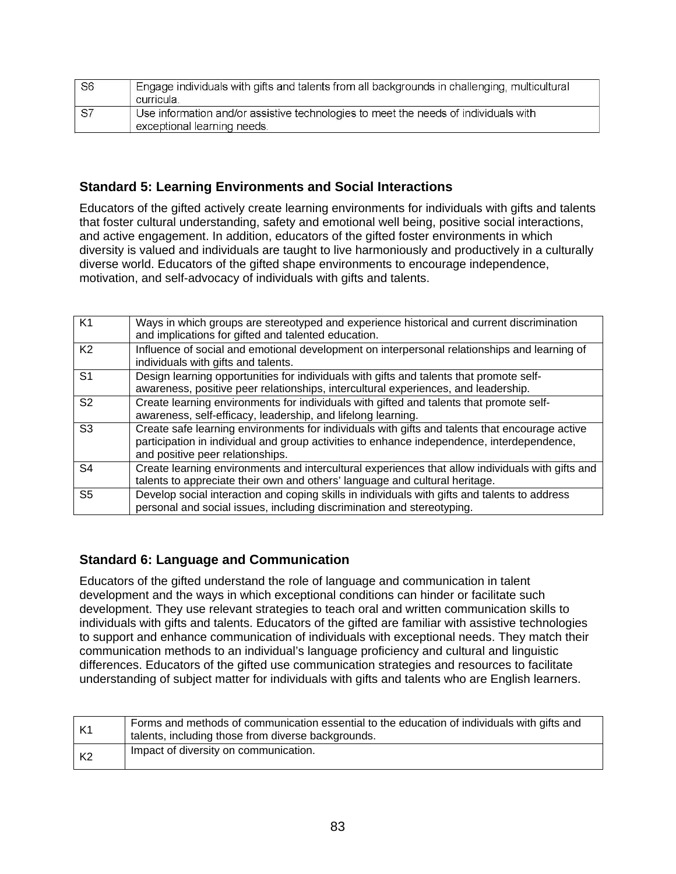| S <sub>6</sub> | Engage individuals with gifts and talents from all backgrounds in challenging, multicultural<br>curricula.         |
|----------------|--------------------------------------------------------------------------------------------------------------------|
| <b>S7</b>      | Use information and/or assistive technologies to meet the needs of individuals with<br>exceptional learning needs. |

## **Standard 5: Learning Environments and Social Interactions**

Educators of the gifted actively create learning environments for individuals with gifts and talents that foster cultural understanding, safety and emotional well being, positive social interactions, and active engagement. In addition, educators of the gifted foster environments in which diversity is valued and individuals are taught to live harmoniously and productively in a culturally diverse world. Educators of the gifted shape environments to encourage independence, motivation, and self-advocacy of individuals with gifts and talents.

| K <sub>1</sub> | Ways in which groups are stereotyped and experience historical and current discrimination        |
|----------------|--------------------------------------------------------------------------------------------------|
|                | and implications for gifted and talented education.                                              |
|                |                                                                                                  |
| K <sub>2</sub> | Influence of social and emotional development on interpersonal relationships and learning of     |
|                | individuals with gifts and talents.                                                              |
| S <sub>1</sub> | Design learning opportunities for individuals with gifts and talents that promote self-          |
|                | awareness, positive peer relationships, intercultural experiences, and leadership.               |
| S <sub>2</sub> | Create learning environments for individuals with gifted and talents that promote self-          |
|                | awareness, self-efficacy, leadership, and lifelong learning.                                     |
| S <sub>3</sub> | Create safe learning environments for individuals with gifts and talents that encourage active   |
|                | participation in individual and group activities to enhance independence, interdependence,       |
|                | and positive peer relationships.                                                                 |
| S <sub>4</sub> | Create learning environments and intercultural experiences that allow individuals with gifts and |
|                | talents to appreciate their own and others' language and cultural heritage.                      |
|                |                                                                                                  |
| S <sub>5</sub> | Develop social interaction and coping skills in individuals with gifts and talents to address    |
|                | personal and social issues, including discrimination and stereotyping.                           |

## **Standard 6: Language and Communication**

Educators of the gifted understand the role of language and communication in talent development and the ways in which exceptional conditions can hinder or facilitate such development. They use relevant strategies to teach oral and written communication skills to individuals with gifts and talents. Educators of the gifted are familiar with assistive technologies to support and enhance communication of individuals with exceptional needs. They match their communication methods to an individual's language proficiency and cultural and linguistic differences. Educators of the gifted use communication strategies and resources to facilitate understanding of subject matter for individuals with gifts and talents who are English learners.

| K <sub>1</sub> | Forms and methods of communication essential to the education of individuals with gifts and<br>talents, including those from diverse backgrounds. |
|----------------|---------------------------------------------------------------------------------------------------------------------------------------------------|
| K2             | Impact of diversity on communication.                                                                                                             |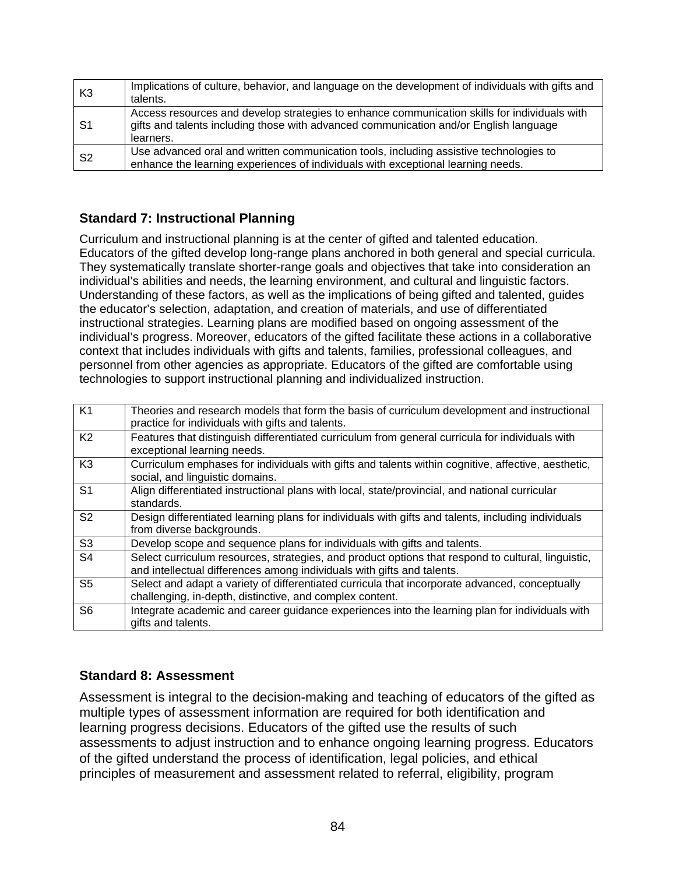| K3             | Implications of culture, behavior, and language on the development of individuals with gifts and<br>talents.                                                                                       |  |  |  |  |
|----------------|----------------------------------------------------------------------------------------------------------------------------------------------------------------------------------------------------|--|--|--|--|
| - S1           | Access resources and develop strategies to enhance communication skills for individuals with<br>gifts and talents including those with advanced communication and/or English language<br>learners. |  |  |  |  |
| S <sub>2</sub> | Use advanced oral and written communication tools, including assistive technologies to<br>enhance the learning experiences of individuals with exceptional learning needs.                         |  |  |  |  |

# **Standard 7: Instructional Planning**

Curriculum and instructional planning is at the center of gifted and talented education. Educators of the gifted develop long-range plans anchored in both general and special curricula. They systematically translate shorter-range goals and objectives that take into consideration an individual's abilities and needs, the learning environment, and cultural and linguistic factors. Understanding of these factors, as well as the implications of being gifted and talented, guides the educator's selection, adaptation, and creation of materials, and use of differentiated instructional strategies. Learning plans are modified based on ongoing assessment of the individual's progress. Moreover, educators of the gifted facilitate these actions in a collaborative context that includes individuals with gifts and talents, families, professional colleagues, and personnel from other agencies as appropriate. Educators of the gifted are comfortable using technologies to support instructional planning and individualized instruction.

| K <sub>1</sub> | Theories and research models that form the basis of curriculum development and instructional<br>practice for individuals with gifts and talents.                             |
|----------------|------------------------------------------------------------------------------------------------------------------------------------------------------------------------------|
| K <sub>2</sub> | Features that distinguish differentiated curriculum from general curricula for individuals with<br>exceptional learning needs.                                               |
| K <sub>3</sub> | Curriculum emphases for individuals with gifts and talents within cognitive, affective, aesthetic,<br>social, and linguistic domains.                                        |
| S <sub>1</sub> | Align differentiated instructional plans with local, state/provincial, and national curricular<br>standards.                                                                 |
| S <sub>2</sub> | Design differentiated learning plans for individuals with gifts and talents, including individuals<br>from diverse backgrounds.                                              |
| S <sub>3</sub> | Develop scope and sequence plans for individuals with gifts and talents.                                                                                                     |
| S <sub>4</sub> | Select curriculum resources, strategies, and product options that respond to cultural, linguistic,<br>and intellectual differences among individuals with gifts and talents. |
| S5             | Select and adapt a variety of differentiated curricula that incorporate advanced, conceptually<br>challenging, in-depth, distinctive, and complex content.                   |
| S6             | Integrate academic and career guidance experiences into the learning plan for individuals with<br>gifts and talents.                                                         |

# **Standard 8: Assessment**

Assessment is integral to the decision-making and teaching of educators of the gifted as multiple types of assessment information are required for both identification and learning progress decisions. Educators of the gifted use the results of such assessments to adjust instruction and to enhance ongoing learning progress. Educators of the gifted understand the process of identification, legal policies, and ethical principles of measurement and assessment related to referral, eligibility, program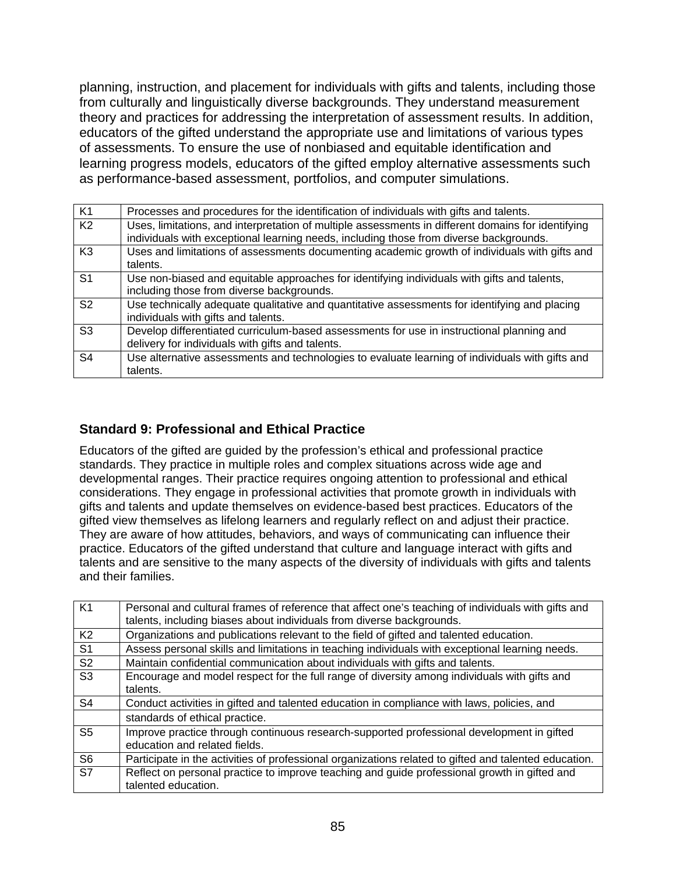planning, instruction, and placement for individuals with gifts and talents, including those from culturally and linguistically diverse backgrounds. They understand measurement theory and practices for addressing the interpretation of assessment results. In addition, educators of the gifted understand the appropriate use and limitations of various types of assessments. To ensure the use of nonbiased and equitable identification and learning progress models, educators of the gifted employ alternative assessments such as performance-based assessment, portfolios, and computer simulations.

| K <sub>1</sub> | Processes and procedures for the identification of individuals with gifts and talents.                                                                                                       |  |  |  |  |  |
|----------------|----------------------------------------------------------------------------------------------------------------------------------------------------------------------------------------------|--|--|--|--|--|
| K <sub>2</sub> | Uses, limitations, and interpretation of multiple assessments in different domains for identifying<br>individuals with exceptional learning needs, including those from diverse backgrounds. |  |  |  |  |  |
| K <sub>3</sub> | Uses and limitations of assessments documenting academic growth of individuals with gifts and<br>talents.                                                                                    |  |  |  |  |  |
| S <sub>1</sub> | Use non-biased and equitable approaches for identifying individuals with gifts and talents,<br>including those from diverse backgrounds.                                                     |  |  |  |  |  |
| S <sub>2</sub> | Use technically adequate qualitative and quantitative assessments for identifying and placing<br>individuals with gifts and talents.                                                         |  |  |  |  |  |
| S <sub>3</sub> | Develop differentiated curriculum-based assessments for use in instructional planning and<br>delivery for individuals with gifts and talents.                                                |  |  |  |  |  |
| S <sub>4</sub> | Use alternative assessments and technologies to evaluate learning of individuals with gifts and<br>talents.                                                                                  |  |  |  |  |  |

### **Standard 9: Professional and Ethical Practice**

Educators of the gifted are guided by the profession's ethical and professional practice standards. They practice in multiple roles and complex situations across wide age and developmental ranges. Their practice requires ongoing attention to professional and ethical considerations. They engage in professional activities that promote growth in individuals with gifts and talents and update themselves on evidence-based best practices. Educators of the gifted view themselves as lifelong learners and regularly reflect on and adjust their practice. They are aware of how attitudes, behaviors, and ways of communicating can influence their practice. Educators of the gifted understand that culture and language interact with gifts and talents and are sensitive to the many aspects of the diversity of individuals with gifts and talents and their families.

| K1             | Personal and cultural frames of reference that affect one's teaching of individuals with gifts and    |  |  |  |  |
|----------------|-------------------------------------------------------------------------------------------------------|--|--|--|--|
|                | talents, including biases about individuals from diverse backgrounds.                                 |  |  |  |  |
|                |                                                                                                       |  |  |  |  |
| K <sub>2</sub> | Organizations and publications relevant to the field of gifted and talented education.                |  |  |  |  |
| S <sub>1</sub> | Assess personal skills and limitations in teaching individuals with exceptional learning needs.       |  |  |  |  |
| S <sub>2</sub> | Maintain confidential communication about individuals with gifts and talents.                         |  |  |  |  |
| S <sub>3</sub> | Encourage and model respect for the full range of diversity among individuals with gifts and          |  |  |  |  |
|                | talents.                                                                                              |  |  |  |  |
| S <sub>4</sub> | Conduct activities in gifted and talented education in compliance with laws, policies, and            |  |  |  |  |
|                | standards of ethical practice.                                                                        |  |  |  |  |
| S <sub>5</sub> | Improve practice through continuous research-supported professional development in gifted             |  |  |  |  |
|                | education and related fields.                                                                         |  |  |  |  |
| S <sub>6</sub> | Participate in the activities of professional organizations related to gifted and talented education. |  |  |  |  |
| S7             | Reflect on personal practice to improve teaching and guide professional growth in gifted and          |  |  |  |  |
|                | talented education.                                                                                   |  |  |  |  |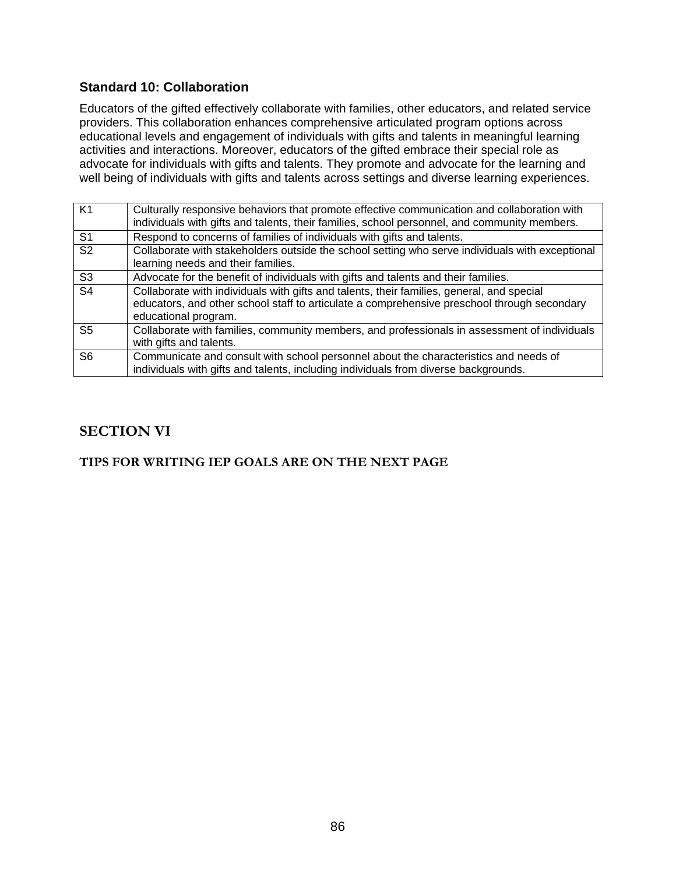### **Standard 10: Collaboration**

Educators of the gifted effectively collaborate with families, other educators, and related service providers. This collaboration enhances comprehensive articulated program options across educational levels and engagement of individuals with gifts and talents in meaningful learning activities and interactions. Moreover, educators of the gifted embrace their special role as advocate for individuals with gifts and talents. They promote and advocate for the learning and well being of individuals with gifts and talents across settings and diverse learning experiences.

| K1             | Culturally responsive behaviors that promote effective communication and collaboration with<br>individuals with gifts and talents, their families, school personnel, and community members.                      |
|----------------|------------------------------------------------------------------------------------------------------------------------------------------------------------------------------------------------------------------|
| S <sub>1</sub> | Respond to concerns of families of individuals with gifts and talents.                                                                                                                                           |
| S <sub>2</sub> | Collaborate with stakeholders outside the school setting who serve individuals with exceptional<br>learning needs and their families.                                                                            |
| S <sub>3</sub> | Advocate for the benefit of individuals with gifts and talents and their families.                                                                                                                               |
| S <sub>4</sub> | Collaborate with individuals with gifts and talents, their families, general, and special<br>educators, and other school staff to articulate a comprehensive preschool through secondary<br>educational program. |
| S <sub>5</sub> | Collaborate with families, community members, and professionals in assessment of individuals<br>with gifts and talents.                                                                                          |
| S6             | Communicate and consult with school personnel about the characteristics and needs of<br>individuals with gifts and talents, including individuals from diverse backgrounds.                                      |

# **SECTION VI**

### **TIPS FOR WRITING IEP GOALS ARE ON THE NEXT PAGE**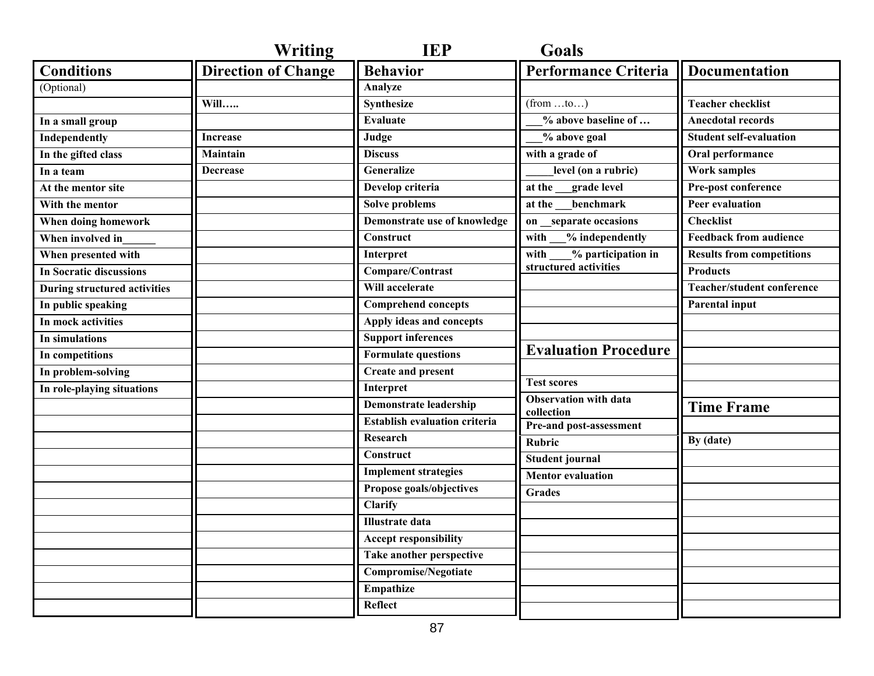| <b>Direction of Change</b><br><b>Behavior</b><br><b>Performance Criteria</b><br><b>Conditions</b><br><b>Documentation</b><br>Analyze<br>(Optional)<br><b>Synthesize</b><br><b>Teacher checklist</b><br>Will<br>$(from \dots to \dots)$<br><b>Evaluate</b><br>% above baseline of<br><b>Anecdotal records</b><br>In a small group<br>Judge<br>% above goal<br><b>Student self-evaluation</b><br><b>Independently</b><br>Increase<br><b>Discuss</b><br>with a grade of<br><b>Maintain</b><br>Oral performance<br>In the gifted class<br>Generalize<br>level (on a rubric)<br><b>Work samples</b><br>In a team<br>Decrease<br>Develop criteria<br>at the grade level<br>Pre-post conference<br>At the mentor site<br>Solve problems<br>benchmark<br><b>Peer evaluation</b><br>at the<br>With the mentor<br>Demonstrate use of knowledge<br><b>Checklist</b><br>on separate occasions<br>When doing homework<br>Construct<br>% independently<br><b>Feedback from audience</b><br>with<br>When involved in<br>% participation in<br><b>Results from competitions</b><br>Interpret<br>with<br>When presented with<br>structured activities<br>Compare/Contrast<br><b>Products</b><br><b>In Socratic discussions</b><br>Will accelerate<br><b>Teacher/student conference</b><br>During structured activities<br><b>Comprehend concepts</b><br>In public speaking<br><b>Parental input</b><br>Apply ideas and concepts<br>In mock activities<br><b>Support inferences</b><br>In simulations<br><b>Evaluation Procedure</b><br><b>Formulate questions</b><br>In competitions<br><b>Create and present</b><br>In problem-solving<br><b>Test scores</b><br>Interpret<br>In role-playing situations<br><b>Observation with data</b><br><b>Demonstrate leadership</b><br><b>Time Frame</b><br>collection<br><b>Establish evaluation criteria</b><br>Pre-and post-assessment<br><b>Research</b><br>By (date)<br><b>Rubric</b><br>$\overline{\text{Construct}}$<br><b>Student journal</b><br><b>Implement strategies</b><br><b>Mentor</b> evaluation<br>Propose goals/objectives | <b>Writing</b> | <b>IEP</b> | <b>Goals</b>  |  |
|-------------------------------------------------------------------------------------------------------------------------------------------------------------------------------------------------------------------------------------------------------------------------------------------------------------------------------------------------------------------------------------------------------------------------------------------------------------------------------------------------------------------------------------------------------------------------------------------------------------------------------------------------------------------------------------------------------------------------------------------------------------------------------------------------------------------------------------------------------------------------------------------------------------------------------------------------------------------------------------------------------------------------------------------------------------------------------------------------------------------------------------------------------------------------------------------------------------------------------------------------------------------------------------------------------------------------------------------------------------------------------------------------------------------------------------------------------------------------------------------------------------------------------------------------------------------------------------------------------------------------------------------------------------------------------------------------------------------------------------------------------------------------------------------------------------------------------------------------------------------------------------------------------------------------------------------------------------------------------------------------------------------------------------------------------------------|----------------|------------|---------------|--|
|                                                                                                                                                                                                                                                                                                                                                                                                                                                                                                                                                                                                                                                                                                                                                                                                                                                                                                                                                                                                                                                                                                                                                                                                                                                                                                                                                                                                                                                                                                                                                                                                                                                                                                                                                                                                                                                                                                                                                                                                                                                                   |                |            |               |  |
|                                                                                                                                                                                                                                                                                                                                                                                                                                                                                                                                                                                                                                                                                                                                                                                                                                                                                                                                                                                                                                                                                                                                                                                                                                                                                                                                                                                                                                                                                                                                                                                                                                                                                                                                                                                                                                                                                                                                                                                                                                                                   |                |            |               |  |
|                                                                                                                                                                                                                                                                                                                                                                                                                                                                                                                                                                                                                                                                                                                                                                                                                                                                                                                                                                                                                                                                                                                                                                                                                                                                                                                                                                                                                                                                                                                                                                                                                                                                                                                                                                                                                                                                                                                                                                                                                                                                   |                |            |               |  |
|                                                                                                                                                                                                                                                                                                                                                                                                                                                                                                                                                                                                                                                                                                                                                                                                                                                                                                                                                                                                                                                                                                                                                                                                                                                                                                                                                                                                                                                                                                                                                                                                                                                                                                                                                                                                                                                                                                                                                                                                                                                                   |                |            |               |  |
|                                                                                                                                                                                                                                                                                                                                                                                                                                                                                                                                                                                                                                                                                                                                                                                                                                                                                                                                                                                                                                                                                                                                                                                                                                                                                                                                                                                                                                                                                                                                                                                                                                                                                                                                                                                                                                                                                                                                                                                                                                                                   |                |            |               |  |
|                                                                                                                                                                                                                                                                                                                                                                                                                                                                                                                                                                                                                                                                                                                                                                                                                                                                                                                                                                                                                                                                                                                                                                                                                                                                                                                                                                                                                                                                                                                                                                                                                                                                                                                                                                                                                                                                                                                                                                                                                                                                   |                |            |               |  |
|                                                                                                                                                                                                                                                                                                                                                                                                                                                                                                                                                                                                                                                                                                                                                                                                                                                                                                                                                                                                                                                                                                                                                                                                                                                                                                                                                                                                                                                                                                                                                                                                                                                                                                                                                                                                                                                                                                                                                                                                                                                                   |                |            |               |  |
|                                                                                                                                                                                                                                                                                                                                                                                                                                                                                                                                                                                                                                                                                                                                                                                                                                                                                                                                                                                                                                                                                                                                                                                                                                                                                                                                                                                                                                                                                                                                                                                                                                                                                                                                                                                                                                                                                                                                                                                                                                                                   |                |            |               |  |
|                                                                                                                                                                                                                                                                                                                                                                                                                                                                                                                                                                                                                                                                                                                                                                                                                                                                                                                                                                                                                                                                                                                                                                                                                                                                                                                                                                                                                                                                                                                                                                                                                                                                                                                                                                                                                                                                                                                                                                                                                                                                   |                |            |               |  |
|                                                                                                                                                                                                                                                                                                                                                                                                                                                                                                                                                                                                                                                                                                                                                                                                                                                                                                                                                                                                                                                                                                                                                                                                                                                                                                                                                                                                                                                                                                                                                                                                                                                                                                                                                                                                                                                                                                                                                                                                                                                                   |                |            |               |  |
|                                                                                                                                                                                                                                                                                                                                                                                                                                                                                                                                                                                                                                                                                                                                                                                                                                                                                                                                                                                                                                                                                                                                                                                                                                                                                                                                                                                                                                                                                                                                                                                                                                                                                                                                                                                                                                                                                                                                                                                                                                                                   |                |            |               |  |
|                                                                                                                                                                                                                                                                                                                                                                                                                                                                                                                                                                                                                                                                                                                                                                                                                                                                                                                                                                                                                                                                                                                                                                                                                                                                                                                                                                                                                                                                                                                                                                                                                                                                                                                                                                                                                                                                                                                                                                                                                                                                   |                |            |               |  |
|                                                                                                                                                                                                                                                                                                                                                                                                                                                                                                                                                                                                                                                                                                                                                                                                                                                                                                                                                                                                                                                                                                                                                                                                                                                                                                                                                                                                                                                                                                                                                                                                                                                                                                                                                                                                                                                                                                                                                                                                                                                                   |                |            |               |  |
|                                                                                                                                                                                                                                                                                                                                                                                                                                                                                                                                                                                                                                                                                                                                                                                                                                                                                                                                                                                                                                                                                                                                                                                                                                                                                                                                                                                                                                                                                                                                                                                                                                                                                                                                                                                                                                                                                                                                                                                                                                                                   |                |            |               |  |
|                                                                                                                                                                                                                                                                                                                                                                                                                                                                                                                                                                                                                                                                                                                                                                                                                                                                                                                                                                                                                                                                                                                                                                                                                                                                                                                                                                                                                                                                                                                                                                                                                                                                                                                                                                                                                                                                                                                                                                                                                                                                   |                |            |               |  |
|                                                                                                                                                                                                                                                                                                                                                                                                                                                                                                                                                                                                                                                                                                                                                                                                                                                                                                                                                                                                                                                                                                                                                                                                                                                                                                                                                                                                                                                                                                                                                                                                                                                                                                                                                                                                                                                                                                                                                                                                                                                                   |                |            |               |  |
|                                                                                                                                                                                                                                                                                                                                                                                                                                                                                                                                                                                                                                                                                                                                                                                                                                                                                                                                                                                                                                                                                                                                                                                                                                                                                                                                                                                                                                                                                                                                                                                                                                                                                                                                                                                                                                                                                                                                                                                                                                                                   |                |            |               |  |
|                                                                                                                                                                                                                                                                                                                                                                                                                                                                                                                                                                                                                                                                                                                                                                                                                                                                                                                                                                                                                                                                                                                                                                                                                                                                                                                                                                                                                                                                                                                                                                                                                                                                                                                                                                                                                                                                                                                                                                                                                                                                   |                |            |               |  |
|                                                                                                                                                                                                                                                                                                                                                                                                                                                                                                                                                                                                                                                                                                                                                                                                                                                                                                                                                                                                                                                                                                                                                                                                                                                                                                                                                                                                                                                                                                                                                                                                                                                                                                                                                                                                                                                                                                                                                                                                                                                                   |                |            |               |  |
|                                                                                                                                                                                                                                                                                                                                                                                                                                                                                                                                                                                                                                                                                                                                                                                                                                                                                                                                                                                                                                                                                                                                                                                                                                                                                                                                                                                                                                                                                                                                                                                                                                                                                                                                                                                                                                                                                                                                                                                                                                                                   |                |            |               |  |
|                                                                                                                                                                                                                                                                                                                                                                                                                                                                                                                                                                                                                                                                                                                                                                                                                                                                                                                                                                                                                                                                                                                                                                                                                                                                                                                                                                                                                                                                                                                                                                                                                                                                                                                                                                                                                                                                                                                                                                                                                                                                   |                |            |               |  |
|                                                                                                                                                                                                                                                                                                                                                                                                                                                                                                                                                                                                                                                                                                                                                                                                                                                                                                                                                                                                                                                                                                                                                                                                                                                                                                                                                                                                                                                                                                                                                                                                                                                                                                                                                                                                                                                                                                                                                                                                                                                                   |                |            |               |  |
|                                                                                                                                                                                                                                                                                                                                                                                                                                                                                                                                                                                                                                                                                                                                                                                                                                                                                                                                                                                                                                                                                                                                                                                                                                                                                                                                                                                                                                                                                                                                                                                                                                                                                                                                                                                                                                                                                                                                                                                                                                                                   |                |            |               |  |
|                                                                                                                                                                                                                                                                                                                                                                                                                                                                                                                                                                                                                                                                                                                                                                                                                                                                                                                                                                                                                                                                                                                                                                                                                                                                                                                                                                                                                                                                                                                                                                                                                                                                                                                                                                                                                                                                                                                                                                                                                                                                   |                |            |               |  |
|                                                                                                                                                                                                                                                                                                                                                                                                                                                                                                                                                                                                                                                                                                                                                                                                                                                                                                                                                                                                                                                                                                                                                                                                                                                                                                                                                                                                                                                                                                                                                                                                                                                                                                                                                                                                                                                                                                                                                                                                                                                                   |                |            |               |  |
|                                                                                                                                                                                                                                                                                                                                                                                                                                                                                                                                                                                                                                                                                                                                                                                                                                                                                                                                                                                                                                                                                                                                                                                                                                                                                                                                                                                                                                                                                                                                                                                                                                                                                                                                                                                                                                                                                                                                                                                                                                                                   |                |            | <b>Grades</b> |  |
| Clarify                                                                                                                                                                                                                                                                                                                                                                                                                                                                                                                                                                                                                                                                                                                                                                                                                                                                                                                                                                                                                                                                                                                                                                                                                                                                                                                                                                                                                                                                                                                                                                                                                                                                                                                                                                                                                                                                                                                                                                                                                                                           |                |            |               |  |
| <b>Illustrate</b> data                                                                                                                                                                                                                                                                                                                                                                                                                                                                                                                                                                                                                                                                                                                                                                                                                                                                                                                                                                                                                                                                                                                                                                                                                                                                                                                                                                                                                                                                                                                                                                                                                                                                                                                                                                                                                                                                                                                                                                                                                                            |                |            |               |  |
| <b>Accept responsibility</b>                                                                                                                                                                                                                                                                                                                                                                                                                                                                                                                                                                                                                                                                                                                                                                                                                                                                                                                                                                                                                                                                                                                                                                                                                                                                                                                                                                                                                                                                                                                                                                                                                                                                                                                                                                                                                                                                                                                                                                                                                                      |                |            |               |  |
| Take another perspective                                                                                                                                                                                                                                                                                                                                                                                                                                                                                                                                                                                                                                                                                                                                                                                                                                                                                                                                                                                                                                                                                                                                                                                                                                                                                                                                                                                                                                                                                                                                                                                                                                                                                                                                                                                                                                                                                                                                                                                                                                          |                |            |               |  |
| <b>Compromise/Negotiate</b>                                                                                                                                                                                                                                                                                                                                                                                                                                                                                                                                                                                                                                                                                                                                                                                                                                                                                                                                                                                                                                                                                                                                                                                                                                                                                                                                                                                                                                                                                                                                                                                                                                                                                                                                                                                                                                                                                                                                                                                                                                       |                |            |               |  |
| Empathize                                                                                                                                                                                                                                                                                                                                                                                                                                                                                                                                                                                                                                                                                                                                                                                                                                                                                                                                                                                                                                                                                                                                                                                                                                                                                                                                                                                                                                                                                                                                                                                                                                                                                                                                                                                                                                                                                                                                                                                                                                                         |                |            |               |  |
| Reflect                                                                                                                                                                                                                                                                                                                                                                                                                                                                                                                                                                                                                                                                                                                                                                                                                                                                                                                                                                                                                                                                                                                                                                                                                                                                                                                                                                                                                                                                                                                                                                                                                                                                                                                                                                                                                                                                                                                                                                                                                                                           |                |            |               |  |